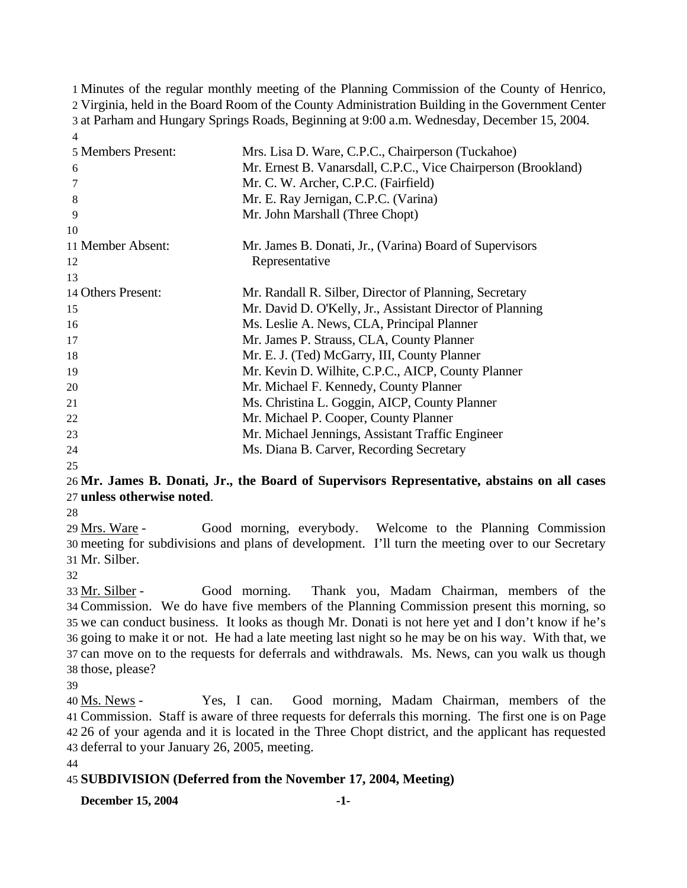Minutes of the regular monthly meeting of the Planning Commission of the County of Henrico, Virginia, held in the Board Room of the County Administration Building in the Government Center at Parham and Hungary Springs Roads, Beginning at 9:00 a.m. Wednesday, December 15, 2004. 4

| 5 Members Present: | Mrs. Lisa D. Ware, C.P.C., Chairperson (Tuckahoe)              |
|--------------------|----------------------------------------------------------------|
| 6                  | Mr. Ernest B. Vanarsdall, C.P.C., Vice Chairperson (Brookland) |
| 7                  | Mr. C. W. Archer, C.P.C. (Fairfield)                           |
| 8                  | Mr. E. Ray Jernigan, C.P.C. (Varina)                           |
| 9                  | Mr. John Marshall (Three Chopt)                                |
| 10                 |                                                                |
| 11 Member Absent:  | Mr. James B. Donati, Jr., (Varina) Board of Supervisors        |
| 12                 | Representative                                                 |
| 13                 |                                                                |
| 14 Others Present: | Mr. Randall R. Silber, Director of Planning, Secretary         |
| 15                 | Mr. David D. O'Kelly, Jr., Assistant Director of Planning      |
| 16                 | Ms. Leslie A. News, CLA, Principal Planner                     |
| 17                 | Mr. James P. Strauss, CLA, County Planner                      |
| 18                 | Mr. E. J. (Ted) McGarry, III, County Planner                   |
| 19                 | Mr. Kevin D. Wilhite, C.P.C., AICP, County Planner             |
| 20                 | Mr. Michael F. Kennedy, County Planner                         |
| 21                 | Ms. Christina L. Goggin, AICP, County Planner                  |
| $22\,$             | Mr. Michael P. Cooper, County Planner                          |
| 23                 | Mr. Michael Jennings, Assistant Traffic Engineer               |
| 24                 | Ms. Diana B. Carver, Recording Secretary                       |

25

## 26 **Mr. James B. Donati, Jr., the Board of Supervisors Representative, abstains on all cases**  27 **unless otherwise noted**.

28

Good morning, everybody. Welcome to the Planning Commission meeting for subdivisions and plans of development. I'll turn the meeting over to our Secretary 30 Mr. Silber. 31 29 Mrs. Ware -

32

Good morning. Thank you, Madam Chairman, members of the 34 Commission. We do have five members of the Planning Commission present this morning, so 35 we can conduct business. It looks as though Mr. Donati is not here yet and I don't know if he's 36 going to make it or not. He had a late meeting last night so he may be on his way. With that, we 37 can move on to the requests for deferrals and withdrawals. Ms. News, can you walk us though 38 those, please? 33 Mr. Silber -

39

Yes, I can. Good morning, Madam Chairman, members of the Commission. Staff is aware of three requests for deferrals this morning. The first one is on Page 41 26 of your agenda and it is located in the Three Chopt district, and the applicant has requested 42 43 deferral to your January 26, 2005, meeting. 40 Ms. News -

44

# 45 **SUBDIVISION (Deferred from the November 17, 2004, Meeting)**

**December 15, 2004** -1-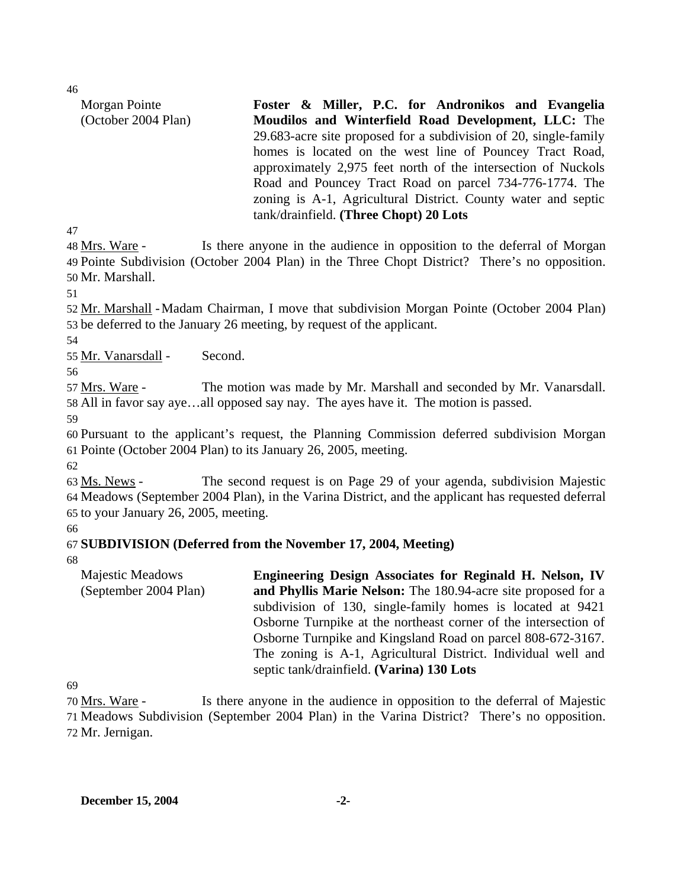46

| Morgan Pointe       | Foster & Miller, P.C. for Andronikos and Evangelia               |
|---------------------|------------------------------------------------------------------|
| (October 2004 Plan) | Moudilos and Winterfield Road Development, LLC: The              |
|                     | 29.683-acre site proposed for a subdivision of 20, single-family |
|                     | homes is located on the west line of Pouncey Tract Road,         |
|                     | approximately 2,975 feet north of the intersection of Nuckols    |
|                     | Road and Pouncey Tract Road on parcel 734-776-1774. The          |
|                     | zoning is A-1, Agricultural District. County water and septic    |
|                     | tank/drainfield. (Three Chopt) 20 Lots                           |

47

Is there anyone in the audience in opposition to the deferral of Morgan 49 Pointe Subdivision (October 2004 Plan) in the Three Chopt District? There's no opposition. 50 Mr. Marshall. 48 Mrs. Ware -

51

52 Mr. Marshall - Madam Chairman, I move that subdivision Morgan Pointe (October 2004 Plan) 53 be deferred to the January 26 meeting, by request of the applicant.

54

55 Mr. Vanarsdall - Second.

56

The motion was made by Mr. Marshall and seconded by Mr. Vanarsdall. 58 All in favor say aye...all opposed say nay. The ayes have it. The motion is passed. 57 Mrs. Ware -

59

60 Pursuant to the applicant's request, the Planning Commission deferred subdivision Morgan 61 Pointe (October 2004 Plan) to its January 26, 2005, meeting.

62

The second request is on Page 29 of your agenda, subdivision Majestic Meadows (September 2004 Plan), in the Varina District, and the applicant has requested deferral 64 65 to your January 26, 2005, meeting. 63 Ms. News -

66

# 67 **SUBDIVISION (Deferred from the November 17, 2004, Meeting)**

68

Majestic Meadows (September 2004 Plan) **Engineering Design Associates for Reginald H. Nelson, IV and Phyllis Marie Nelson:** The 180.94-acre site proposed for a subdivision of 130, single-family homes is located at 9421 Osborne Turnpike at the northeast corner of the intersection of Osborne Turnpike and Kingsland Road on parcel 808-672-3167. The zoning is A-1, Agricultural District. Individual well and septic tank/drainfield. **(Varina) 130 Lots** 

69

Is there anyone in the audience in opposition to the deferral of Majestic 71 Meadows Subdivision (September 2004 Plan) in the Varina District? There's no opposition. 72 Mr. Jernigan. 70 Mrs. Ware -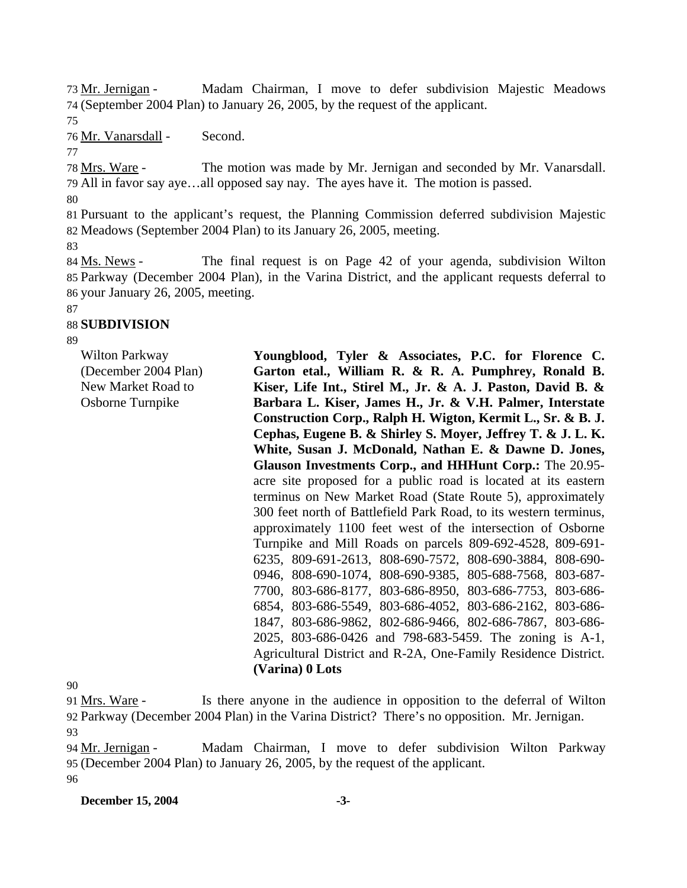Madam Chairman, I move to defer subdivision Majestic Meadows (September 2004 Plan) to January 26, 2005, by the request of the applicant. 74 73 Mr. Jernigan -

75

76 Mr. Vanarsdall - Second.

77

The motion was made by Mr. Jernigan and seconded by Mr. Vanarsdall. All in favor say aye…all opposed say nay. The ayes have it. The motion is passed. 79 78 Mrs. Ware -

80

81 Pursuant to the applicant's request, the Planning Commission deferred subdivision Majestic 82 Meadows (September 2004 Plan) to its January 26, 2005, meeting.

83

The final request is on Page 42 of your agenda, subdivision Wilton 85 Parkway (December 2004 Plan), in the Varina District, and the applicant requests deferral to 86 your January 26, 2005, meeting. 84 Ms. News -

87

### 88 **SUBDIVISION**

89

Wilton Parkway (December 2004 Plan) New Market Road to Osborne Turnpike

**Youngblood, Tyler & Associates, P.C. for Florence C. Garton etal., William R. & R. A. Pumphrey, Ronald B. Kiser, Life Int., Stirel M., Jr. & A. J. Paston, David B. & Barbara L. Kiser, James H., Jr. & V.H. Palmer, Interstate Construction Corp., Ralph H. Wigton, Kermit L., Sr. & B. J. Cephas, Eugene B. & Shirley S. Moyer, Jeffrey T. & J. L. K. White, Susan J. McDonald, Nathan E. & Dawne D. Jones, Glauson Investments Corp., and HHHunt Corp.:** The 20.95 acre site proposed for a public road is located at its eastern terminus on New Market Road (State Route 5), approximately 300 feet north of Battlefield Park Road, to its western terminus, approximately 1100 feet west of the intersection of Osborne Turnpike and Mill Roads on parcels 809-692-4528, 809-691- 6235, 809-691-2613, 808-690-7572, 808-690-3884, 808-690- 0946, 808-690-1074, 808-690-9385, 805-688-7568, 803-687- 7700, 803-686-8177, 803-686-8950, 803-686-7753, 803-686- 6854, 803-686-5549, 803-686-4052, 803-686-2162, 803-686- 1847, 803-686-9862, 802-686-9466, 802-686-7867, 803-686- 2025, 803-686-0426 and 798-683-5459. The zoning is A-1, Agricultural District and R-2A, One-Family Residence District. **(Varina) 0 Lots** 

90

Is there anyone in the audience in opposition to the deferral of Wilton 92 Parkway (December 2004 Plan) in the Varina District? There's no opposition. Mr. Jernigan. 91 Mrs. Ware -93

Madam Chairman, I move to defer subdivision Wilton Parkway (December 2004 Plan) to January 26, 2005, by the request of the applicant. 95 94 Mr. Jernigan -

96

**December 15, 2004** -3-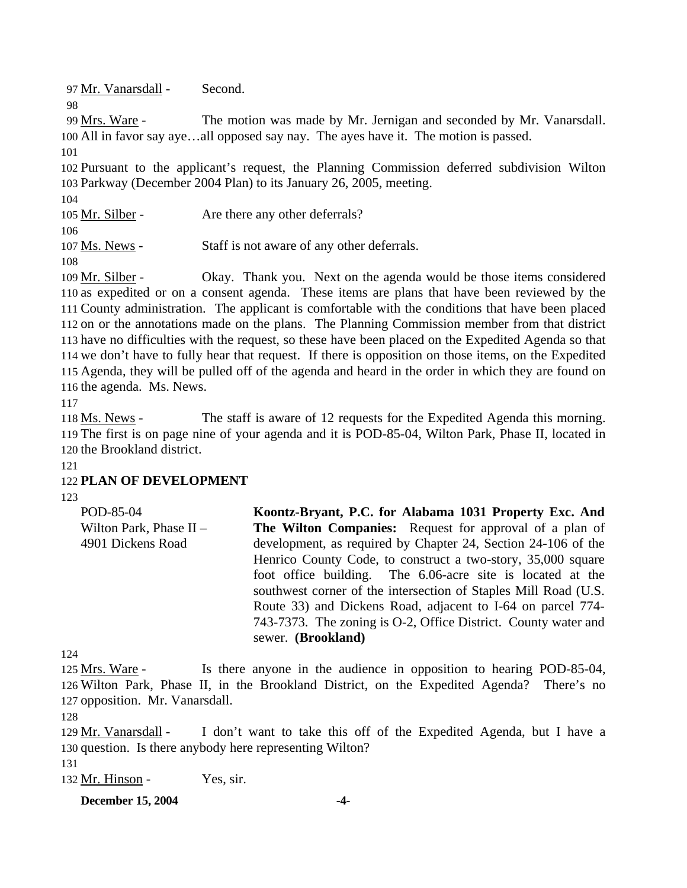97 Mr. Vanarsdall - Second.

The motion was made by Mr. Jernigan and seconded by Mr. Vanarsdall. 100 All in favor say aye...all opposed say nay. The ayes have it. The motion is passed. 99 Mrs. Ware -

101

98

102 Pursuant to the applicant's request, the Planning Commission deferred subdivision Wilton 103 Parkway (December 2004 Plan) to its January 26, 2005, meeting.

104

105 Mr. Silber - Are there any other deferrals?

106

107 Ms. News - Staff is not aware of any other deferrals.

108

Okay. Thank you. Next on the agenda would be those items considered 110 as expedited or on a consent agenda. These items are plans that have been reviewed by the 111 County administration. The applicant is comfortable with the conditions that have been placed 112 on or the annotations made on the plans. The Planning Commission member from that district 113 have no difficulties with the request, so these have been placed on the Expedited Agenda so that 114 we don't have to fully hear that request. If there is opposition on those items, on the Expedited 115 Agenda, they will be pulled off of the agenda and heard in the order in which they are found on 116 the agenda. Ms. News. 109 Mr. Silber -

117

The staff is aware of 12 requests for the Expedited Agenda this morning. 119 The first is on page nine of your agenda and it is POD-85-04, Wilton Park, Phase II, located in 120 the Brookland district. 118 Ms. News -

121

# 122 **PLAN OF DEVELOPMENT**

123

| POD-85-04               | Koontz-Bryant, P.C. for Alabama 1031 Property Exc. And          |
|-------------------------|-----------------------------------------------------------------|
| Wilton Park, Phase II - | The Wilton Companies: Request for approval of a plan of         |
| 4901 Dickens Road       | development, as required by Chapter 24, Section 24-106 of the   |
|                         | Henrico County Code, to construct a two-story, 35,000 square    |
|                         | foot office building. The 6.06-acre site is located at the      |
|                         | southwest corner of the intersection of Staples Mill Road (U.S. |
|                         | Route 33) and Dickens Road, adjacent to I-64 on parcel 774-     |
|                         | 743-7373. The zoning is O-2, Office District. County water and  |
|                         | sewer. (Brookland)                                              |

124

Is there anyone in the audience in opposition to hearing POD-85-04, 126 Wilton Park, Phase II, in the Brookland District, on the Expedited Agenda? There's no 127 opposition. Mr. Vanarsdall. 125 Mrs. Ware -

I don't want to take this off of the Expedited Agenda, but I have a 130 question. Is there anybody here representing Wilton? 129 Mr. Vanarsdall -

131

132 Mr. Hinson - Yes, sir.

**December 15, 2004** -4-

<sup>128</sup>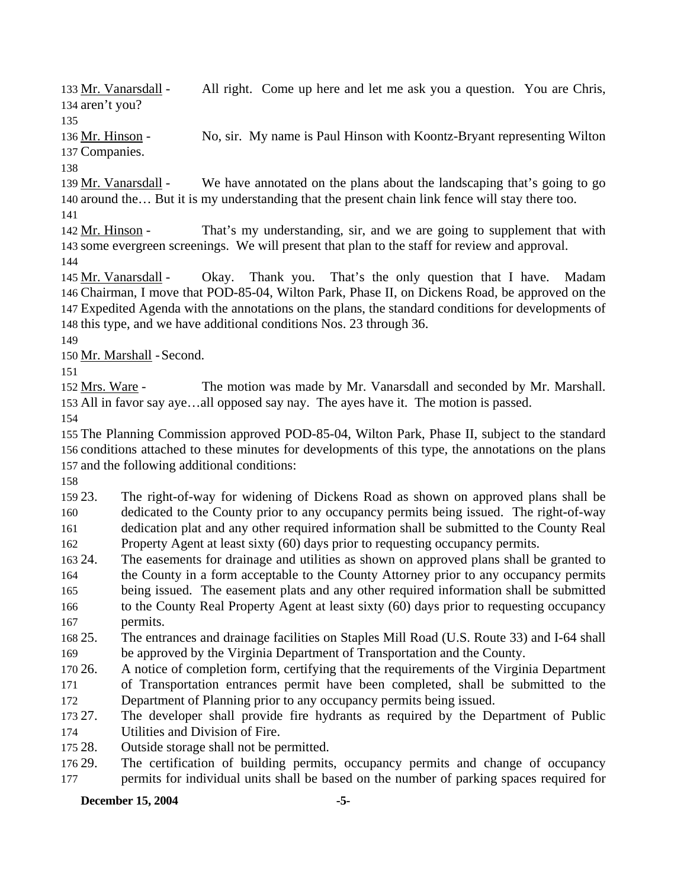All right. Come up here and let me ask you a question. You are Chris, 134 aren't you? 133 Mr. Vanarsdall -

135

No, sir. My name is Paul Hinson with Koontz-Bryant representing Wilton 137 Companies. 136 Mr. Hinson -

138

We have annotated on the plans about the landscaping that's going to go 140 around the... But it is my understanding that the present chain link fence will stay there too. 139 Mr. Vanarsdall -

141

That's my understanding, sir, and we are going to supplement that with 143 some evergreen screenings. We will present that plan to the staff for review and approval. 142 Mr. Hinson -

144

Okay. Thank you. That's the only question that I have. Madam Chairman, I move that POD-85-04, Wilton Park, Phase II, on Dickens Road, be approved on the 146 Expedited Agenda with the annotations on the plans, the standard conditions for developments of 147 148 this type, and we have additional conditions Nos. 23 through 36. 145 Mr. Vanarsdall -

149

150 Mr. Marshall - Second.

151

The motion was made by Mr. Vanarsdall and seconded by Mr. Marshall. 153 All in favor say aye...all opposed say nay. The ayes have it. The motion is passed. 152 Mrs. Ware -

154

155 The Planning Commission approved POD-85-04, Wilton Park, Phase II, subject to the standard 156 conditions attached to these minutes for developments of this type, the annotations on the plans 157 and the following additional conditions:

158

159 23. 160 161 The right-of-way for widening of Dickens Road as shown on approved plans shall be dedicated to the County prior to any occupancy permits being issued. The right-of-way dedication plat and any other required information shall be submitted to the County Real

162 Property Agent at least sixty (60) days prior to requesting occupancy permits.

- 163 24. 164 165 166 The easements for drainage and utilities as shown on approved plans shall be granted to the County in a form acceptable to the County Attorney prior to any occupancy permits being issued. The easement plats and any other required information shall be submitted to the County Real Property Agent at least sixty (60) days prior to requesting occupancy
- 167 permits.
- 168 25 169 25. The entrances and drainage facilities on Staples Mill Road (U.S. Route 33) and I-64 shall be approved by the Virginia Department of Transportation and the County.
- 170 26. 171 172 26. A notice of completion form, certifying that the requirements of the Virginia Department of Transportation entrances permit have been completed, shall be submitted to the Department of Planning prior to any occupancy permits being issued.
- 173 27. 174 The developer shall provide fire hydrants as required by the Department of Public Utilities and Division of Fire.
- 175 28. Outside storage shall not be permitted.
- 176 29. 177 The certification of building permits, occupancy permits and change of occupancy permits for individual units shall be based on the number of parking spaces required for

**December 15, 2004** -5-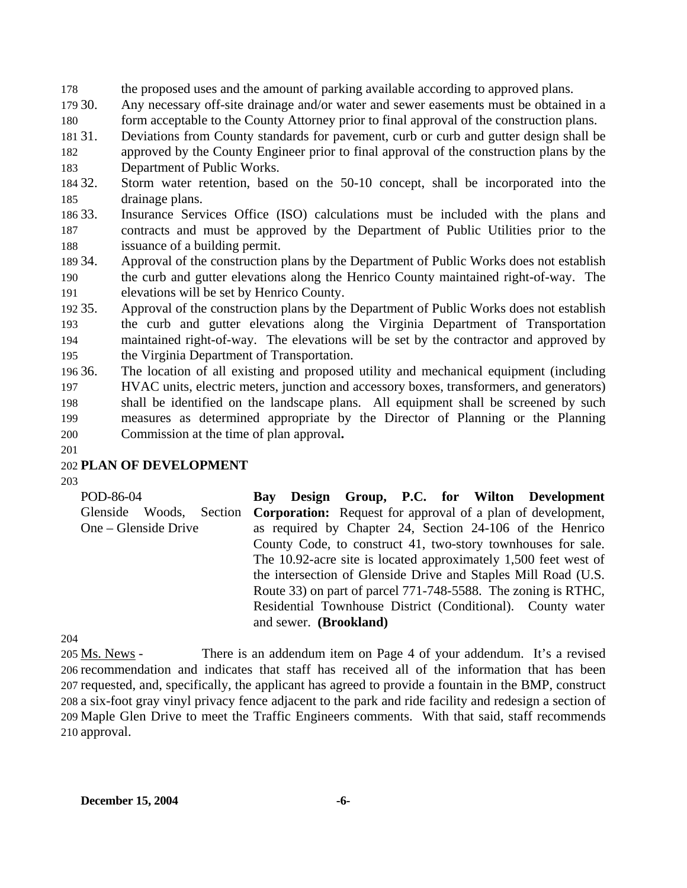178 the proposed uses and the amount of parking available according to approved plans.

179 30. Any necessary off-site drainage and/or water and sewer easements must be obtained in a

180 form acceptable to the County Attorney prior to final approval of the construction plans.

- 181 31. 182 183 Deviations from County standards for pavement, curb or curb and gutter design shall be approved by the County Engineer prior to final approval of the construction plans by the Department of Public Works.
- 184 32. 185 Storm water retention, based on the 50-10 concept, shall be incorporated into the drainage plans.
- 186 33. 187 188 Insurance Services Office (ISO) calculations must be included with the plans and contracts and must be approved by the Department of Public Utilities prior to the issuance of a building permit.
- 189 34. 190 191 Approval of the construction plans by the Department of Public Works does not establish the curb and gutter elevations along the Henrico County maintained right-of-way. The elevations will be set by Henrico County.
- 192 35. 193 194 195 Approval of the construction plans by the Department of Public Works does not establish the curb and gutter elevations along the Virginia Department of Transportation maintained right-of-way. The elevations will be set by the contractor and approved by the Virginia Department of Transportation.
- 196 36. 197 198 199 200 The location of all existing and proposed utility and mechanical equipment (including HVAC units, electric meters, junction and accessory boxes, transformers, and generators) shall be identified on the landscape plans. All equipment shall be screened by such measures as determined appropriate by the Director of Planning or the Planning Commission at the time of plan approval**.**
- 201

# 202 **PLAN OF DEVELOPMENT**

203

POD-86-04 Glenside Woods, Section One – Glenside Drive **Bay Design Group, P.C. for Wilton Development Corporation:** Request for approval of a plan of development, as required by Chapter 24, Section 24-106 of the Henrico County Code, to construct 41, two-story townhouses for sale. The 10.92-acre site is located approximately 1,500 feet west of the intersection of Glenside Drive and Staples Mill Road (U.S. Route 33) on part of parcel 771-748-5588. The zoning is RTHC, Residential Townhouse District (Conditional). County water and sewer. **(Brookland)**

204

There is an addendum item on Page 4 of your addendum. It's a revised 206 recommendation and indicates that staff has received all of the information that has been 207 requested, and, specifically, the applicant has agreed to provide a fountain in the BMP, construct 208 a six-foot gray vinyl privacy fence adjacent to the park and ride facility and redesign a section of 209 Maple Glen Drive to meet the Traffic Engineers comments. With that said, staff recommends 210 approval. 205 Ms. News -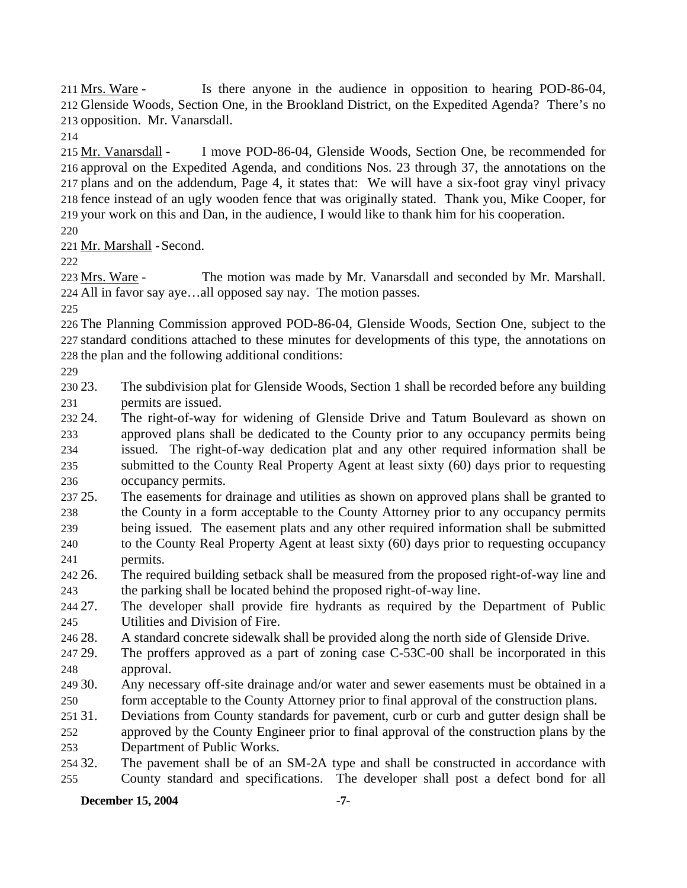Is there anyone in the audience in opposition to hearing POD-86-04, 212 Glenside Woods, Section One, in the Brookland District, on the Expedited Agenda? There's no 213 opposition. Mr. Vanarsdall. 211 Mrs. Ware -

214

I move POD-86-04, Glenside Woods, Section One, be recommended for 216 approval on the Expedited Agenda, and conditions Nos. 23 through 37, the annotations on the 217 plans and on the addendum, Page 4, it states that: We will have a six-foot gray vinyl privacy 218 fence instead of an ugly wooden fence that was originally stated. Thank you, Mike Cooper, for 219 your work on this and Dan, in the audience, I would like to thank him for his cooperation. 215 Mr. Vanarsdall -

220

221 Mr. Marshall - Second.

222

The motion was made by Mr. Vanarsdall and seconded by Mr. Marshall. All in favor say aye…all opposed say nay. The motion passes. 224 223 Mrs. Ware -

225

226 The Planning Commission approved POD-86-04, Glenside Woods, Section One, subject to the 227 standard conditions attached to these minutes for developments of this type, the annotations on 228 the plan and the following additional conditions:

229

230 23. 231 The subdivision plat for Glenside Woods, Section 1 shall be recorded before any building permits are issued.

232.24 233 234 235 236 The right-of-way for widening of Glenside Drive and Tatum Boulevard as shown on approved plans shall be dedicated to the County prior to any occupancy permits being issued. The right-of-way dedication plat and any other required information shall be submitted to the County Real Property Agent at least sixty (60) days prior to requesting occupancy permits.

237 25. 238 25. The easements for drainage and utilities as shown on approved plans shall be granted to the County in a form acceptable to the County Attorney prior to any occupancy permits

- 239 240 241 being issued. The easement plats and any other required information shall be submitted to the County Real Property Agent at least sixty (60) days prior to requesting occupancy permits.
- 242 26. 243 26. The required building setback shall be measured from the proposed right-of-way line and the parking shall be located behind the proposed right-of-way line.

244 27. 245 The developer shall provide fire hydrants as required by the Department of Public Utilities and Division of Fire.

- 246 28 A standard concrete sidewalk shall be provided along the north side of Glenside Drive.
- 247 29. 248 The proffers approved as a part of zoning case  $C$ -53C-00 shall be incorporated in this approval.
- 249 30. 250 Any necessary off-site drainage and/or water and sewer easements must be obtained in a form acceptable to the County Attorney prior to final approval of the construction plans.
- 251 31. 252 253 Deviations from County standards for pavement, curb or curb and gutter design shall be approved by the County Engineer prior to final approval of the construction plans by the Department of Public Works.

254 32. 255 The pavement shall be of an SM-2A type and shall be constructed in accordance with County standard and specifications. The developer shall post a defect bond for all

### **December 15, 2004** -7-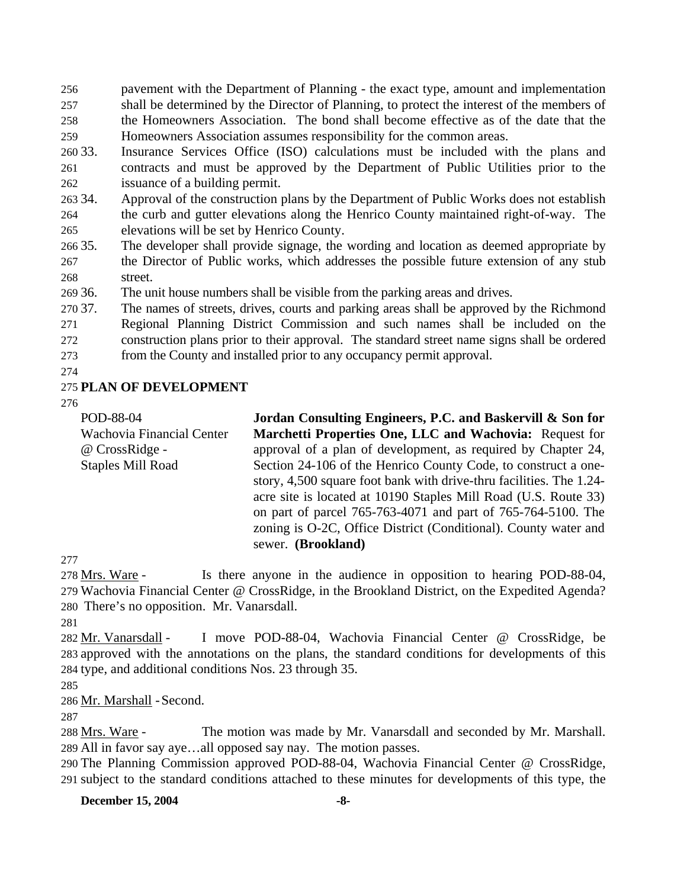256 257 258 259 pavement with the Department of Planning - the exact type, amount and implementation shall be determined by the Director of Planning, to protect the interest of the members of the Homeowners Association. The bond shall become effective as of the date that the Homeowners Association assumes responsibility for the common areas.

- 260 33. 261 262 Insurance Services Office (ISO) calculations must be included with the plans and contracts and must be approved by the Department of Public Utilities prior to the issuance of a building permit.
- 263 34. 264 265 Approval of the construction plans by the Department of Public Works does not establish the curb and gutter elevations along the Henrico County maintained right-of-way. The elevations will be set by Henrico County.
- 266 35. 267 268 The developer shall provide signage, the wording and location as deemed appropriate by the Director of Public works, which addresses the possible future extension of any stub street.
- 269 36. The unit house numbers shall be visible from the parking areas and drives.

270 37. 271 272 273 The names of streets, drives, courts and parking areas shall be approved by the Richmond Regional Planning District Commission and such names shall be included on the construction plans prior to their approval. The standard street name signs shall be ordered from the County and installed prior to any occupancy permit approval.

274

## 275 **PLAN OF DEVELOPMENT**

276

POD-88-04 Wachovia Financial Center @ CrossRidge - Staples Mill Road **Jordan Consulting Engineers, P.C. and Baskervill & Son for Marchetti Properties One, LLC and Wachovia:** Request for approval of a plan of development, as required by Chapter 24, Section 24-106 of the Henrico County Code, to construct a onestory, 4,500 square foot bank with drive-thru facilities. The 1.24 acre site is located at 10190 Staples Mill Road (U.S. Route 33) on part of parcel 765-763-4071 and part of 765-764-5100. The zoning is O-2C, Office District (Conditional). County water and sewer. **(Brookland)**

277

Is there anyone in the audience in opposition to hearing POD-88-04, 279 Wachovia Financial Center @ CrossRidge, in the Brookland District, on the Expedited Agenda? 280 There's no opposition. Mr. Vanarsdall. 278 Mrs. Ware -

281

I move POD-88-04, Wachovia Financial Center @ CrossRidge, be 283 approved with the annotations on the plans, the standard conditions for developments of this 284 type, and additional conditions Nos. 23 through 35. 282 Mr. Vanarsdall -

285

286 Mr. Marshall - Second.

287

The motion was made by Mr. Vanarsdall and seconded by Mr. Marshall. All in favor say aye…all opposed say nay. The motion passes. 289 288 Mrs. Ware -

290 The Planning Commission approved POD-88-04, Wachovia Financial Center @ CrossRidge, 291 subject to the standard conditions attached to these minutes for developments of this type, the

**December 15, 2004** -8-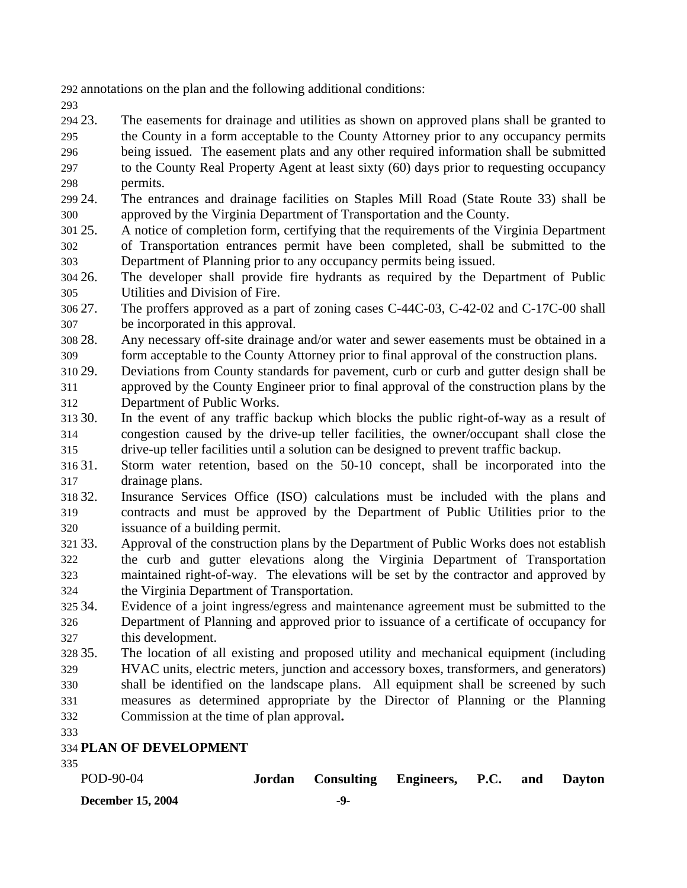292 annotations on the plan and the following additional conditions:

293

294 23. 295 296 297 The easements for drainage and utilities as shown on approved plans shall be granted to the County in a form acceptable to the County Attorney prior to any occupancy permits being issued. The easement plats and any other required information shall be submitted to the County Real Property Agent at least sixty (60) days prior to requesting occupancy

- 298 permits.
- 299 24. 300 24. The entrances and drainage facilities on Staples Mill Road (State Route 33) shall be approved by the Virginia Department of Transportation and the County.
- 301 25. 302 303 25. A notice of completion form, certifying that the requirements of the Virginia Department of Transportation entrances permit have been completed, shall be submitted to the Department of Planning prior to any occupancy permits being issued.
- 304 26. 305 The developer shall provide fire hydrants as required by the Department of Public Utilities and Division of Fire.

306 27. 307 The proffers approved as a part of zoning cases C-44C-03, C-42-02 and C-17C-00 shall be incorporated in this approval.

- 308 28. 309 Any necessary off-site drainage and/or water and sewer easements must be obtained in a form acceptable to the County Attorney prior to final approval of the construction plans.
- 310 29. 311 312 29. Deviations from County standards for pavement, curb or curb and gutter design shall be approved by the County Engineer prior to final approval of the construction plans by the Department of Public Works.
- 313 30. 314 315 In the event of any traffic backup which blocks the public right-of-way as a result of congestion caused by the drive-up teller facilities, the owner/occupant shall close the drive-up teller facilities until a solution can be designed to prevent traffic backup.
- 316 31 317 31. Storm water retention, based on the 50-10 concept, shall be incorporated into the drainage plans.
- 318 32. 319 320 Insurance Services Office (ISO) calculations must be included with the plans and contracts and must be approved by the Department of Public Utilities prior to the issuance of a building permit.
- 321 33. 322 323 324 33. Approval of the construction plans by the Department of Public Works does not establish the curb and gutter elevations along the Virginia Department of Transportation maintained right-of-way. The elevations will be set by the contractor and approved by the Virginia Department of Transportation.
- 325 34. 326 327 Evidence of a joint ingress/egress and maintenance agreement must be submitted to the Department of Planning and approved prior to issuance of a certificate of occupancy for this development.
- 328 35. 329 330 331 332 The location of all existing and proposed utility and mechanical equipment (including HVAC units, electric meters, junction and accessory boxes, transformers, and generators) shall be identified on the landscape plans. All equipment shall be screened by such measures as determined appropriate by the Director of Planning or the Planning Commission at the time of plan approval**.**
- 333

# 334 **PLAN OF DEVELOPMENT**

335

| POD-90-04                | Jordan Consulting Engineers, P.C. and Dayton |  |  |
|--------------------------|----------------------------------------------|--|--|
| <b>December 15, 2004</b> | -9-                                          |  |  |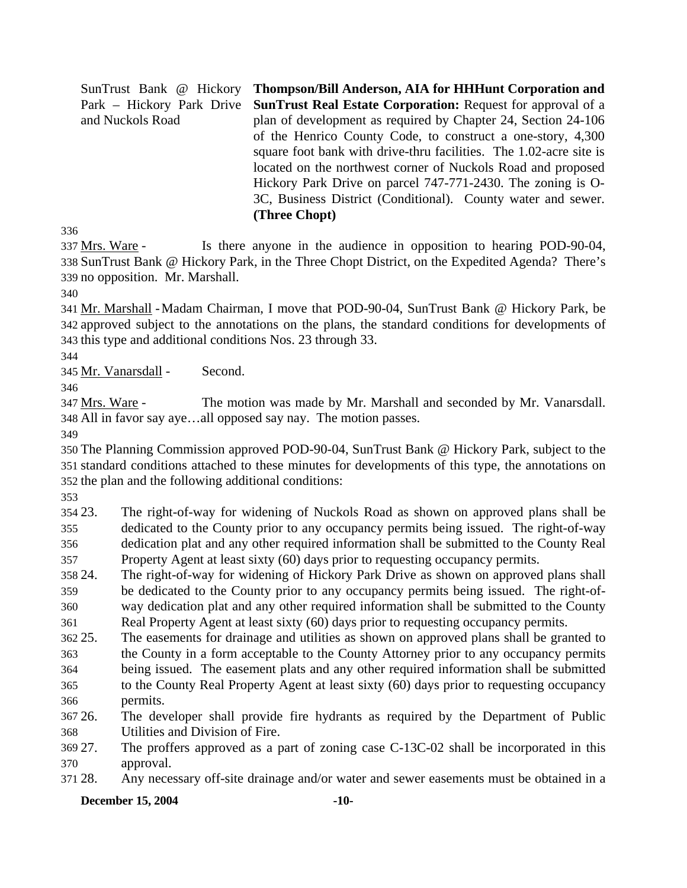SunTrust Bank @ Hickory Park – Hickory Park Drive and Nuckols Road **Thompson/Bill Anderson, AIA for HHHunt Corporation and SunTrust Real Estate Corporation:** Request for approval of a plan of development as required by Chapter 24, Section 24-106 of the Henrico County Code, to construct a one-story, 4,300 square foot bank with drive-thru facilities. The 1.02-acre site is located on the northwest corner of Nuckols Road and proposed Hickory Park Drive on parcel 747-771-2430. The zoning is O-3C, Business District (Conditional). County water and sewer. **(Three Chopt)** 

336

Is there anyone in the audience in opposition to hearing POD-90-04, 338 SunTrust Bank @ Hickory Park, in the Three Chopt District, on the Expedited Agenda? There's 339 no opposition. Mr. Marshall. 337 Mrs. Ware -

340

341 Mr. Marshall - Madam Chairman, I move that POD-90-04, SunTrust Bank @ Hickory Park, be 342 approved subject to the annotations on the plans, the standard conditions for developments of 343 this type and additional conditions Nos. 23 through 33.

344

345 Mr. Vanarsdall - Second.

346

The motion was made by Mr. Marshall and seconded by Mr. Vanarsdall. All in favor say aye…all opposed say nay. The motion passes. 348 347 Mrs. Ware -

349

350 The Planning Commission approved POD-90-04, SunTrust Bank @ Hickory Park, subject to the 351 standard conditions attached to these minutes for developments of this type, the annotations on 352 the plan and the following additional conditions:

353

354 23. 355 356 357 The right-of-way for widening of Nuckols Road as shown on approved plans shall be dedicated to the County prior to any occupancy permits being issued. The right-of-way dedication plat and any other required information shall be submitted to the County Real Property Agent at least sixty (60) days prior to requesting occupancy permits.

358 24. 359 360 361 The right-of-way for widening of Hickory Park Drive as shown on approved plans shall be dedicated to the County prior to any occupancy permits being issued. The right-ofway dedication plat and any other required information shall be submitted to the County Real Property Agent at least sixty (60) days prior to requesting occupancy permits.

362 25. The easements for drainage and utilities as shown on approved plans shall be granted to

- 363 364 the County in a form acceptable to the County Attorney prior to any occupancy permits being issued. The easement plats and any other required information shall be submitted
- 365 366 to the County Real Property Agent at least sixty (60) days prior to requesting occupancy permits.

367 26. 368 The developer shall provide fire hydrants as required by the Department of Public Utilities and Division of Fire.

369 27. 370 The proffers approved as a part of zoning case C-13C-02 shall be incorporated in this approval.

371 28. Any necessary off-site drainage and/or water and sewer easements must be obtained in a

**December 15, 2004** -10-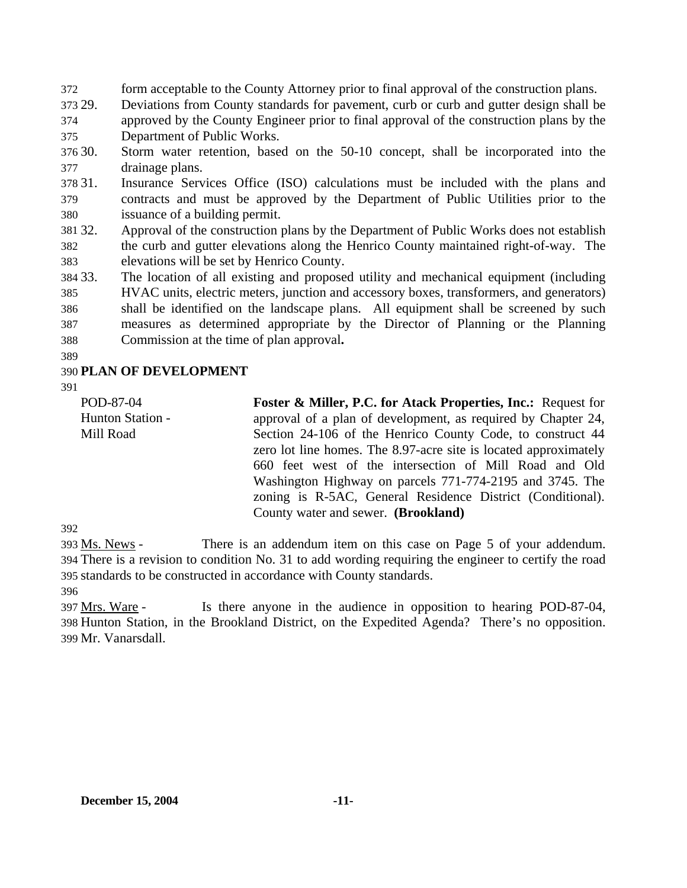372 form acceptable to the County Attorney prior to final approval of the construction plans.

373 29. 374 Deviations from County standards for pavement, curb or curb and gutter design shall be approved by the County Engineer prior to final approval of the construction plans by the

375 Department of Public Works.

30. 377 Storm water retention, based on the 50-10 concept, shall be incorporated into the drainage plans.

378 31. 379 380 Insurance Services Office (ISO) calculations must be included with the plans and contracts and must be approved by the Department of Public Utilities prior to the issuance of a building permit.

381 32. 382 383 Approval of the construction plans by the Department of Public Works does not establish the curb and gutter elevations along the Henrico County maintained right-of-way. The elevations will be set by Henrico County.

384 33. 385 386 387 388 The location of all existing and proposed utility and mechanical equipment (including HVAC units, electric meters, junction and accessory boxes, transformers, and generators) shall be identified on the landscape plans. All equipment shall be screened by such measures as determined appropriate by the Director of Planning or the Planning Commission at the time of plan approval**.**

389

## 390 **PLAN OF DEVELOPMENT**

391

POD-87-04 Hunton Station - Mill Road

**Foster & Miller, P.C. for Atack Properties, Inc.:** Request for approval of a plan of development, as required by Chapter 24, Section 24-106 of the Henrico County Code, to construct 44 zero lot line homes. The 8.97-acre site is located approximately 660 feet west of the intersection of Mill Road and Old Washington Highway on parcels 771-774-2195 and 3745. The zoning is R-5AC, General Residence District (Conditional). County water and sewer. **(Brookland)**

392

There is an addendum item on this case on Page 5 of your addendum. There is a revision to condition No. 31 to add wording requiring the engineer to certify the road 394 standards to be constructed in accordance with County standards. 395 393 Ms. News -

396

Is there anyone in the audience in opposition to hearing POD-87-04, 398 Hunton Station, in the Brookland District, on the Expedited Agenda? There's no opposition. Mr. Vanarsdall. 399 397 Mrs. Ware -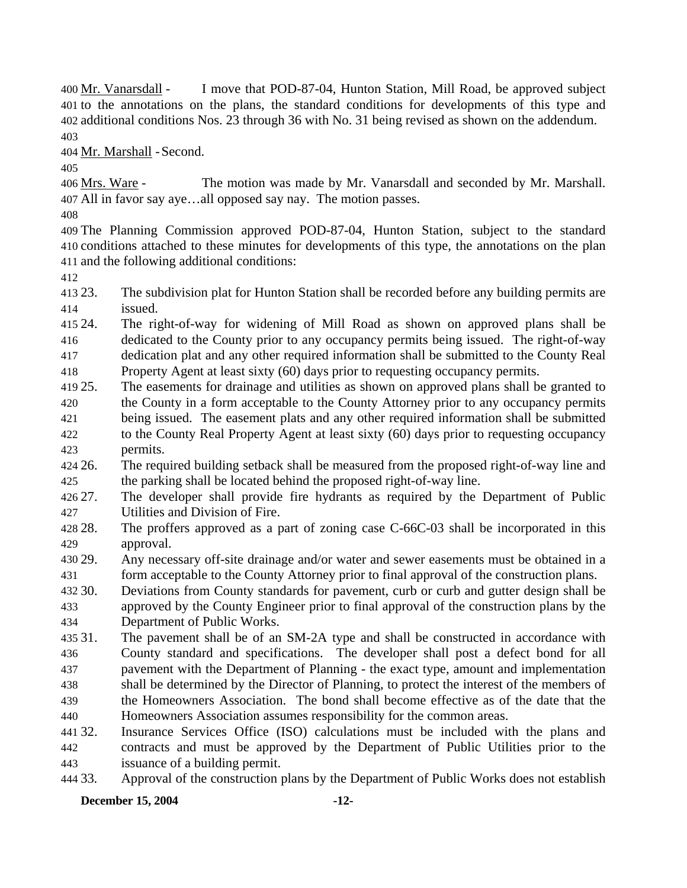I move that POD-87-04, Hunton Station, Mill Road, be approved subject 401 to the annotations on the plans, the standard conditions for developments of this type and additional conditions Nos. 23 through 36 with No. 31 being revised as shown on the addendum. 402 400 Mr. Vanarsdall -403

404 Mr. Marshall - Second.

405

The motion was made by Mr. Vanarsdall and seconded by Mr. Marshall. All in favor say aye…all opposed say nay. The motion passes. 407 406 Mrs. Ware -

408

409 The Planning Commission approved POD-87-04, Hunton Station, subject to the standard 410 conditions attached to these minutes for developments of this type, the annotations on the plan 411 and the following additional conditions:

412

413.23 414 The subdivision plat for Hunton Station shall be recorded before any building permits are issued.

415 24. 416 417 418 The right-of-way for widening of Mill Road as shown on approved plans shall be dedicated to the County prior to any occupancy permits being issued. The right-of-way dedication plat and any other required information shall be submitted to the County Real Property Agent at least sixty (60) days prior to requesting occupancy permits.

419 25. 420 25. The easements for drainage and utilities as shown on approved plans shall be granted to the County in a form acceptable to the County Attorney prior to any occupancy permits

- 421 422 423 being issued. The easement plats and any other required information shall be submitted to the County Real Property Agent at least sixty (60) days prior to requesting occupancy permits.
- 424 26 425 26. The required building setback shall be measured from the proposed right-of-way line and the parking shall be located behind the proposed right-of-way line.

426 27. 427 The developer shall provide fire hydrants as required by the Department of Public Utilities and Division of Fire.

428.28. 429 The proffers approved as a part of zoning case  $C$ -66 $C$ -03 shall be incorporated in this approval.

430 29. 431 Any necessary off-site drainage and/or water and sewer easements must be obtained in a form acceptable to the County Attorney prior to final approval of the construction plans.

432 30. 433 434 Deviations from County standards for pavement, curb or curb and gutter design shall be approved by the County Engineer prior to final approval of the construction plans by the Department of Public Works.

435 31 436 437 438 439 The pavement shall be of an SM-2A type and shall be constructed in accordance with County standard and specifications. The developer shall post a defect bond for all pavement with the Department of Planning - the exact type, amount and implementation shall be determined by the Director of Planning, to protect the interest of the members of the Homeowners Association. The bond shall become effective as of the date that the

440 Homeowners Association assumes responsibility for the common areas.

441 32. 442 443 Insurance Services Office (ISO) calculations must be included with the plans and contracts and must be approved by the Department of Public Utilities prior to the issuance of a building permit.

444 33. 33. Approval of the construction plans by the Department of Public Works does not establish

### **December 15, 2004** -12-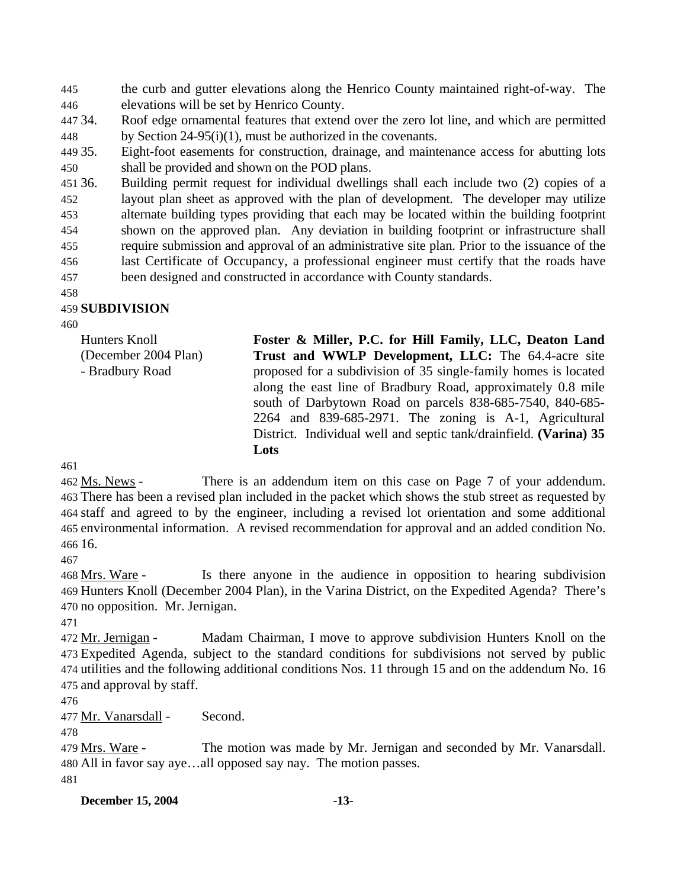445 446 the curb and gutter elevations along the Henrico County maintained right-of-way. The elevations will be set by Henrico County.

- 447 34. 448 Roof edge ornamental features that extend over the zero lot line, and which are permitted by Section 24-95(i)(1), must be authorized in the covenants.
- 449 35. 450 Eight-foot easements for construction, drainage, and maintenance access for abutting lots shall be provided and shown on the POD plans.

451 36. 452 453 454 455 456 457 36. Building permit request for individual dwellings shall each include two (2) copies of a layout plan sheet as approved with the plan of development. The developer may utilize alternate building types providing that each may be located within the building footprint shown on the approved plan. Any deviation in building footprint or infrastructure shall require submission and approval of an administrative site plan. Prior to the issuance of the last Certificate of Occupancy, a professional engineer must certify that the roads have been designed and constructed in accordance with County standards.

458

### 459 **SUBDIVISION**

460

Hunters Knoll (December 2004 Plan) - Bradbury Road **Foster & Miller, P.C. for Hill Family, LLC, Deaton Land Trust and WWLP Development, LLC:** The 64.4-acre site proposed for a subdivision of 35 single-family homes is located along the east line of Bradbury Road, approximately 0.8 mile south of Darbytown Road on parcels 838-685-7540, 840-685- 2264 and 839-685-2971. The zoning is A-1, Agricultural District. Individual well and septic tank/drainfield. **(Varina) 35 Lots** 

461

There is an addendum item on this case on Page 7 of your addendum. There has been a revised plan included in the packet which shows the stub street as requested by 463 464 staff and agreed to by the engineer, including a revised lot orientation and some additional 465 environmental information. A revised recommendation for approval and an added condition No. 16. 466 462 Ms. News -

467

Is there anyone in the audience in opposition to hearing subdivision 469 Hunters Knoll (December 2004 Plan), in the Varina District, on the Expedited Agenda? There's 470 no opposition. Mr. Jernigan. 468 Mrs. Ware -

471

Madam Chairman, I move to approve subdivision Hunters Knoll on the Expedited Agenda, subject to the standard conditions for subdivisions not served by public 473 474 utilities and the following additional conditions Nos. 11 through 15 and on the addendum No. 16 475 and approval by staff. 472 Mr. Jernigan -

476

477 Mr. Vanarsdall - Second.

478

The motion was made by Mr. Jernigan and seconded by Mr. Vanarsdall. All in favor say aye…all opposed say nay. The motion passes. 480 479 Mrs. Ware -481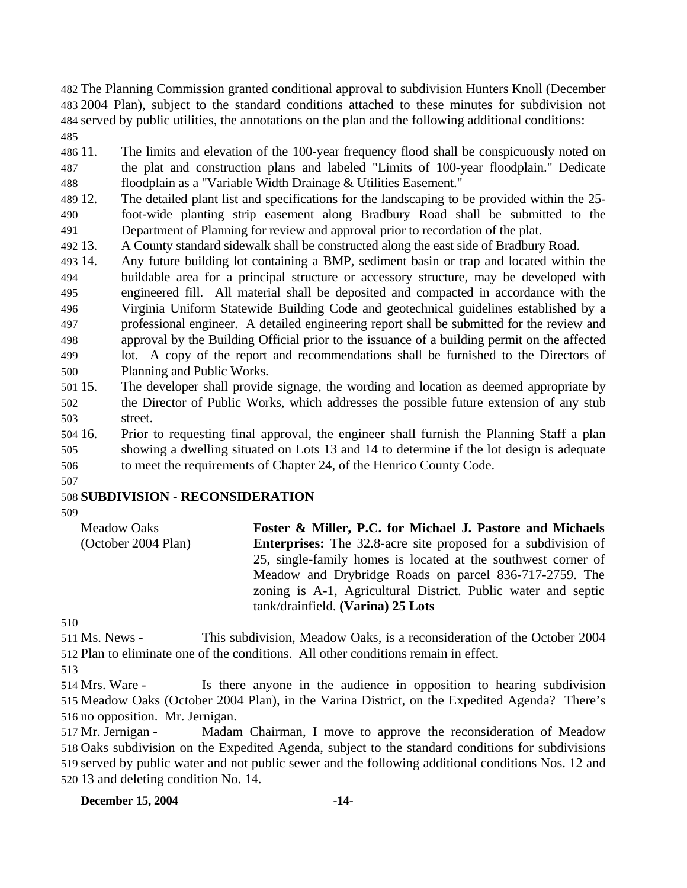The Planning Commission granted conditional approval to subdivision Hunters Knoll (December 2004 Plan), subject to the standard conditions attached to these minutes for subdivision not served by public utilities, the annotations on the plan and the following additional conditions: 485

486 11. 487 488 The limits and elevation of the 100-year frequency flood shall be conspicuously noted on the plat and construction plans and labeled "Limits of 100-year floodplain." Dedicate floodplain as a "Variable Width Drainage & Utilities Easement."

489 12. 490 491 The detailed plant list and specifications for the landscaping to be provided within the 25foot-wide planting strip easement along Bradbury Road shall be submitted to the Department of Planning for review and approval prior to recordation of the plat.

492 13. 13. A County standard sidewalk shall be constructed along the east side of Bradbury Road.

493 14. 494 495 496 497 498 499 500 14. Any future building lot containing a BMP, sediment basin or trap and located within the buildable area for a principal structure or accessory structure, may be developed with engineered fill. All material shall be deposited and compacted in accordance with the Virginia Uniform Statewide Building Code and geotechnical guidelines established by a professional engineer. A detailed engineering report shall be submitted for the review and approval by the Building Official prior to the issuance of a building permit on the affected lot. A copy of the report and recommendations shall be furnished to the Directors of Planning and Public Works.

501 15. 502 503 15. The developer shall provide signage, the wording and location as deemed appropriate by the Director of Public Works, which addresses the possible future extension of any stub street.

504 16. 505 506 16. Prior to requesting final approval, the engineer shall furnish the Planning Staff a plan showing a dwelling situated on Lots 13 and 14 to determine if the lot design is adequate to meet the requirements of Chapter 24, of the Henrico County Code.

#### 507 508 **SUBDIVISION - RECONSIDERATION**

509

Meadow Oaks (October 2004 Plan) **Foster & Miller, P.C. for Michael J. Pastore and Michaels Enterprises:** The 32.8-acre site proposed for a subdivision of 25, single-family homes is located at the southwest corner of Meadow and Drybridge Roads on parcel 836-717-2759. The zoning is A-1, Agricultural District. Public water and septic tank/drainfield. **(Varina) 25 Lots** 

510

This subdivision, Meadow Oaks, is a reconsideration of the October 2004 512 Plan to eliminate one of the conditions. All other conditions remain in effect. 511 Ms. News -

513

Is there anyone in the audience in opposition to hearing subdivision 515 Meadow Oaks (October 2004 Plan), in the Varina District, on the Expedited Agenda? There's 516 no opposition. Mr. Jernigan. 514 Mrs. Ware -

Madam Chairman, I move to approve the reconsideration of Meadow 518 Oaks subdivision on the Expedited Agenda, subject to the standard conditions for subdivisions 519 served by public water and not public sewer and the following additional conditions Nos. 12 and 520 13 and deleting condition No. 14. 517 Mr. Jernigan -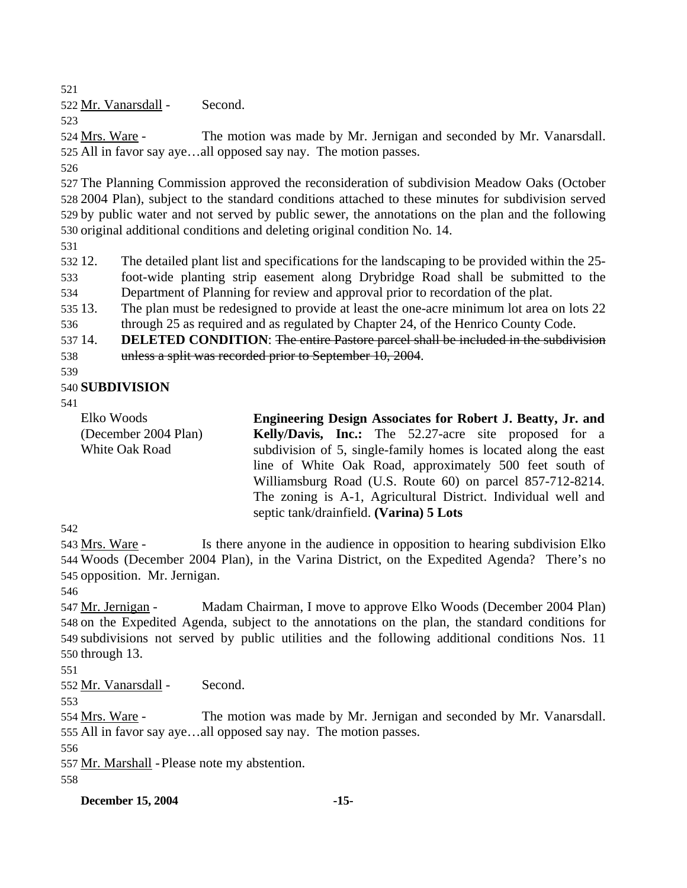521

522 Mr. Vanarsdall - Second.

523

The motion was made by Mr. Jernigan and seconded by Mr. Vanarsdall. 525 All in favor say aye...all opposed say nay. The motion passes. 524 Mrs. Ware -

526

 The Planning Commission approved the reconsideration of subdivision Meadow Oaks (October 2004 Plan), subject to the standard conditions attached to these minutes for subdivision served by public water and not served by public sewer, the annotations on the plan and the following original additional conditions and deleting original condition No. 14.

531

532 12. 533 12. The detailed plant list and specifications for the landscaping to be provided within the 25 foot-wide planting strip easement along Drybridge Road shall be submitted to the

534 Department of Planning for review and approval prior to recordation of the plat.

535 13. 536 The plan must be redesigned to provide at least the one-acre minimum lot area on lots 22 through 25 as required and as regulated by Chapter 24, of the Henrico County Code.

537 14. **DELETED CONDITION**: The entire Pastore parcel shall be included in the subdivision 538 unless a split was recorded prior to September 10, 2004.

539

# 540 **SUBDIVISION**

541

Elko Woods (December 2004 Plan) White Oak Road **Engineering Design Associates for Robert J. Beatty, Jr. and Kelly/Davis, Inc.:** The 52.27-acre site proposed for a subdivision of 5, single-family homes is located along the east line of White Oak Road, approximately 500 feet south of Williamsburg Road (U.S. Route 60) on parcel 857-712-8214. The zoning is A-1, Agricultural District. Individual well and septic tank/drainfield. **(Varina) 5 Lots** 

542

Is there anyone in the audience in opposition to hearing subdivision Elko 544 Woods (December 2004 Plan), in the Varina District, on the Expedited Agenda? There's no 545 opposition. Mr. Jernigan. 543 Mrs. Ware -

546

Madam Chairman, I move to approve Elko Woods (December 2004 Plan) 548 on the Expedited Agenda, subject to the annotations on the plan, the standard conditions for subdivisions not served by public utilities and the following additional conditions Nos. 11 549  $550$  through 13. 547 Mr. Jernigan -

551

552 Mr. Vanarsdall - Second.

553

The motion was made by Mr. Jernigan and seconded by Mr. Vanarsdall. 555 All in favor say aye...all opposed say nay. The motion passes. 554 Mrs. Ware -

556

557 Mr. Marshall - Please note my abstention.

558

**December 15, 2004** -15-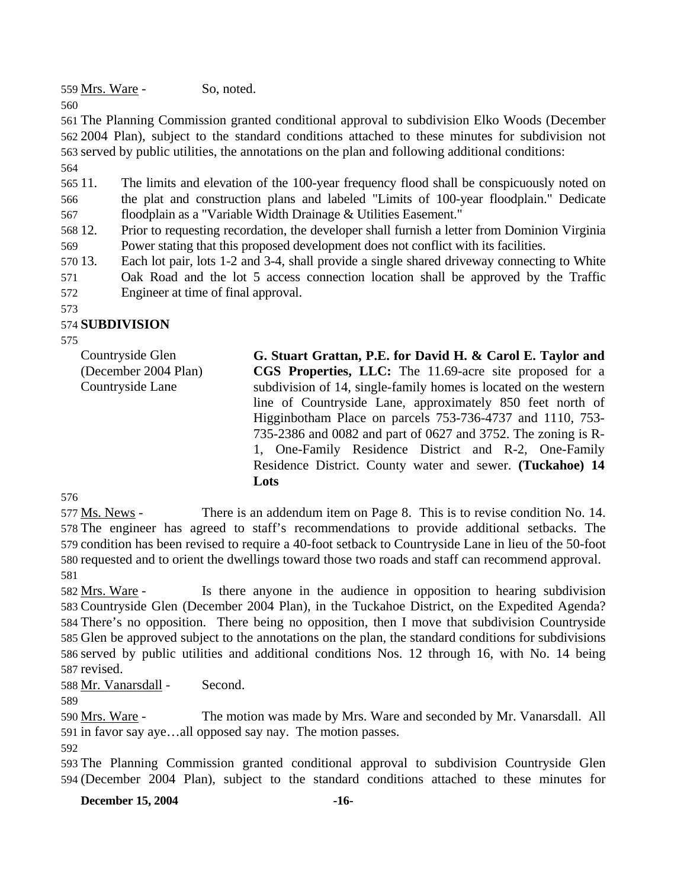559 Mrs. Ware - So, noted.

560

 The Planning Commission granted conditional approval to subdivision Elko Woods (December 2004 Plan), subject to the standard conditions attached to these minutes for subdivision not served by public utilities, the annotations on the plan and following additional conditions: 564

565 11. 566 567 The limits and elevation of the 100-year frequency flood shall be conspicuously noted on the plat and construction plans and labeled "Limits of 100-year floodplain." Dedicate floodplain as a "Variable Width Drainage & Utilities Easement."

568 12. 569 Prior to requesting recordation, the developer shall furnish a letter from Dominion Virginia Power stating that this proposed development does not conflict with its facilities.

570 13. 571 Each lot pair, lots 1-2 and 3-4, shall provide a single shared driveway connecting to White Oak Road and the lot 5 access connection location shall be approved by the Traffic

572 Engineer at time of final approval.

#### 573

## 574 **SUBDIVISION**

575

Countryside Glen (December 2004 Plan) Countryside Lane **G. Stuart Grattan, P.E. for David H. & Carol E. Taylor and CGS Properties, LLC:** The 11.69-acre site proposed for a subdivision of 14, single-family homes is located on the western line of Countryside Lane, approximately 850 feet north of Higginbotham Place on parcels 753-736-4737 and 1110, 753- 735-2386 and 0082 and part of 0627 and 3752. The zoning is R-1, One-Family Residence District and R-2, One-Family Residence District. County water and sewer. **(Tuckahoe) 14** 

**Lots** 

576 There is an addendum item on Page 8. This is to revise condition No. 14. 578 The engineer has agreed to staff's recommendations to provide additional setbacks. The 579 condition has been revised to require a 40-foot setback to Countryside Lane in lieu of the 50-foot 580 requested and to orient the dwellings toward those two roads and staff can recommend approval. 577 Ms. News -581

Is there anyone in the audience in opposition to hearing subdivision 583 Countryside Glen (December 2004 Plan), in the Tuckahoe District, on the Expedited Agenda? There's no opposition. There being no opposition, then I move that subdivision Countryside 584 585 Glen be approved subject to the annotations on the plan, the standard conditions for subdivisions 586 served by public utilities and additional conditions Nos. 12 through 16, with No. 14 being 587 revised. 582 Mrs. Ware -

588 Mr. Vanarsdall - Second.

589

The motion was made by Mrs. Ware and seconded by Mr. Vanarsdall. All 591 in favor say aye...all opposed say nay. The motion passes. 590 Mrs. Ware -

592

593 The Planning Commission granted conditional approval to subdivision Countryside Glen 594 (December 2004 Plan), subject to the standard conditions attached to these minutes for

**December 15, 2004** -16-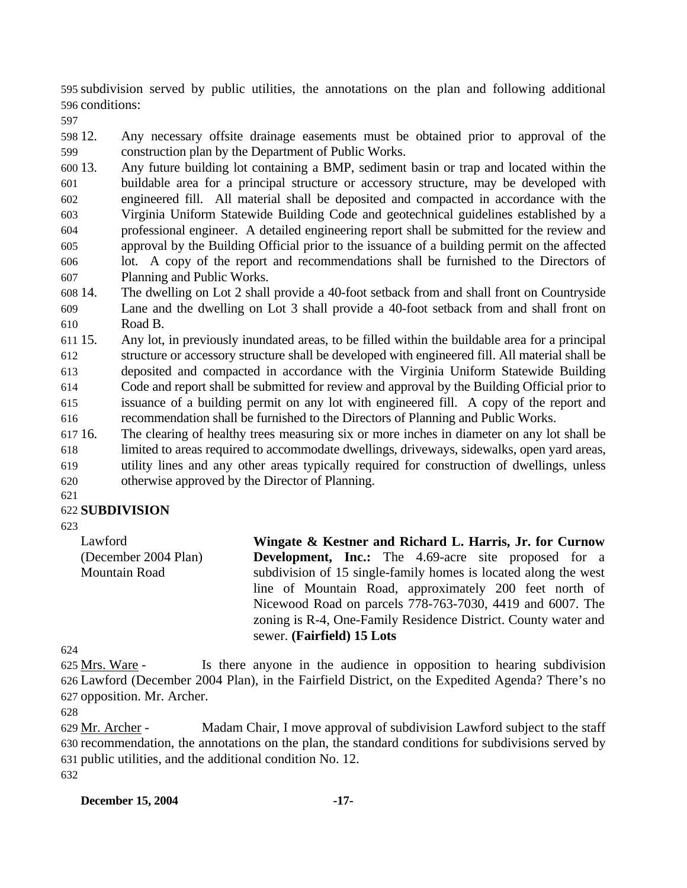595 subdivision served by public utilities, the annotations on the plan and following additional 596 conditions:

597

598 12. 599 12. Any necessary offsite drainage easements must be obtained prior to approval of the construction plan by the Department of Public Works.

600 13. 601 602 603 604 605 606 607 13. Any future building lot containing a BMP, sediment basin or trap and located within the buildable area for a principal structure or accessory structure, may be developed with engineered fill. All material shall be deposited and compacted in accordance with the Virginia Uniform Statewide Building Code and geotechnical guidelines established by a professional engineer. A detailed engineering report shall be submitted for the review and approval by the Building Official prior to the issuance of a building permit on the affected lot. A copy of the report and recommendations shall be furnished to the Directors of Planning and Public Works.

608 14. 609 610 The dwelling on Lot 2 shall provide a 40-foot setback from and shall front on Countryside Lane and the dwelling on Lot 3 shall provide a 40-foot setback from and shall front on Road B.

611 15. 612 613 614 615 616 15. Any lot, in previously inundated areas, to be filled within the buildable area for a principal structure or accessory structure shall be developed with engineered fill. All material shall be deposited and compacted in accordance with the Virginia Uniform Statewide Building Code and report shall be submitted for review and approval by the Building Official prior to issuance of a building permit on any lot with engineered fill. A copy of the report and recommendation shall be furnished to the Directors of Planning and Public Works.

617 16. 618 619 16. The clearing of healthy trees measuring six or more inches in diameter on any lot shall be limited to areas required to accommodate dwellings, driveways, sidewalks, open yard areas, utility lines and any other areas typically required for construction of dwellings, unless

620 otherwise approved by the Director of Planning.

### 621

### 622 **SUBDIVISION**

623

Lawford (December 2004 Plan) Mountain Road **Wingate & Kestner and Richard L. Harris, Jr. for Curnow Development, Inc.:** The 4.69-acre site proposed for a subdivision of 15 single-family homes is located along the west line of Mountain Road, approximately 200 feet north of Nicewood Road on parcels 778-763-7030, 4419 and 6007. The zoning is R-4, One-Family Residence District. County water and sewer. **(Fairfield) 15 Lots** 

624

Is there anyone in the audience in opposition to hearing subdivision Lawford (December 2004 Plan), in the Fairfield District, on the Expedited Agenda? There's no 626 627 opposition. Mr. Archer. 625 Mrs. Ware -

628

Madam Chair, I move approval of subdivision Lawford subject to the staff 630 recommendation, the annotations on the plan, the standard conditions for subdivisions served by 631 public utilities, and the additional condition No. 12. 629 Mr. Archer -632

### **December 15, 2004** -17-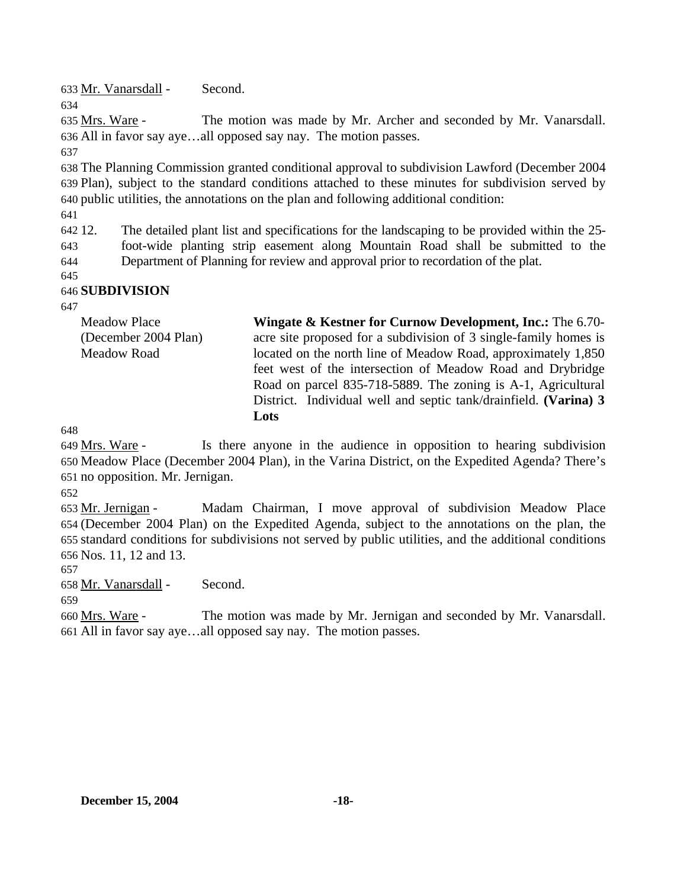633 Mr. Vanarsdall - Second.

The motion was made by Mr. Archer and seconded by Mr. Vanarsdall. All in favor say aye…all opposed say nay. The motion passes. 636 635 Mrs. Ware -

637

634

638 The Planning Commission granted conditional approval to subdivision Lawford (December 2004 639 Plan), subject to the standard conditions attached to these minutes for subdivision served by 640 public utilities, the annotations on the plan and following additional condition:

641

642.12. 643 644 12. The detailed plant list and specifications for the landscaping to be provided within the 25 foot-wide planting strip easement along Mountain Road shall be submitted to the Department of Planning for review and approval prior to recordation of the plat.

645 646 **SUBDIVISION** 

647

| <b>Meadow Place</b><br>(December 2004 Plan) | <b>Wingate &amp; Kestner for Curnow Development, Inc.:</b> The 6.70- |
|---------------------------------------------|----------------------------------------------------------------------|
|                                             | acre site proposed for a subdivision of 3 single-family homes is     |
| <b>Meadow Road</b>                          | located on the north line of Meadow Road, approximately 1,850        |
|                                             | feet west of the intersection of Meadow Road and Drybridge           |
|                                             | Road on parcel 835-718-5889. The zoning is A-1, Agricultural         |
|                                             | District. Individual well and septic tank/drainfield. (Varina) 3     |
|                                             | Lots                                                                 |

648

Is there anyone in the audience in opposition to hearing subdivision Meadow Place (December 2004 Plan), in the Varina District, on the Expedited Agenda? There's 650 651 no opposition. Mr. Jernigan. 649 Mrs. Ware -

652

Madam Chairman, I move approval of subdivision Meadow Place (December 2004 Plan) on the Expedited Agenda, subject to the annotations on the plan, the 654 standard conditions for subdivisions not served by public utilities, and the additional conditions 655 Nos. 11, 12 and 13. 656 653 Mr. Jernigan -

657

658 Mr. Vanarsdall - Second.

659

The motion was made by Mr. Jernigan and seconded by Mr. Vanarsdall. All in favor say aye…all opposed say nay. The motion passes. 661 660 Mrs. Ware -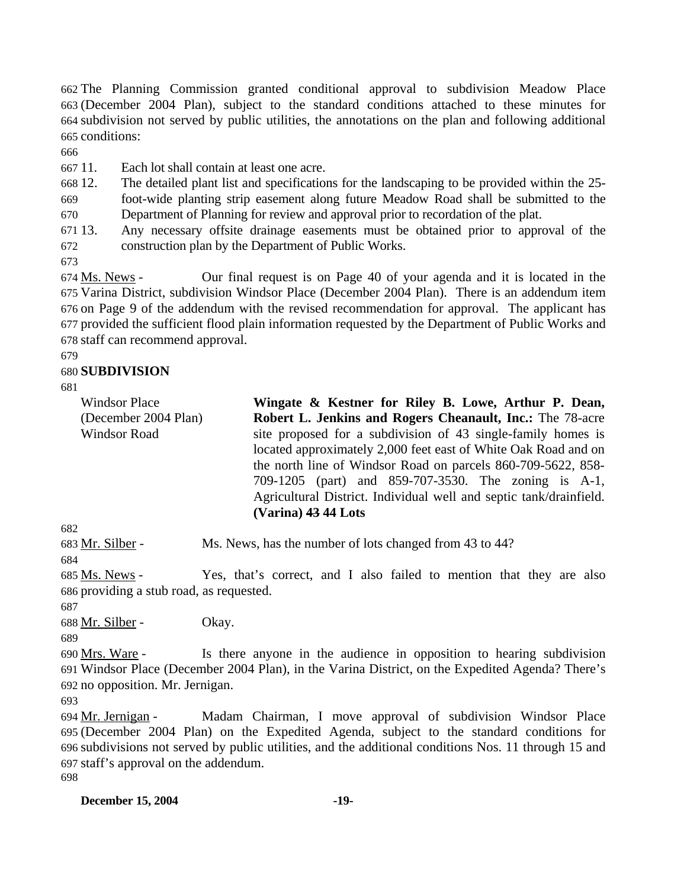The Planning Commission granted conditional approval to subdivision Meadow Place (December 2004 Plan), subject to the standard conditions attached to these minutes for subdivision not served by public utilities, the annotations on the plan and following additional conditions:

666

667 11. Each lot shall contain at least one acre.

668 12. The detailed plant list and specifications for the landscaping to be provided within the 25-

669 670 foot-wide planting strip easement along future Meadow Road shall be submitted to the Department of Planning for review and approval prior to recordation of the plat.

671 13. 672 Any necessary offsite drainage easements must be obtained prior to approval of the construction plan by the Department of Public Works.

673

Our final request is on Page 40 of your agenda and it is located in the 675 Varina District, subdivision Windsor Place (December 2004 Plan). There is an addendum item 676 on Page 9 of the addendum with the revised recommendation for approval. The applicant has 677 provided the sufficient flood plain information requested by the Department of Public Works and 678 staff can recommend approval. 674 Ms. News -

679

### 680 **SUBDIVISION**

681

Windsor Place (December 2004 Plan) Windsor Road

**Wingate & Kestner for Riley B. Lowe, Arthur P. Dean, Robert L. Jenkins and Rogers Cheanault, Inc.:** The 78-acre site proposed for a subdivision of 43 single-family homes is located approximately 2,000 feet east of White Oak Road and on the north line of Windsor Road on parcels 860-709-5622, 858- 709-1205 (part) and 859-707-3530. The zoning is A-1, Agricultural District. Individual well and septic tank/drainfield. **(Varina) 43 44 Lots** 

682

683 Mr. Silber - Ms. News, has the number of lots changed from 43 to 44?

684

Yes, that's correct, and I also failed to mention that they are also 686 providing a stub road, as requested. 685 Ms. News -

687

688 Mr. Silber - Okay.

689

Is there anyone in the audience in opposition to hearing subdivision Windsor Place (December 2004 Plan), in the Varina District, on the Expedited Agenda? There's 691 692 no opposition. Mr. Jernigan. 690 Mrs. Ware -

693

Madam Chairman, I move approval of subdivision Windsor Place (December 2004 Plan) on the Expedited Agenda, subject to the standard conditions for 695 subdivisions not served by public utilities, and the additional conditions Nos. 11 through 15 and 696 697 staff's approval on the addendum. 694 Mr. Jernigan -698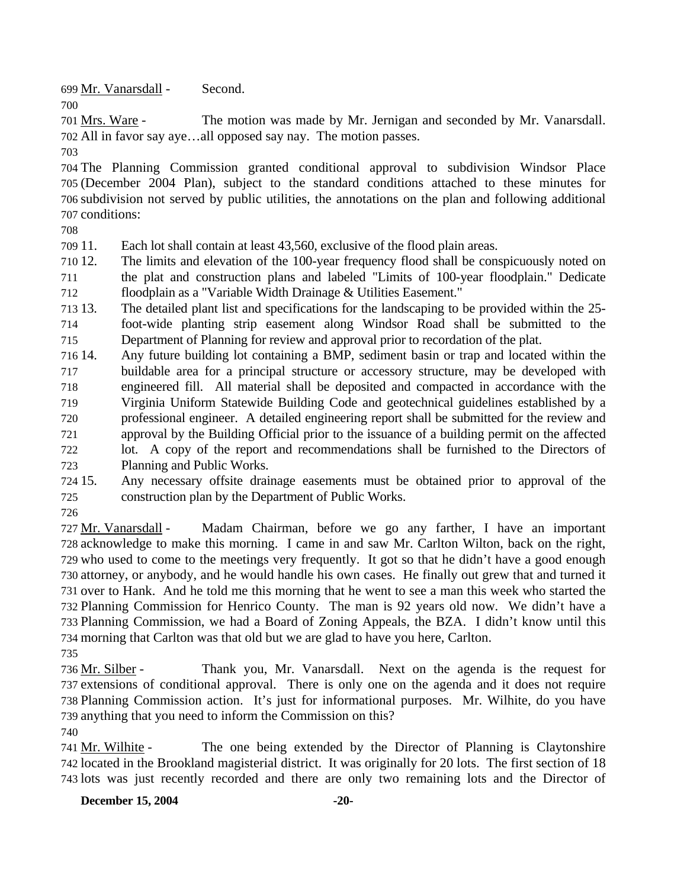699 Mr. Vanarsdall - Second.

The motion was made by Mr. Jernigan and seconded by Mr. Vanarsdall. All in favor say aye…all opposed say nay. The motion passes. 702 701 Mrs. Ware -

703

700

 The Planning Commission granted conditional approval to subdivision Windsor Place (December 2004 Plan), subject to the standard conditions attached to these minutes for subdivision not served by public utilities, the annotations on the plan and following additional conditions:

708

709 11. Each lot shall contain at least 43,560, exclusive of the flood plain areas.

710 12. 711 712 The limits and elevation of the 100-year frequency flood shall be conspicuously noted on the plat and construction plans and labeled "Limits of 100-year floodplain." Dedicate floodplain as a "Variable Width Drainage & Utilities Easement."

713 13. 714 715 The detailed plant list and specifications for the landscaping to be provided within the 25foot-wide planting strip easement along Windsor Road shall be submitted to the Department of Planning for review and approval prior to recordation of the plat.

716 14. 717 718 719 720 721 722 723 Any future building lot containing a BMP, sediment basin or trap and located within the buildable area for a principal structure or accessory structure, may be developed with engineered fill. All material shall be deposited and compacted in accordance with the Virginia Uniform Statewide Building Code and geotechnical guidelines established by a professional engineer. A detailed engineering report shall be submitted for the review and approval by the Building Official prior to the issuance of a building permit on the affected lot. A copy of the report and recommendations shall be furnished to the Directors of Planning and Public Works.

724 15. 725 Any necessary offsite drainage easements must be obtained prior to approval of the construction plan by the Department of Public Works.

726

Madam Chairman, before we go any farther, I have an important 728 acknowledge to make this morning. I came in and saw Mr. Carlton Wilton, back on the right, 729 who used to come to the meetings very frequently. It got so that he didn't have a good enough 730 attorney, or anybody, and he would handle his own cases. He finally out grew that and turned it 731 over to Hank. And he told me this morning that he went to see a man this week who started the 732 Planning Commission for Henrico County. The man is 92 years old now. We didn't have a 733 Planning Commission, we had a Board of Zoning Appeals, the BZA. I didn't know until this 734 morning that Carlton was that old but we are glad to have you here, Carlton. 727 Mr. Vanarsdall -

735

Thank you, Mr. Vanarsdall. Next on the agenda is the request for 737 extensions of conditional approval. There is only one on the agenda and it does not require 738 Planning Commission action. It's just for informational purposes. Mr. Wilhite, do you have 739 anything that you need to inform the Commission on this? 736 Mr. Silber -

740

The one being extended by the Director of Planning is Claytonshire 742 located in the Brookland magisterial district. It was originally for 20 lots. The first section of 18 743 lots was just recently recorded and there are only two remaining lots and the Director of 741 Mr. Wilhite -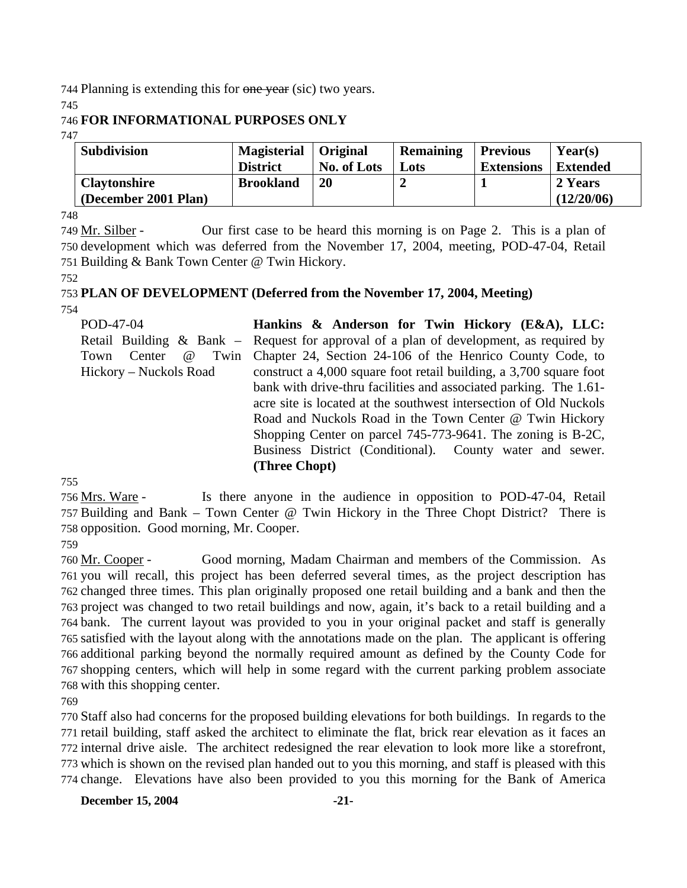744 Planning is extending this for one year (sic) two years.

745

## 746 **FOR INFORMATIONAL PURPOSES ONLY**

747

| <b>Subdivision</b>                          | <b>Magisterial</b> | Original    | Remaining | <b>Previous</b>   | Year(s)               |
|---------------------------------------------|--------------------|-------------|-----------|-------------------|-----------------------|
|                                             | <b>District</b>    | No. of Lots | Lots      | <b>Extensions</b> | <b>Extended</b>       |
| <b>Claytonshire</b><br>(December 2001 Plan) | <b>Brookland</b>   | <b>20</b>   |           |                   | 2 Years<br>(12/20/06) |

748

Our first case to be heard this morning is on Page 2. This is a plan of 750 development which was deferred from the November 17, 2004, meeting, POD-47-04, Retail 751 Building & Bank Town Center @ Twin Hickory. 749 Mr. Silber -

752

#### 753 **PLAN OF DEVELOPMENT (Deferred from the November 17, 2004, Meeting)**  754

POD-47-04 Retail Building & Bank – Town Center @ Twin Hickory – Nuckols Road **Hankins & Anderson for Twin Hickory (E&A), LLC:**  Request for approval of a plan of development, as required by Chapter 24, Section 24-106 of the Henrico County Code, to construct a 4,000 square foot retail building, a 3,700 square foot bank with drive-thru facilities and associated parking. The 1.61 acre site is located at the southwest intersection of Old Nuckols Road and Nuckols Road in the Town Center @ Twin Hickory Shopping Center on parcel 745-773-9641. The zoning is B-2C, Business District (Conditional). County water and sewer. **(Three Chopt)** 

755

Is there anyone in the audience in opposition to POD-47-04, Retail 757 Building and Bank – Town Center @ Twin Hickory in the Three Chopt District? There is 758 opposition. Good morning, Mr. Cooper. 756 Mrs. Ware -

759

Good morning, Madam Chairman and members of the Commission. As 761 you will recall, this project has been deferred several times, as the project description has 762 changed three times. This plan originally proposed one retail building and a bank and then the 763 project was changed to two retail buildings and now, again, it's back to a retail building and a 764 bank. The current layout was provided to you in your original packet and staff is generally 765 satisfied with the layout along with the annotations made on the plan. The applicant is offering 766 additional parking beyond the normally required amount as defined by the County Code for 767 shopping centers, which will help in some regard with the current parking problem associate 768 with this shopping center. 760 Mr. Cooper -

769

 Staff also had concerns for the proposed building elevations for both buildings. In regards to the retail building, staff asked the architect to eliminate the flat, brick rear elevation as it faces an internal drive aisle. The architect redesigned the rear elevation to look more like a storefront, which is shown on the revised plan handed out to you this morning, and staff is pleased with this change. Elevations have also been provided to you this morning for the Bank of America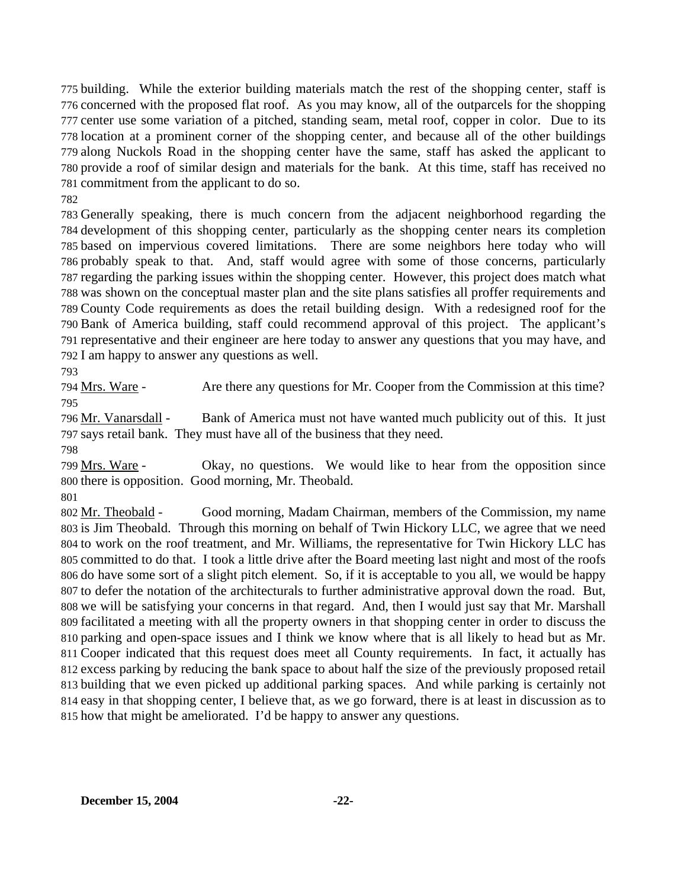building. While the exterior building materials match the rest of the shopping center, staff is concerned with the proposed flat roof. As you may know, all of the outparcels for the shopping center use some variation of a pitched, standing seam, metal roof, copper in color. Due to its location at a prominent corner of the shopping center, and because all of the other buildings along Nuckols Road in the shopping center have the same, staff has asked the applicant to provide a roof of similar design and materials for the bank. At this time, staff has received no commitment from the applicant to do so.

782

 Generally speaking, there is much concern from the adjacent neighborhood regarding the development of this shopping center, particularly as the shopping center nears its completion based on impervious covered limitations. There are some neighbors here today who will probably speak to that. And, staff would agree with some of those concerns, particularly regarding the parking issues within the shopping center. However, this project does match what was shown on the conceptual master plan and the site plans satisfies all proffer requirements and County Code requirements as does the retail building design. With a redesigned roof for the Bank of America building, staff could recommend approval of this project. The applicant's representative and their engineer are here today to answer any questions that you may have, and I am happy to answer any questions as well.

793

794 Mrs. Ware - Are there any questions for Mr. Cooper from the Commission at this time? 795

Bank of America must not have wanted much publicity out of this. It just 797 says retail bank. They must have all of the business that they need. 796 Mr. Vanarsdall -

798

Okay, no questions. We would like to hear from the opposition since 800 there is opposition. Good morning, Mr. Theobald. 799 Mrs. Ware -

801

Good morning, Madam Chairman, members of the Commission, my name 803 is Jim Theobald. Through this morning on behalf of Twin Hickory LLC, we agree that we need 804 to work on the roof treatment, and Mr. Williams, the representative for Twin Hickory LLC has 805 committed to do that. I took a little drive after the Board meeting last night and most of the roofs 806 do have some sort of a slight pitch element. So, if it is acceptable to you all, we would be happy 807 to defer the notation of the architecturals to further administrative approval down the road. But, 808 we will be satisfying your concerns in that regard. And, then I would just say that Mr. Marshall 809 facilitated a meeting with all the property owners in that shopping center in order to discuss the 810 parking and open-space issues and I think we know where that is all likely to head but as Mr. 811 Cooper indicated that this request does meet all County requirements. In fact, it actually has 812 excess parking by reducing the bank space to about half the size of the previously proposed retail 813 building that we even picked up additional parking spaces. And while parking is certainly not 814 easy in that shopping center, I believe that, as we go forward, there is at least in discussion as to 815 how that might be ameliorated. I'd be happy to answer any questions. 802 Mr. Theobald -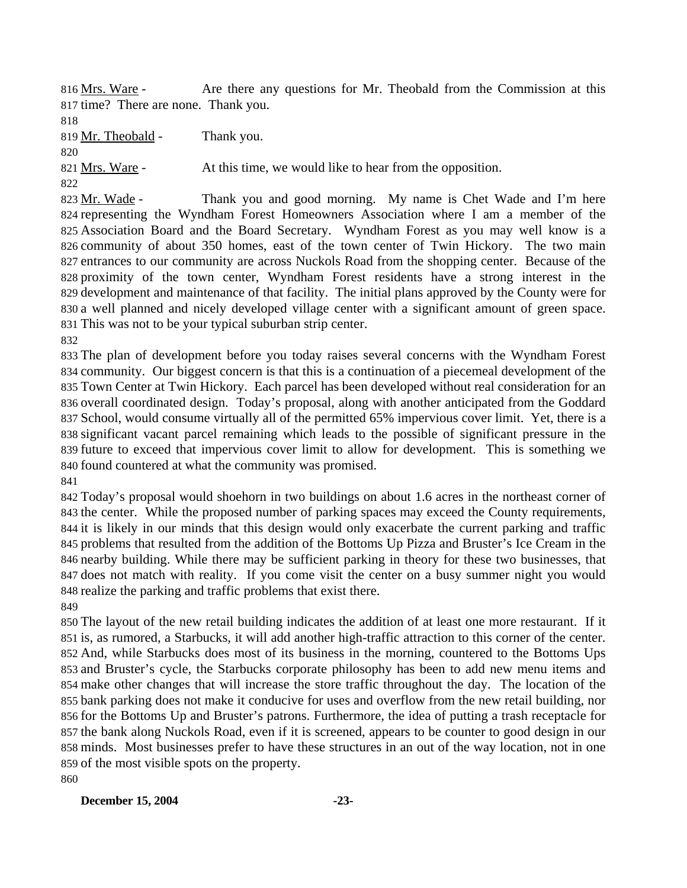Are there any questions for Mr. Theobald from the Commission at this 817 time? There are none. Thank you. 816 Mrs. Ware -

819 Mr. Theobald - Thank you.

821 Mrs. Ware - At this time, we would like to hear from the opposition.

Thank you and good morning. My name is Chet Wade and I'm here 824 representing the Wyndham Forest Homeowners Association where I am a member of the Association Board and the Board Secretary. Wyndham Forest as you may well know is a 826 community of about 350 homes, east of the town center of Twin Hickory. The two main 827 entrances to our community are across Nuckols Road from the shopping center. Because of the 828 proximity of the town center, Wyndham Forest residents have a strong interest in the 829 development and maintenance of that facility. The initial plans approved by the County were for 830 a well planned and nicely developed village center with a significant amount of green space. 831 This was not to be your typical suburban strip center. 823 Mr. Wade -

 The plan of development before you today raises several concerns with the Wyndham Forest community. Our biggest concern is that this is a continuation of a piecemeal development of the Town Center at Twin Hickory. Each parcel has been developed without real consideration for an overall coordinated design. Today's proposal, along with another anticipated from the Goddard School, would consume virtually all of the permitted 65% impervious cover limit. Yet, there is a significant vacant parcel remaining which leads to the possible of significant pressure in the future to exceed that impervious cover limit to allow for development. This is something we found countered at what the community was promised. 

 Today's proposal would shoehorn in two buildings on about 1.6 acres in the northeast corner of the center. While the proposed number of parking spaces may exceed the County requirements, it is likely in our minds that this design would only exacerbate the current parking and traffic problems that resulted from the addition of the Bottoms Up Pizza and Bruster's Ice Cream in the nearby building. While there may be sufficient parking in theory for these two businesses, that does not match with reality. If you come visit the center on a busy summer night you would realize the parking and traffic problems that exist there.

 The layout of the new retail building indicates the addition of at least one more restaurant. If it is, as rumored, a Starbucks, it will add another high-traffic attraction to this corner of the center. And, while Starbucks does most of its business in the morning, countered to the Bottoms Ups and Bruster's cycle, the Starbucks corporate philosophy has been to add new menu items and make other changes that will increase the store traffic throughout the day. The location of the bank parking does not make it conducive for uses and overflow from the new retail building, nor for the Bottoms Up and Bruster's patrons. Furthermore, the idea of putting a trash receptacle for the bank along Nuckols Road, even if it is screened, appears to be counter to good design in our minds. Most businesses prefer to have these structures in an out of the way location, not in one of the most visible spots on the property. 

### **December 15, 2004** -23-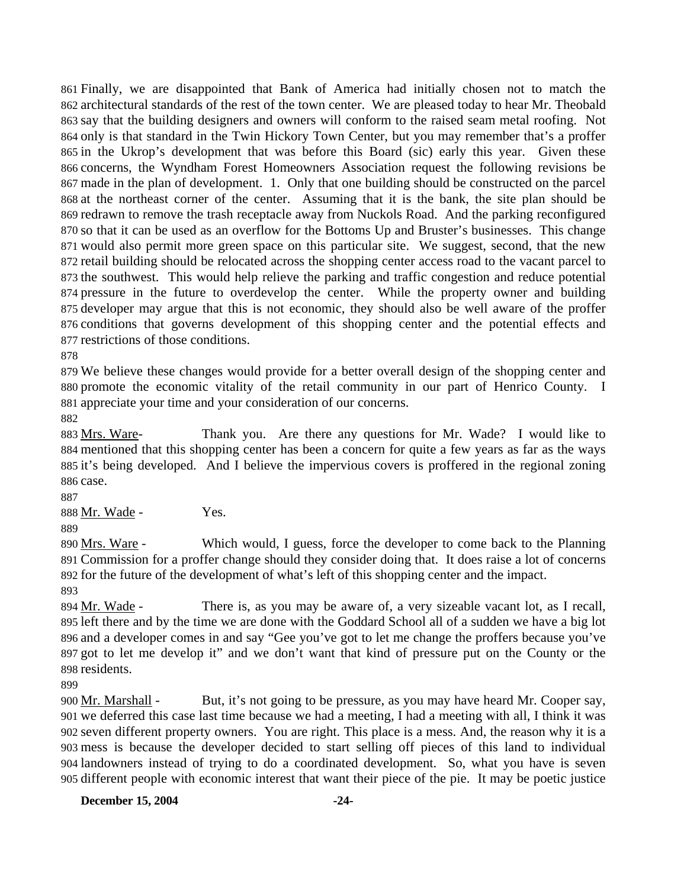Finally, we are disappointed that Bank of America had initially chosen not to match the architectural standards of the rest of the town center. We are pleased today to hear Mr. Theobald say that the building designers and owners will conform to the raised seam metal roofing. Not only is that standard in the Twin Hickory Town Center, but you may remember that's a proffer in the Ukrop's development that was before this Board (sic) early this year. Given these concerns, the Wyndham Forest Homeowners Association request the following revisions be made in the plan of development. 1. Only that one building should be constructed on the parcel at the northeast corner of the center. Assuming that it is the bank, the site plan should be redrawn to remove the trash receptacle away from Nuckols Road. And the parking reconfigured so that it can be used as an overflow for the Bottoms Up and Bruster's businesses. This change would also permit more green space on this particular site. We suggest, second, that the new retail building should be relocated across the shopping center access road to the vacant parcel to the southwest. This would help relieve the parking and traffic congestion and reduce potential pressure in the future to overdevelop the center. While the property owner and building developer may argue that this is not economic, they should also be well aware of the proffer conditions that governs development of this shopping center and the potential effects and restrictions of those conditions.

878

879 We believe these changes would provide for a better overall design of the shopping center and 880 promote the economic vitality of the retail community in our part of Henrico County. I 881 appreciate your time and your consideration of our concerns.

882

Thank you. Are there any questions for Mr. Wade? I would like to 884 mentioned that this shopping center has been a concern for quite a few years as far as the ways 885 it's being developed. And I believe the impervious covers is proffered in the regional zoning 886 case. 883 Mrs. Ware-

887 888 Mr. Wade - Yes. 889

Which would, I guess, force the developer to come back to the Planning Commission for a proffer change should they consider doing that. It does raise a lot of concerns 891 892 for the future of the development of what's left of this shopping center and the impact. 890 Mrs. Ware -

893

There is, as you may be aware of, a very sizeable vacant lot, as I recall, 895 left there and by the time we are done with the Goddard School all of a sudden we have a big lot 896 and a developer comes in and say "Gee you've got to let me change the proffers because you've 897 got to let me develop it" and we don't want that kind of pressure put on the County or the 898 residents. 894 Mr. Wade -

899

But, it's not going to be pressure, as you may have heard Mr. Cooper say, 901 we deferred this case last time because we had a meeting, I had a meeting with all, I think it was seven different property owners. You are right. This place is a mess. And, the reason why it is a 902 mess is because the developer decided to start selling off pieces of this land to individual 903 904 landowners instead of trying to do a coordinated development. So, what you have is seven 905 different people with economic interest that want their piece of the pie. It may be poetic justice 900 Mr. Marshall -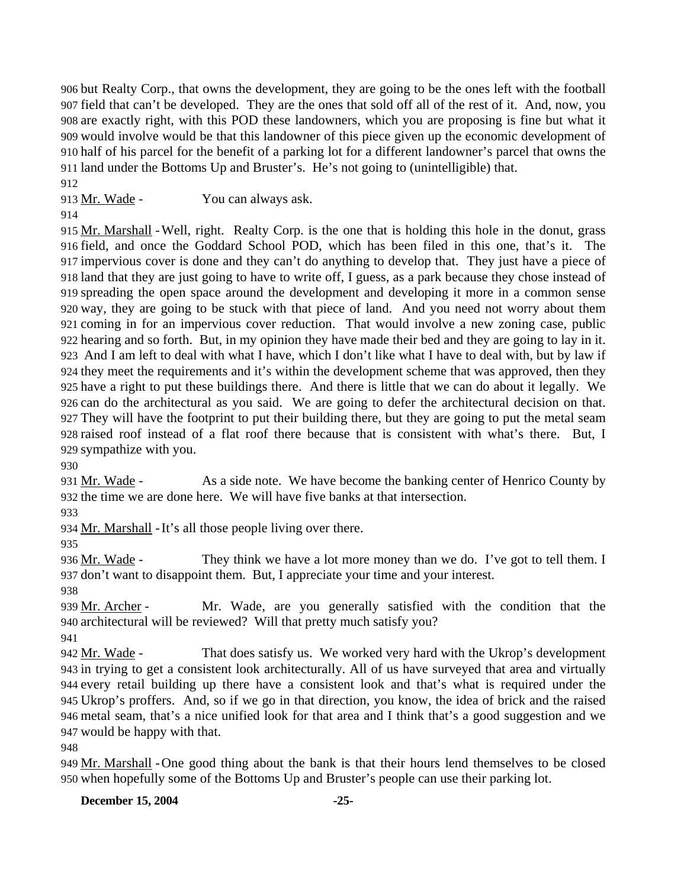but Realty Corp., that owns the development, they are going to be the ones left with the football field that can't be developed. They are the ones that sold off all of the rest of it. And, now, you are exactly right, with this POD these landowners, which you are proposing is fine but what it would involve would be that this landowner of this piece given up the economic development of half of his parcel for the benefit of a parking lot for a different landowner's parcel that owns the land under the Bottoms Up and Bruster's. He's not going to (unintelligible) that.

912

913 Mr. Wade - You can always ask.

914

915 Mr. Marshall - Well, right. Realty Corp. is the one that is holding this hole in the donut, grass field, and once the Goddard School POD, which has been filed in this one, that's it. The 916 917 impervious cover is done and they can't do anything to develop that. They just have a piece of 918 land that they are just going to have to write off, I guess, as a park because they chose instead of spreading the open space around the development and developing it more in a common sense 919 920 way, they are going to be stuck with that piece of land. And you need not worry about them 921 coming in for an impervious cover reduction. That would involve a new zoning case, public 922 hearing and so forth. But, in my opinion they have made their bed and they are going to lay in it. 923 And I am left to deal with what I have, which I don't like what I have to deal with, but by law if 924 they meet the requirements and it's within the development scheme that was approved, then they 925 have a right to put these buildings there. And there is little that we can do about it legally. We 926 can do the architectural as you said. We are going to defer the architectural decision on that. They will have the footprint to put their building there, but they are going to put the metal seam 927 928 raised roof instead of a flat roof there because that is consistent with what's there. But, I 929 sympathize with you.

930

As a side note. We have become the banking center of Henrico County by 932 the time we are done here. We will have five banks at that intersection. 931 Mr. Wade -

933

934 Mr. Marshall - It's all those people living over there.

935

They think we have a lot more money than we do. I've got to tell them. I 937 don't want to disappoint them. But, I appreciate your time and your interest. 936 Mr. Wade -

938

Mr. Wade, are you generally satisfied with the condition that the architectural will be reviewed? Will that pretty much satisfy you? 940 939 Mr. Archer -

941

That does satisfy us. We worked very hard with the Ukrop's development 943 in trying to get a consistent look architecturally. All of us have surveyed that area and virtually every retail building up there have a consistent look and that's what is required under the 944 Ukrop's proffers. And, so if we go in that direction, you know, the idea of brick and the raised 945 metal seam, that's a nice unified look for that area and I think that's a good suggestion and we 946 947 would be happy with that. 942 Mr. Wade -

948

949 Mr. Marshall - One good thing about the bank is that their hours lend themselves to be closed 950 when hopefully some of the Bottoms Up and Bruster's people can use their parking lot.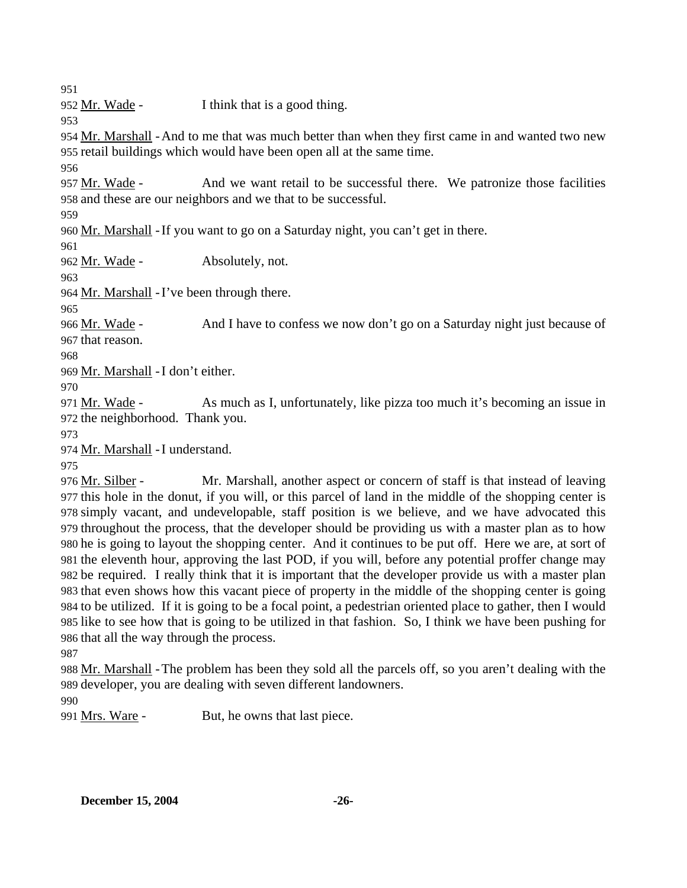951

952 <u>Mr. Wade</u> - I think that is a good thing.

953

954 Mr. Marshall - And to me that was much better than when they first came in and wanted two new 955 retail buildings which would have been open all at the same time.

956

And we want retail to be successful there. We patronize those facilities 958 and these are our neighbors and we that to be successful. 957 Mr. Wade -

959

960 Mr. Marshall - If you want to go on a Saturday night, you can't get in there.

961

962 Mr. Wade - Absolutely, not.

963

964 Mr. Marshall - I've been through there.

965

And I have to confess we now don't go on a Saturday night just because of 967 that reason. 966 Mr. Wade -

968

969 Mr. Marshall - I don't either.

970

As much as I, unfortunately, like pizza too much it's becoming an issue in 972 the neighborhood. Thank you. 971 Mr. Wade -

973

974 Mr. Marshall - I understand.

975

Mr. Marshall, another aspect or concern of staff is that instead of leaving 977 this hole in the donut, if you will, or this parcel of land in the middle of the shopping center is 978 simply vacant, and undevelopable, staff position is we believe, and we have advocated this 979 throughout the process, that the developer should be providing us with a master plan as to how 980 he is going to layout the shopping center. And it continues to be put off. Here we are, at sort of 981 the eleventh hour, approving the last POD, if you will, before any potential proffer change may 982 be required. I really think that it is important that the developer provide us with a master plan 983 that even shows how this vacant piece of property in the middle of the shopping center is going 984 to be utilized. If it is going to be a focal point, a pedestrian oriented place to gather, then I would 985 like to see how that is going to be utilized in that fashion. So, I think we have been pushing for 986 that all the way through the process. 976 Mr. Silber -

987

988 Mr. Marshall - The problem has been they sold all the parcels off, so you aren't dealing with the 989 developer, you are dealing with seven different landowners.

990

991 Mrs. Ware - But, he owns that last piece.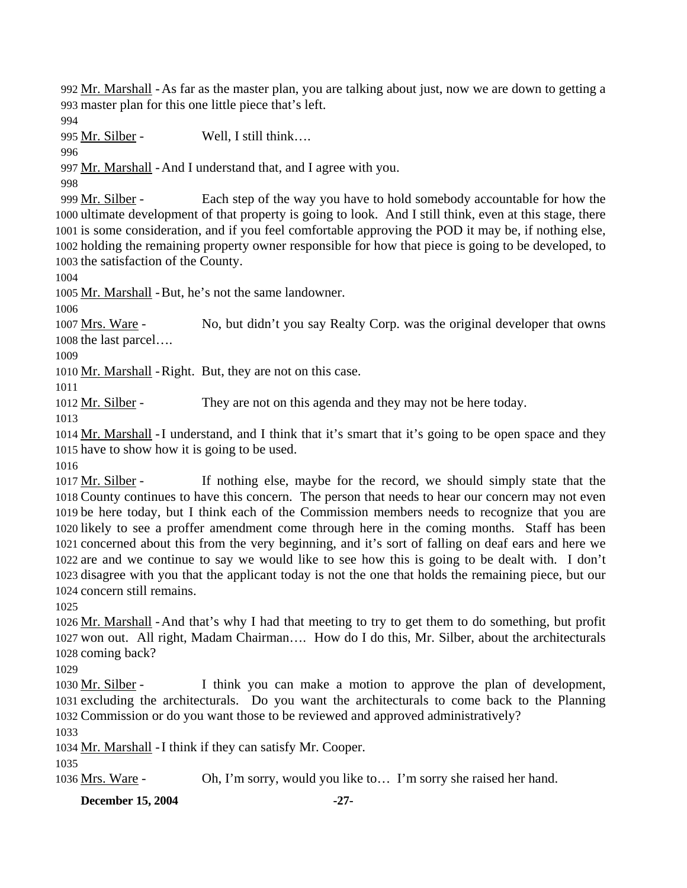992 Mr. Marshall - As far as the master plan, you are talking about just, now we are down to getting a 993 master plan for this one little piece that's left.

994

995 Mr. Silber - Well, I still think....

996

997 Mr. Marshall - And I understand that, and I agree with you.

998

Each step of the way you have to hold somebody accountable for how the 1000 ultimate development of that property is going to look. And I still think, even at this stage, there 1001 is some consideration, and if you feel comfortable approving the POD it may be, if nothing else, 1002 holding the remaining property owner responsible for how that piece is going to be developed, to 1003 the satisfaction of the County. 999 Mr. Silber -

1004

1005 Mr. Marshall - But, he's not the same landowner.

1006

No, but didn't you say Realty Corp. was the original developer that owns 1008 the last parcel.... 1007 Mrs. Ware -

1009

1010 Mr. Marshall - Right. But, they are not on this case.

1011

1012 Mr. Silber - They are not on this agenda and they may not be here today.

1013

1014 Mr. Marshall - I understand, and I think that it's smart that it's going to be open space and they 1015 have to show how it is going to be used.

1016

If nothing else, maybe for the record, we should simply state that the 1018 County continues to have this concern. The person that needs to hear our concern may not even 1019 be here today, but I think each of the Commission members needs to recognize that you are 1020 likely to see a proffer amendment come through here in the coming months. Staff has been 1021 concerned about this from the very beginning, and it's sort of falling on deaf ears and here we 1022 are and we continue to say we would like to see how this is going to be dealt with. I don't 1023 disagree with you that the applicant today is not the one that holds the remaining piece, but our 1024 concern still remains. 1017 Mr. Silber -

1025

1026 Mr. Marshall - And that's why I had that meeting to try to get them to do something, but profit 1027 won out. All right, Madam Chairman.... How do I do this, Mr. Silber, about the architecturals 1028 coming back?

1029

I think you can make a motion to approve the plan of development, 1031 excluding the architecturals. Do you want the architecturals to come back to the Planning 1032 Commission or do you want those to be reviewed and approved administratively? 1030 Mr. Silber -

1033

1034 Mr. Marshall - I think if they can satisfy Mr. Cooper.

1035

1036 Mrs. Ware - Oh, I'm sorry, would you like to… I'm sorry she raised her hand.

**December 15, 2004** -27-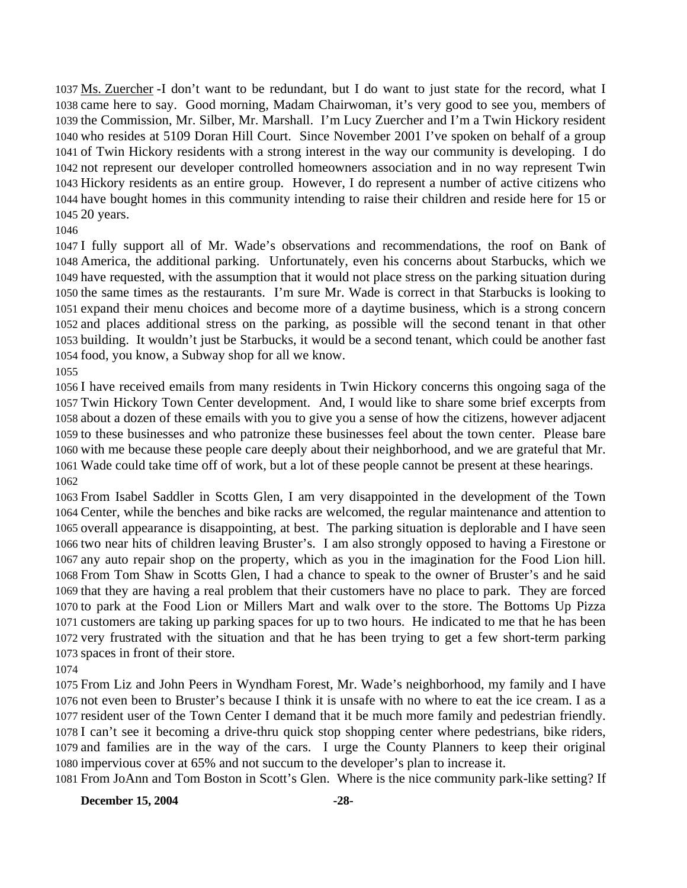1037 Ms. Zuercher -I don't want to be redundant, but I do want to just state for the record, what I 1038 came here to say. Good morning, Madam Chairwoman, it's very good to see you, members of 1039 the Commission, Mr. Silber, Mr. Marshall. I'm Lucy Zuercher and I'm a Twin Hickory resident 1040 who resides at 5109 Doran Hill Court. Since November 2001 I've spoken on behalf of a group 1041 of Twin Hickory residents with a strong interest in the way our community is developing. I do 1042 not represent our developer controlled homeowners association and in no way represent Twin 1043 Hickory residents as an entire group. However, I do represent a number of active citizens who 1044 have bought homes in this community intending to raise their children and reside here for 15 or 1045 20 years.

#### 

 I fully support all of Mr. Wade's observations and recommendations, the roof on Bank of America, the additional parking. Unfortunately, even his concerns about Starbucks, which we have requested, with the assumption that it would not place stress on the parking situation during the same times as the restaurants. I'm sure Mr. Wade is correct in that Starbucks is looking to expand their menu choices and become more of a daytime business, which is a strong concern and places additional stress on the parking, as possible will the second tenant in that other building. It wouldn't just be Starbucks, it would be a second tenant, which could be another fast food, you know, a Subway shop for all we know.

#### 

 I have received emails from many residents in Twin Hickory concerns this ongoing saga of the Twin Hickory Town Center development. And, I would like to share some brief excerpts from about a dozen of these emails with you to give you a sense of how the citizens, however adjacent to these businesses and who patronize these businesses feel about the town center. Please bare with me because these people care deeply about their neighborhood, and we are grateful that Mr. Wade could take time off of work, but a lot of these people cannot be present at these hearings. 

 From Isabel Saddler in Scotts Glen, I am very disappointed in the development of the Town Center, while the benches and bike racks are welcomed, the regular maintenance and attention to overall appearance is disappointing, at best. The parking situation is deplorable and I have seen two near hits of children leaving Bruster's. I am also strongly opposed to having a Firestone or any auto repair shop on the property, which as you in the imagination for the Food Lion hill. From Tom Shaw in Scotts Glen, I had a chance to speak to the owner of Bruster's and he said that they are having a real problem that their customers have no place to park. They are forced to park at the Food Lion or Millers Mart and walk over to the store. The Bottoms Up Pizza customers are taking up parking spaces for up to two hours. He indicated to me that he has been very frustrated with the situation and that he has been trying to get a few short-term parking spaces in front of their store.

 From Liz and John Peers in Wyndham Forest, Mr. Wade's neighborhood, my family and I have not even been to Bruster's because I think it is unsafe with no where to eat the ice cream. I as a resident user of the Town Center I demand that it be much more family and pedestrian friendly. I can't see it becoming a drive-thru quick stop shopping center where pedestrians, bike riders, and families are in the way of the cars. I urge the County Planners to keep their original impervious cover at 65% and not succum to the developer's plan to increase it.

From JoAnn and Tom Boston in Scott's Glen. Where is the nice community park-like setting? If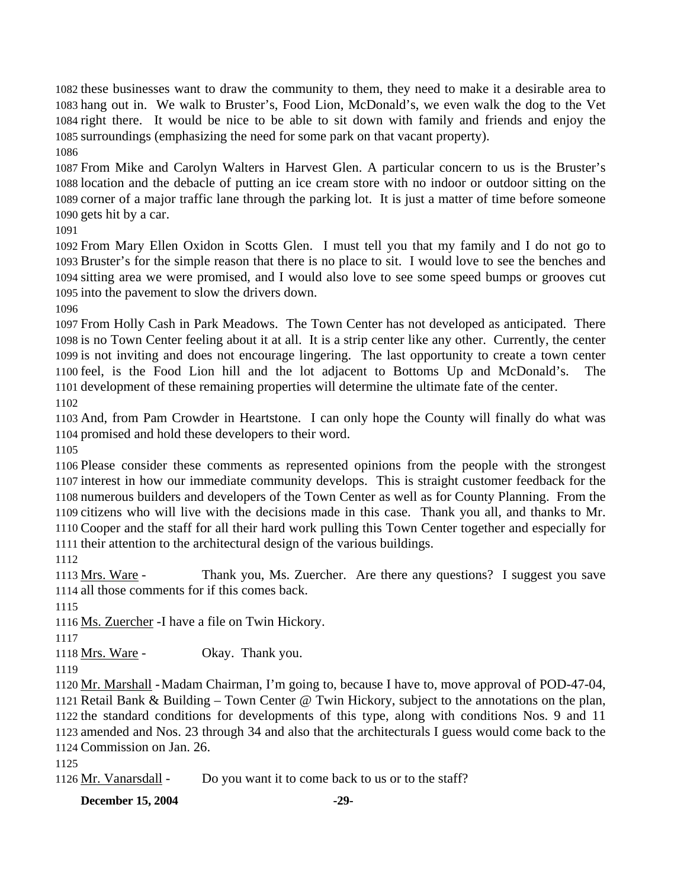these businesses want to draw the community to them, they need to make it a desirable area to hang out in. We walk to Bruster's, Food Lion, McDonald's, we even walk the dog to the Vet right there. It would be nice to be able to sit down with family and friends and enjoy the surroundings (emphasizing the need for some park on that vacant property).

 From Mike and Carolyn Walters in Harvest Glen. A particular concern to us is the Bruster's location and the debacle of putting an ice cream store with no indoor or outdoor sitting on the corner of a major traffic lane through the parking lot. It is just a matter of time before someone gets hit by a car.

 From Mary Ellen Oxidon in Scotts Glen. I must tell you that my family and I do not go to Bruster's for the simple reason that there is no place to sit. I would love to see the benches and sitting area we were promised, and I would also love to see some speed bumps or grooves cut into the pavement to slow the drivers down.

 From Holly Cash in Park Meadows. The Town Center has not developed as anticipated. There is no Town Center feeling about it at all. It is a strip center like any other. Currently, the center is not inviting and does not encourage lingering. The last opportunity to create a town center feel, is the Food Lion hill and the lot adjacent to Bottoms Up and McDonald's. The development of these remaining properties will determine the ultimate fate of the center. 

 And, from Pam Crowder in Heartstone. I can only hope the County will finally do what was promised and hold these developers to their word.

 Please consider these comments as represented opinions from the people with the strongest interest in how our immediate community develops. This is straight customer feedback for the numerous builders and developers of the Town Center as well as for County Planning. From the citizens who will live with the decisions made in this case. Thank you all, and thanks to Mr. Cooper and the staff for all their hard work pulling this Town Center together and especially for their attention to the architectural design of the various buildings.

Thank you, Ms. Zuercher. Are there any questions? I suggest you save 1114 all those comments for if this comes back. 1113 Mrs. Ware -

1116 Ms. Zuercher - I have a file on Twin Hickory.

1118 Mrs. Ware - Okay. Thank you.

1120 Mr. Marshall - Madam Chairman, I'm going to, because I have to, move approval of POD-47-04, 1121 Retail Bank & Building – Town Center @ Twin Hickory, subject to the annotations on the plan, 1122 the standard conditions for developments of this type, along with conditions Nos. 9 and 11 1123 amended and Nos. 23 through 34 and also that the architecturals I guess would come back to the 1124 Commission on Jan. 26.

1126 Mr. Vanarsdall - Do you want it to come back to us or to the staff?

**December 15, 2004** -29-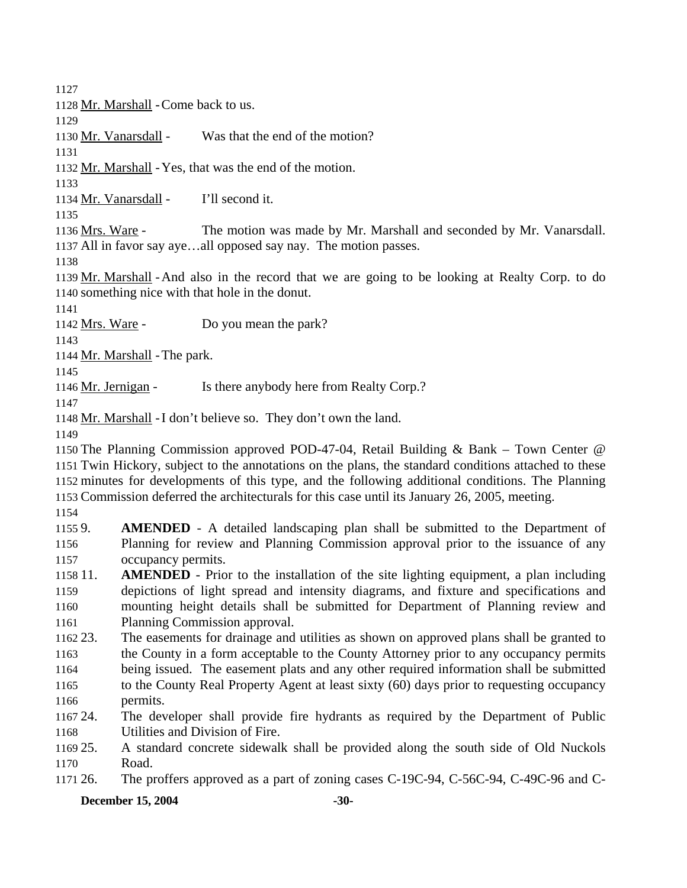1127 1128 Mr. Marshall - Come back to us. 1129 1130 Mr. Vanarsdall - Was that the end of the motion? 1131 1132 Mr. Marshall - Yes, that was the end of the motion. 1133 1134 Mr. Vanarsdall - I'll second it. 1135 The motion was made by Mr. Marshall and seconded by Mr. Vanarsdall. 1137 All in favor say aye...all opposed say nay. The motion passes. 1136 Mrs. Ware -1138 1139 Mr. Marshall - And also in the record that we are going to be looking at Realty Corp. to do 1140 something nice with that hole in the donut. 1141 1142 Mrs. Ware - Do you mean the park? 1143 1144 Mr. Marshall - The park. 1145 1146 Mr. Jernigan - Is there anybody here from Realty Corp.? 1147 1148 Mr. Marshall - I don't believe so. They don't own the land. 1149 1150 The Planning Commission approved POD-47-04, Retail Building & Bank – Town Center @ 1151 Twin Hickory, subject to the annotations on the plans, the standard conditions attached to these 1152 minutes for developments of this type, and the following additional conditions. The Planning 1153 Commission deferred the architecturals for this case until its January 26, 2005, meeting. 1154 11559. 1156 1157 1158 11. 1159 1160 1161 1162 23. 1163 1164 1165 1166 1167 24. 1168 1169 25. 1170 1171 26. AMENDED - A detailed landscaping plan shall be submitted to the Department of Planning for review and Planning Commission approval prior to the issuance of any occupancy permits. **AMENDED** - Prior to the installation of the site lighting equipment, a plan including depictions of light spread and intensity diagrams, and fixture and specifications and mounting height details shall be submitted for Department of Planning review and Planning Commission approval. The easements for drainage and utilities as shown on approved plans shall be granted to the County in a form acceptable to the County Attorney prior to any occupancy permits being issued. The easement plats and any other required information shall be submitted to the County Real Property Agent at least sixty (60) days prior to requesting occupancy permits. The developer shall provide fire hydrants as required by the Department of Public Utilities and Division of Fire. 25. A standard concrete sidewalk shall be provided along the south side of Old Nuckols Road. 26. The proffers approved as a part of zoning cases C-19C-94, C-56C-94, C-49C-96 and C-

#### **December 15, 2004** -30-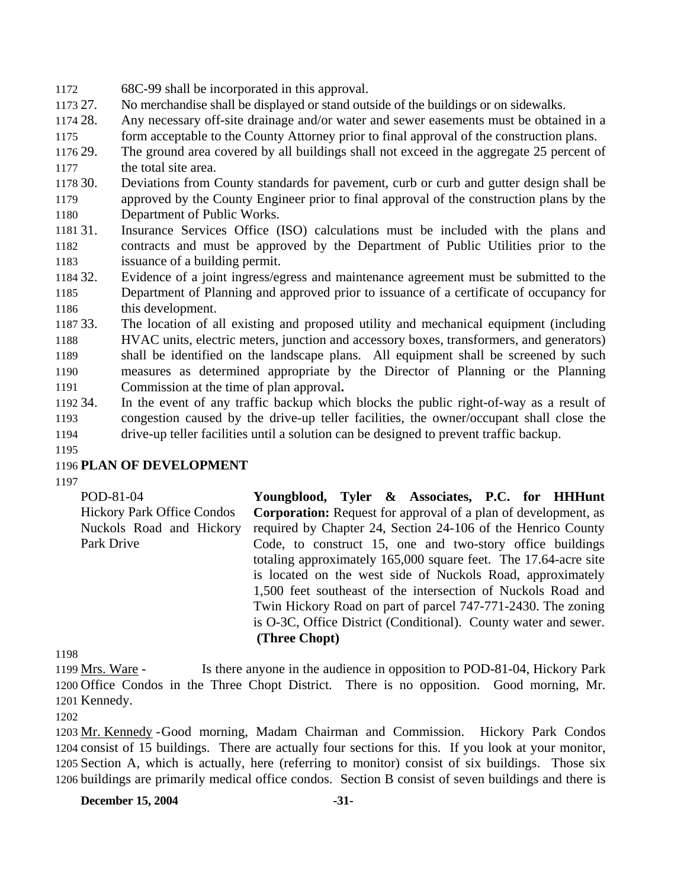- 1172 68C-99 shall be incorporated in this approval.
- 1173 27. 27. No merchandise shall be displayed or stand outside of the buildings or on sidewalks.
- 1174 28. 1175 Any necessary off-site drainage and/or water and sewer easements must be obtained in a form acceptable to the County Attorney prior to final approval of the construction plans.
- 1176 29. 1177 The ground area covered by all buildings shall not exceed in the aggregate 25 percent of the total site area.
- 1178 30. 1179 1180 30. Deviations from County standards for pavement, curb or curb and gutter design shall be approved by the County Engineer prior to final approval of the construction plans by the Department of Public Works.
- 1181 31. 1182 1183 Insurance Services Office (ISO) calculations must be included with the plans and contracts and must be approved by the Department of Public Utilities prior to the issuance of a building permit.
- 1184 32. 1185 1186 Evidence of a joint ingress/egress and maintenance agreement must be submitted to the Department of Planning and approved prior to issuance of a certificate of occupancy for this development.
- 1187 33. 1188 1189 1190 1191 The location of all existing and proposed utility and mechanical equipment (including HVAC units, electric meters, junction and accessory boxes, transformers, and generators) shall be identified on the landscape plans. All equipment shall be screened by such measures as determined appropriate by the Director of Planning or the Planning Commission at the time of plan approval**.**
- 1192 34. 1193 1194 In the event of any traffic backup which blocks the public right-of-way as a result of congestion caused by the drive-up teller facilities, the owner/occupant shall close the drive-up teller facilities until a solution can be designed to prevent traffic backup.
- 1195

# 1196 **PLAN OF DEVELOPMENT**

1197

| POD-81-04                         | Youngblood, Tyler & Associates, P.C. for HHHunt                       |
|-----------------------------------|-----------------------------------------------------------------------|
| <b>Hickory Park Office Condos</b> | <b>Corporation:</b> Request for approval of a plan of development, as |
| Nuckols Road and Hickory          | required by Chapter 24, Section 24-106 of the Henrico County          |
| Park Drive                        | Code, to construct 15, one and two-story office buildings             |
|                                   | totaling approximately 165,000 square feet. The 17.64-acre site       |
|                                   | is located on the west side of Nuckols Road, approximately            |
|                                   | 1,500 feet southeast of the intersection of Nuckols Road and          |
|                                   | Twin Hickory Road on part of parcel 747-771-2430. The zoning          |
|                                   | is O-3C, Office District (Conditional). County water and sewer.       |
|                                   | (Three Chopt)                                                         |

1198

Is there anyone in the audience in opposition to POD-81-04, Hickory Park 1200 Office Condos in the Three Chopt District. There is no opposition. Good morning, Mr. 1201 Kennedy. 1199 Mrs. Ware -

1202

1203 Mr. Kennedy - Good morning, Madam Chairman and Commission. Hickory Park Condos 1204 consist of 15 buildings. There are actually four sections for this. If you look at your monitor, 1205 Section A, which is actually, here (referring to monitor) consist of six buildings. Those six 1206 buildings are primarily medical office condos. Section B consist of seven buildings and there is

**December 15, 2004** -31-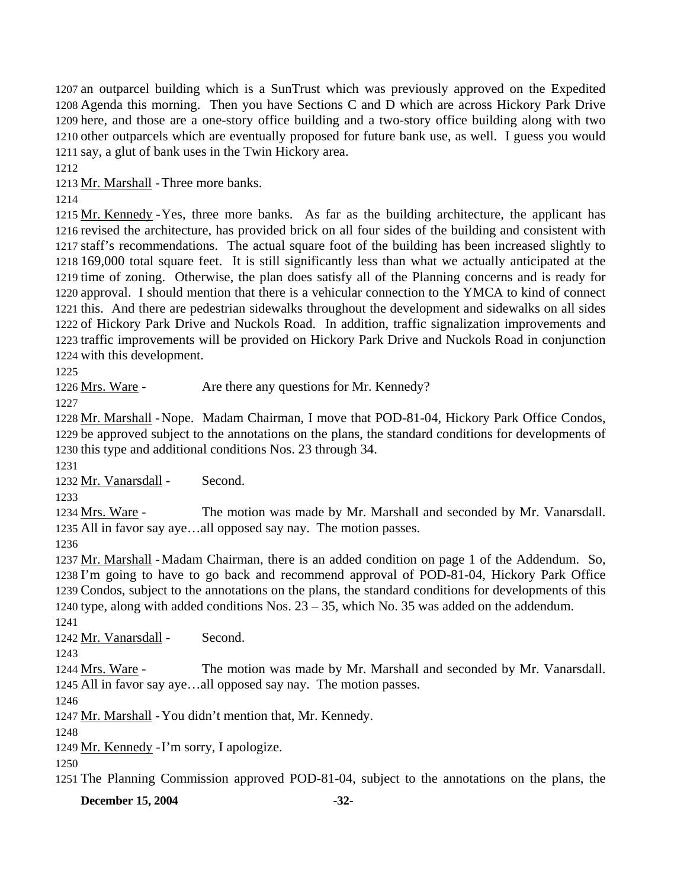an outparcel building which is a SunTrust which was previously approved on the Expedited Agenda this morning. Then you have Sections C and D which are across Hickory Park Drive here, and those are a one-story office building and a two-story office building along with two other outparcels which are eventually proposed for future bank use, as well. I guess you would say, a glut of bank uses in the Twin Hickory area.

1212

1213 Mr. Marshall - Three more banks.

1214

1215 Mr. Kennedy - Yes, three more banks. As far as the building architecture, the applicant has 1216 revised the architecture, has provided brick on all four sides of the building and consistent with 1217 staff's recommendations. The actual square foot of the building has been increased slightly to 169,000 total square feet. It is still significantly less than what we actually anticipated at the 1218 1219 time of zoning. Otherwise, the plan does satisfy all of the Planning concerns and is ready for 1220 approval. I should mention that there is a vehicular connection to the YMCA to kind of connect 1221 this. And there are pedestrian sidewalks throughout the development and sidewalks on all sides 1222 of Hickory Park Drive and Nuckols Road. In addition, traffic signalization improvements and 1223 traffic improvements will be provided on Hickory Park Drive and Nuckols Road in conjunction 1224 with this development.

1225

1226 Mrs. Ware - Are there any questions for Mr. Kennedy?

1227

1228 Mr. Marshall - Nope. Madam Chairman, I move that POD-81-04, Hickory Park Office Condos, 1229 be approved subject to the annotations on the plans, the standard conditions for developments of 1230 this type and additional conditions Nos. 23 through 34.

1231

1232 Mr. Vanarsdall - Second.

1233

The motion was made by Mr. Marshall and seconded by Mr. Vanarsdall. 1235 All in favor say aye...all opposed say nay. The motion passes. 1234 Mrs. Ware -

1236

1237 Mr. Marshall - Madam Chairman, there is an added condition on page 1 of the Addendum. So, 1238 I'm going to have to go back and recommend approval of POD-81-04, Hickory Park Office 1239 Condos, subject to the annotations on the plans, the standard conditions for developments of this 1240 type, along with added conditions Nos.  $23 - 35$ , which No. 35 was added on the addendum. 1241

1242 Mr. Vanarsdall - Second.

1243

The motion was made by Mr. Marshall and seconded by Mr. Vanarsdall. 1245 All in favor say aye...all opposed say nay. The motion passes. 1244 Mrs. Ware -

1246

1247 Mr. Marshall - You didn't mention that, Mr. Kennedy.

1248

1249 Mr. Kennedy - I'm sorry, I apologize.

1250

1251 The Planning Commission approved POD-81-04, subject to the annotations on the plans, the

**December 15, 2004** -32-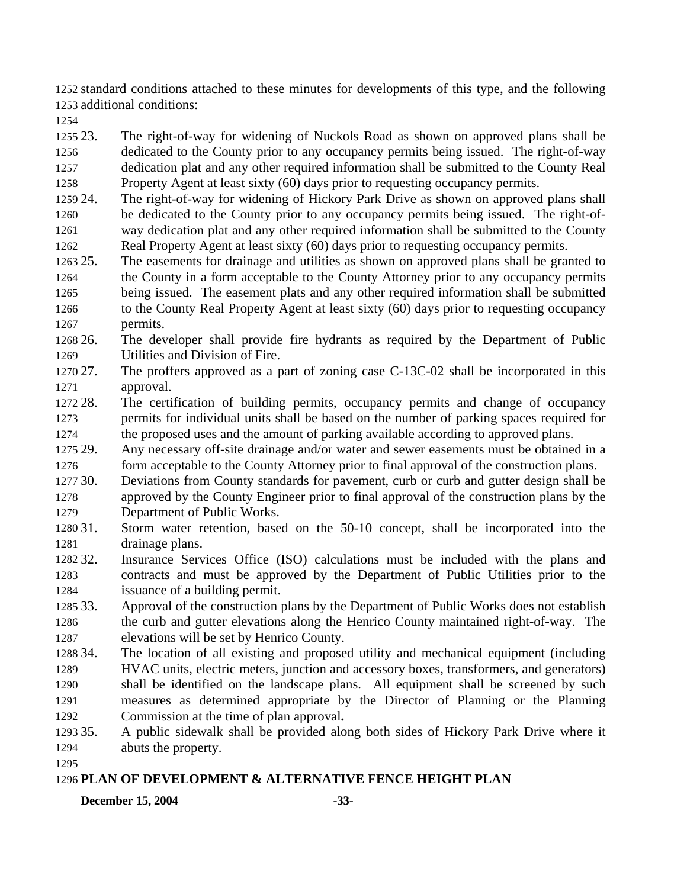1252 standard conditions attached to these minutes for developments of this type, and the following 1253 additional conditions:

1254

1255 23. 1256 1257 1258 The right-of-way for widening of Nuckols Road as shown on approved plans shall be dedicated to the County prior to any occupancy permits being issued. The right-of-way dedication plat and any other required information shall be submitted to the County Real Property Agent at least sixty (60) days prior to requesting occupancy permits.

- 1259 24. 1260 1261 1262 The right-of-way for widening of Hickory Park Drive as shown on approved plans shall be dedicated to the County prior to any occupancy permits being issued. The right-ofway dedication plat and any other required information shall be submitted to the County Real Property Agent at least sixty (60) days prior to requesting occupancy permits.
- 1263 25. 1264 1265 1266 1267 The easements for drainage and utilities as shown on approved plans shall be granted to the County in a form acceptable to the County Attorney prior to any occupancy permits being issued. The easement plats and any other required information shall be submitted to the County Real Property Agent at least sixty (60) days prior to requesting occupancy permits.
- 1268 26. 1269 The developer shall provide fire hydrants as required by the Department of Public Utilities and Division of Fire.
- 1270 27. 1271 The proffers approved as a part of zoning case  $C-13C-02$  shall be incorporated in this approval.
- 1272 28. 1273 1274 The certification of building permits, occupancy permits and change of occupancy permits for individual units shall be based on the number of parking spaces required for the proposed uses and the amount of parking available according to approved plans.
- 1275 29. 1276 Any necessary off-site drainage and/or water and sewer easements must be obtained in a form acceptable to the County Attorney prior to final approval of the construction plans.
- 1277 30. 1278 1279 Deviations from County standards for pavement, curb or curb and gutter design shall be approved by the County Engineer prior to final approval of the construction plans by the Department of Public Works.
- 1280 31. 1281 Storm water retention, based on the 50-10 concept, shall be incorporated into the drainage plans.
- 1282 32. 1283 1284 Insurance Services Office (ISO) calculations must be included with the plans and contracts and must be approved by the Department of Public Utilities prior to the issuance of a building permit.
- 1285 33. 1286 1287 Approval of the construction plans by the Department of Public Works does not establish the curb and gutter elevations along the Henrico County maintained right-of-way. The elevations will be set by Henrico County.
- 1288 34. 1289 1290 1291 1292 The location of all existing and proposed utility and mechanical equipment (including HVAC units, electric meters, junction and accessory boxes, transformers, and generators) shall be identified on the landscape plans. All equipment shall be screened by such measures as determined appropriate by the Director of Planning or the Planning Commission at the time of plan approval**.**
- 1293 35. 1294 35. A public sidewalk shall be provided along both sides of Hickory Park Drive where it abuts the property.
- 1295

# 1296 **PLAN OF DEVELOPMENT & ALTERNATIVE FENCE HEIGHT PLAN**

### **December 15, 2004** -33-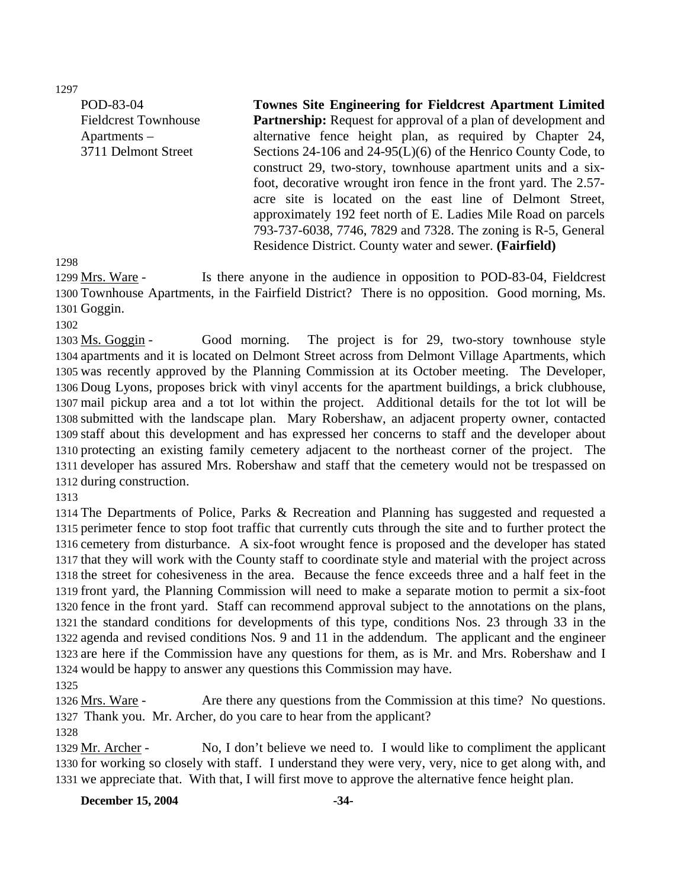1297

POD-83-04 Fieldcrest Townhouse Apartments – 3711 Delmont Street

**Townes Site Engineering for Fieldcrest Apartment Limited Partnership:** Request for approval of a plan of development and alternative fence height plan, as required by Chapter 24, Sections 24-106 and 24-95(L)(6) of the Henrico County Code, to construct 29, two-story, townhouse apartment units and a sixfoot, decorative wrought iron fence in the front yard. The 2.57 acre site is located on the east line of Delmont Street, approximately 192 feet north of E. Ladies Mile Road on parcels 793-737-6038, 7746, 7829 and 7328. The zoning is R-5, General Residence District. County water and sewer. **(Fairfield)** 

1298

Is there anyone in the audience in opposition to POD-83-04, Fieldcrest 1300 Townhouse Apartments, in the Fairfield District? There is no opposition. Good morning, Ms. 1301 Goggin. 1299 Mrs. Ware -

1302

Good morning. The project is for 29, two-story townhouse style 1304 apartments and it is located on Delmont Street across from Delmont Village Apartments, which 1305 was recently approved by the Planning Commission at its October meeting. The Developer, 1306 Doug Lyons, proposes brick with vinyl accents for the apartment buildings, a brick clubhouse, 1307 mail pickup area and a tot lot within the project. Additional details for the tot lot will be 1308 submitted with the landscape plan. Mary Robershaw, an adjacent property owner, contacted 1309 staff about this development and has expressed her concerns to staff and the developer about 1310 protecting an existing family cemetery adjacent to the northeast corner of the project. The 1311 developer has assured Mrs. Robershaw and staff that the cemetery would not be trespassed on 1312 during construction. 1303 Ms. Goggin -

1313

 The Departments of Police, Parks & Recreation and Planning has suggested and requested a perimeter fence to stop foot traffic that currently cuts through the site and to further protect the cemetery from disturbance. A six-foot wrought fence is proposed and the developer has stated that they will work with the County staff to coordinate style and material with the project across the street for cohesiveness in the area. Because the fence exceeds three and a half feet in the front yard, the Planning Commission will need to make a separate motion to permit a six-foot fence in the front yard. Staff can recommend approval subject to the annotations on the plans, the standard conditions for developments of this type, conditions Nos. 23 through 33 in the agenda and revised conditions Nos. 9 and 11 in the addendum. The applicant and the engineer are here if the Commission have any questions for them, as is Mr. and Mrs. Robershaw and I would be happy to answer any questions this Commission may have.

1325

Are there any questions from the Commission at this time? No questions. 1327 Thank you. Mr. Archer, do you care to hear from the applicant? 1326 Mrs. Ware -

1328

No, I don't believe we need to. I would like to compliment the applicant 1330 for working so closely with staff. I understand they were very, very, nice to get along with, and 1331 we appreciate that. With that, I will first move to approve the alternative fence height plan. 1329 Mr. Archer -

**December 15, 2004** -34-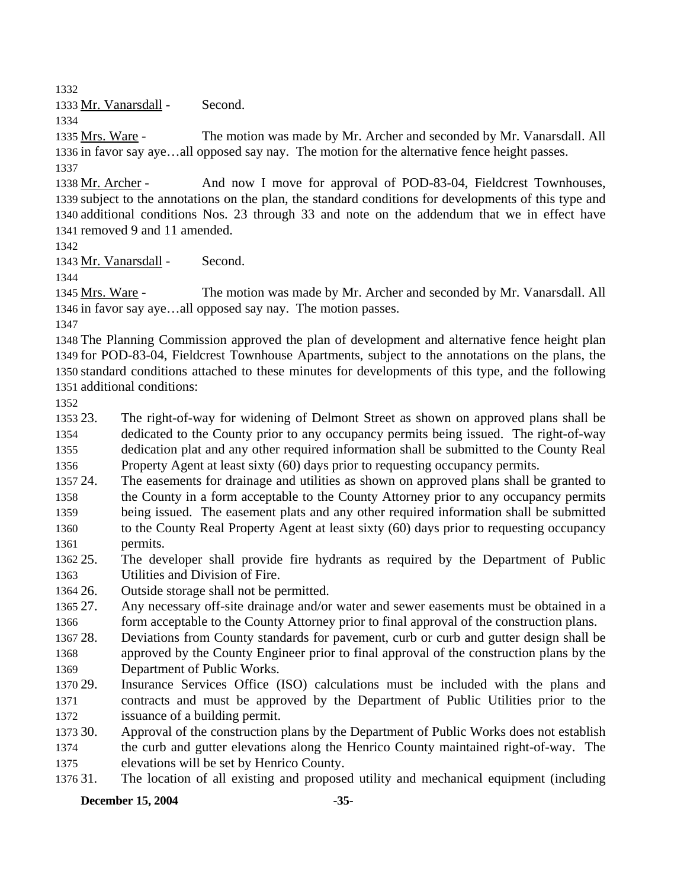1332

1333 Mr. Vanarsdall - Second.

1334

The motion was made by Mr. Archer and seconded by Mr. Vanarsdall. All 1336 in favor say aye...all opposed say nay. The motion for the alternative fence height passes. 1335 Mrs. Ware -1337

And now I move for approval of POD-83-04, Fieldcrest Townhouses, 1339 subject to the annotations on the plan, the standard conditions for developments of this type and 1340 additional conditions Nos. 23 through 33 and note on the addendum that we in effect have 1341 removed 9 and 11 amended. 1338 Mr. Archer -

1342

1343 Mr. Vanarsdall - Second.

1344

The motion was made by Mr. Archer and seconded by Mr. Vanarsdall. All 1346 in favor say aye...all opposed say nay. The motion passes. 1345 Mrs. Ware -

1347

 The Planning Commission approved the plan of development and alternative fence height plan for POD-83-04, Fieldcrest Townhouse Apartments, subject to the annotations on the plans, the standard conditions attached to these minutes for developments of this type, and the following additional conditions:

1352

1353.23 1354 1355 1356 The right-of-way for widening of Delmont Street as shown on approved plans shall be dedicated to the County prior to any occupancy permits being issued. The right-of-way dedication plat and any other required information shall be submitted to the County Real Property Agent at least sixty (60) days prior to requesting occupancy permits.

1357 24. 1358 1359 1360 The easements for drainage and utilities as shown on approved plans shall be granted to the County in a form acceptable to the County Attorney prior to any occupancy permits being issued. The easement plats and any other required information shall be submitted to the County Real Property Agent at least sixty (60) days prior to requesting occupancy

1361 permits.

1362 25. 1363 25. The developer shall provide fire hydrants as required by the Department of Public Utilities and Division of Fire.

1364 26. Outside storage shall not be permitted.

1365 27. 1366 Any necessary off-site drainage and/or water and sewer easements must be obtained in a form acceptable to the County Attorney prior to final approval of the construction plans.

1367 28 1368 1369 Deviations from County standards for pavement, curb or curb and gutter design shall be approved by the County Engineer prior to final approval of the construction plans by the Department of Public Works.

1370 29. 1371 1372 Insurance Services Office (ISO) calculations must be included with the plans and contracts and must be approved by the Department of Public Utilities prior to the issuance of a building permit.

1373 30. 1374 1375 30. Approval of the construction plans by the Department of Public Works does not establish the curb and gutter elevations along the Henrico County maintained right-of-way. The elevations will be set by Henrico County.

1376 31. The location of all existing and proposed utility and mechanical equipment (including

**December 15, 2004** -35-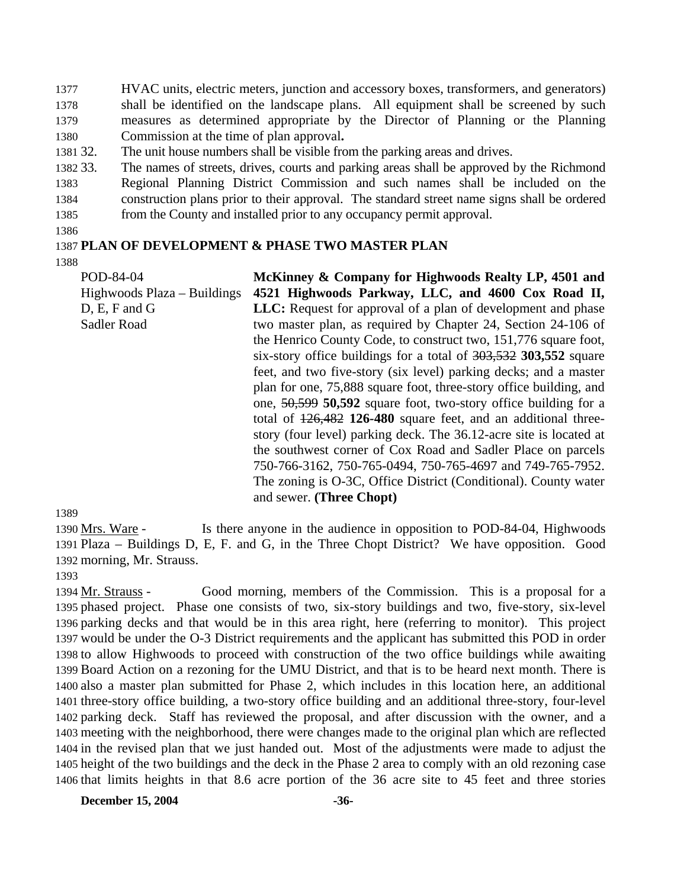1377 1378 1379 1380 HVAC units, electric meters, junction and accessory boxes, transformers, and generators) shall be identified on the landscape plans. All equipment shall be screened by such measures as determined appropriate by the Director of Planning or the Planning Commission at the time of plan approval**.**

1381 32. The unit house numbers shall be visible from the parking areas and drives.

1382 33. 1383 1384 1385 The names of streets, drives, courts and parking areas shall be approved by the Richmond Regional Planning District Commission and such names shall be included on the construction plans prior to their approval. The standard street name signs shall be ordered from the County and installed prior to any occupancy permit approval.

1386

### 1387 **PLAN OF DEVELOPMENT & PHASE TWO MASTER PLAN**

1388

POD-84-04 Highwoods Plaza – Buildings D, E, F and G Sadler Road **McKinney & Company for Highwoods Realty LP, 4501 and 4521 Highwoods Parkway, LLC, and 4600 Cox Road II, LLC:** Request for approval of a plan of development and phase two master plan, as required by Chapter 24, Section 24-106 of the Henrico County Code, to construct two, 151,776 square foot, six-story office buildings for a total of 303,532 **303,552** square feet, and two five-story (six level) parking decks; and a master plan for one, 75,888 square foot, three-story office building, and one, 50,599 **50,592** square foot, two-story office building for a total of 126,482 **126-480** square feet, and an additional threestory (four level) parking deck. The 36.12-acre site is located at the southwest corner of Cox Road and Sadler Place on parcels 750-766-3162, 750-765-0494, 750-765-4697 and 749-765-7952. The zoning is O-3C, Office District (Conditional). County water and sewer. **(Three Chopt)** 

1389

Is there anyone in the audience in opposition to POD-84-04, Highwoods 1391 Plaza - Buildings D, E, F. and G, in the Three Chopt District? We have opposition. Good 1392 morning, Mr. Strauss. 1390 Mrs. Ware -

1393

Good morning, members of the Commission. This is a proposal for a 1395 phased project. Phase one consists of two, six-story buildings and two, five-story, six-level 1396 parking decks and that would be in this area right, here (referring to monitor). This project 1397 would be under the O-3 District requirements and the applicant has submitted this POD in order 1398 to allow Highwoods to proceed with construction of the two office buildings while awaiting 1399 Board Action on a rezoning for the UMU District, and that is to be heard next month. There is 1400 also a master plan submitted for Phase 2, which includes in this location here, an additional 1401 three-story office building, a two-story office building and an additional three-story, four-level 1402 parking deck. Staff has reviewed the proposal, and after discussion with the owner, and a 1403 meeting with the neighborhood, there were changes made to the original plan which are reflected 1404 in the revised plan that we just handed out. Most of the adjustments were made to adjust the 1405 height of the two buildings and the deck in the Phase 2 area to comply with an old rezoning case 1406 that limits heights in that 8.6 acre portion of the 36 acre site to 45 feet and three stories 1394 Mr. Strauss -

**December 15, 2004** -36-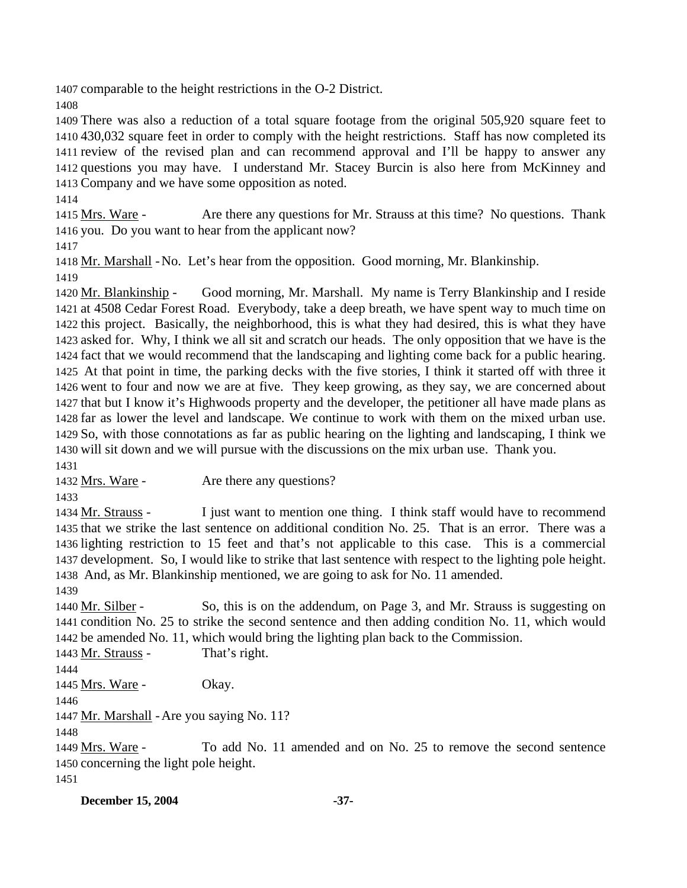1407 comparable to the height restrictions in the O-2 District.

1408

 There was also a reduction of a total square footage from the original 505,920 square feet to 430,032 square feet in order to comply with the height restrictions. Staff has now completed its review of the revised plan and can recommend approval and I'll be happy to answer any questions you may have. I understand Mr. Stacey Burcin is also here from McKinney and Company and we have some opposition as noted.

1414

Are there any questions for Mr. Strauss at this time? No questions. Thank 1416 you. Do you want to hear from the applicant now? 1415 Mrs. Ware -

1417

1418 Mr. Marshall - No. Let's hear from the opposition. Good morning, Mr. Blankinship. 1419

Good morning, Mr. Marshall. My name is Terry Blankinship and I reside 1421 at 4508 Cedar Forest Road. Everybody, take a deep breath, we have spent way to much time on 1422 this project. Basically, the neighborhood, this is what they had desired, this is what they have 1423 asked for. Why, I think we all sit and scratch our heads. The only opposition that we have is the 1424 fact that we would recommend that the landscaping and lighting come back for a public hearing. 1425 At that point in time, the parking decks with the five stories, I think it started off with three it 1426 went to four and now we are at five. They keep growing, as they say, we are concerned about 1427 that but I know it's Highwoods property and the developer, the petitioner all have made plans as 1428 far as lower the level and landscape. We continue to work with them on the mixed urban use. 1429 So, with those connotations as far as public hearing on the lighting and landscaping, I think we 1430 will sit down and we will pursue with the discussions on the mix urban use. Thank you. 1420 Mr. Blankinship -1431

1432 Mrs. Ware - Are there any questions?

1433

I just want to mention one thing. I think staff would have to recommend 1435 that we strike the last sentence on additional condition No. 25. That is an error. There was a 1436 lighting restriction to 15 feet and that's not applicable to this case. This is a commercial 1437 development. So, I would like to strike that last sentence with respect to the lighting pole height. 1438 And, as Mr. Blankinship mentioned, we are going to ask for No. 11 amended. 1434 Mr. Strauss -

1439

So, this is on the addendum, on Page 3, and Mr. Strauss is suggesting on 1441 condition No. 25 to strike the second sentence and then adding condition No. 11, which would 1442 be amended No. 11, which would bring the lighting plan back to the Commission. 1440 Mr. Silber -

1443 Mr. Strauss - That's right.

1444

1445 Mrs. Ware - Okay.

1446

1447 Mr. Marshall - Are you saying No. 11?

1448

To add No. 11 amended and on No. 25 to remove the second sentence 1450 concerning the light pole height. 1449 Mrs. Ware -1451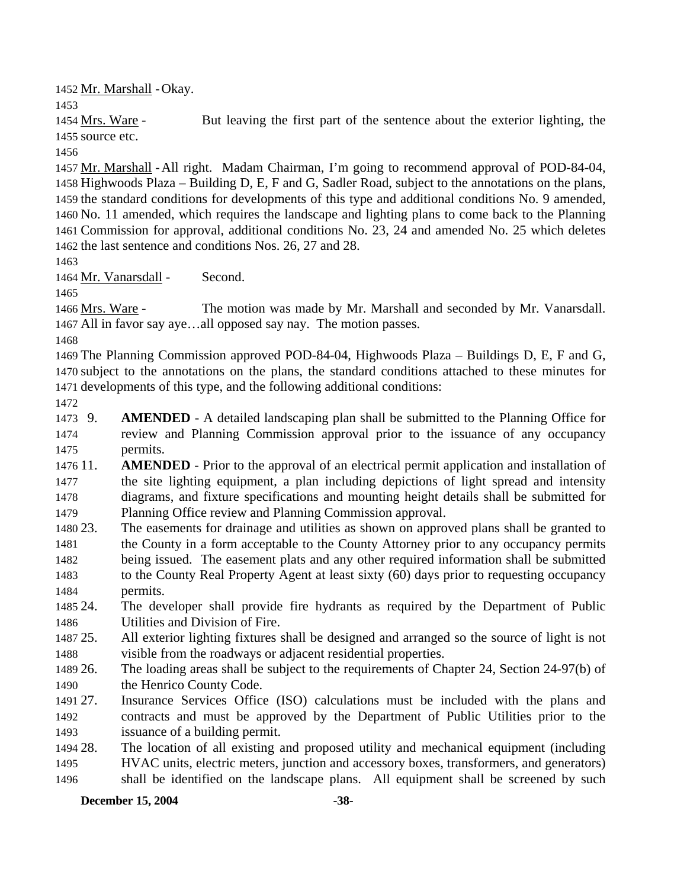1452 Mr. Marshall - Okay.

1453

But leaving the first part of the sentence about the exterior lighting, the 1455 source etc. 1454 Mrs. Ware -

1456

1457 Mr. Marshall - All right. Madam Chairman, I'm going to recommend approval of POD-84-04, 1458 Highwoods Plaza – Building D, E, F and G, Sadler Road, subject to the annotations on the plans, 1459 the standard conditions for developments of this type and additional conditions No. 9 amended, 1460 No. 11 amended, which requires the landscape and lighting plans to come back to the Planning 1461 Commission for approval, additional conditions No. 23, 24 and amended No. 25 which deletes 1462 the last sentence and conditions Nos. 26, 27 and 28.

1463

1464 Mr. Vanarsdall - Second.

1465

The motion was made by Mr. Marshall and seconded by Mr. Vanarsdall. 1467 All in favor say aye...all opposed say nay. The motion passes. 1466 Mrs. Ware -

1468

1469 The Planning Commission approved POD-84-04, Highwoods Plaza – Buildings D, E, F and G, 1470 subject to the annotations on the plans, the standard conditions attached to these minutes for 1471 developments of this type, and the following additional conditions:

- 1472
- 1473 9. 1474 1475 AMENDED - A detailed landscaping plan shall be submitted to the Planning Office for review and Planning Commission approval prior to the issuance of any occupancy permits.
- 1476 11. 1477 1478 1479 **AMENDED** - Prior to the approval of an electrical permit application and installation of the site lighting equipment, a plan including depictions of light spread and intensity diagrams, and fixture specifications and mounting height details shall be submitted for Planning Office review and Planning Commission approval.
- 1480 23 1481 1482 1483 1484 The easements for drainage and utilities as shown on approved plans shall be granted to the County in a form acceptable to the County Attorney prior to any occupancy permits being issued. The easement plats and any other required information shall be submitted to the County Real Property Agent at least sixty (60) days prior to requesting occupancy permits.
- 1485 24. 1486 The developer shall provide fire hydrants as required by the Department of Public Utilities and Division of Fire.
- 1487 25. 1488 25. All exterior lighting fixtures shall be designed and arranged so the source of light is not visible from the roadways or adjacent residential properties.
- 1489 26. 1490 26. The loading areas shall be subject to the requirements of Chapter 24, Section 24-97(b) of the Henrico County Code.
- 1491 27. 1492 1493 Insurance Services Office (ISO) calculations must be included with the plans and contracts and must be approved by the Department of Public Utilities prior to the issuance of a building permit.
- 1494 28. 1495 The location of all existing and proposed utility and mechanical equipment (including HVAC units, electric meters, junction and accessory boxes, transformers, and generators)
- 1496 shall be identified on the landscape plans. All equipment shall be screened by such

## **December 15, 2004** -38-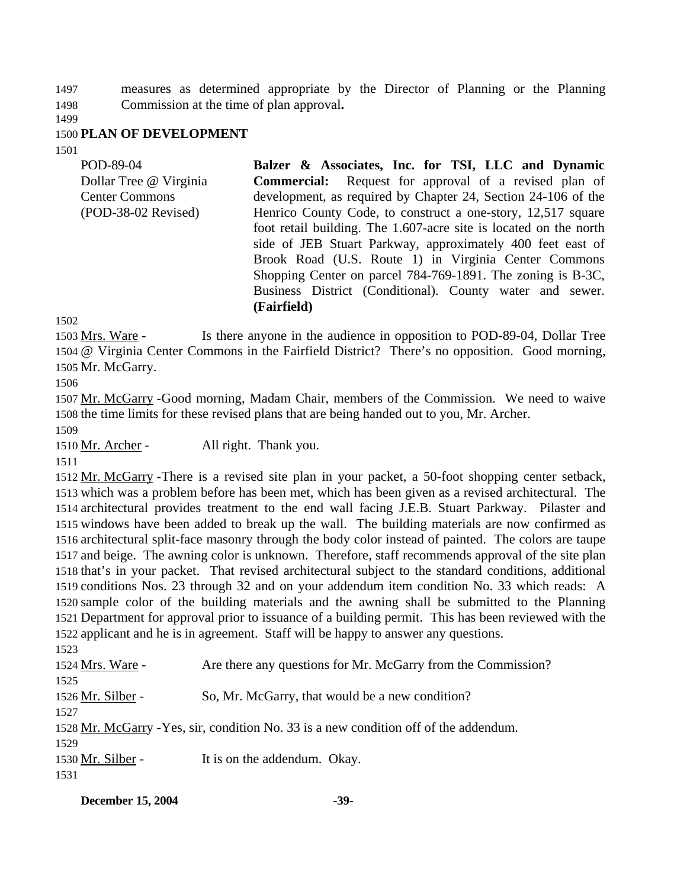1497 1498 measures as determined appropriate by the Director of Planning or the Planning Commission at the time of plan approval**.**

1499

### 1500 **PLAN OF DEVELOPMENT**

1501

| POD-89-04              | Balzer & Associates, Inc. for TSI, LLC and Dynamic                |
|------------------------|-------------------------------------------------------------------|
| Dollar Tree @ Virginia | <b>Commercial:</b> Request for approval of a revised plan of      |
| <b>Center Commons</b>  | development, as required by Chapter 24, Section 24-106 of the     |
| $(POD-38-02$ Revised)  | Henrico County Code, to construct a one-story, 12,517 square      |
|                        | foot retail building. The 1.607-acre site is located on the north |
|                        | side of JEB Stuart Parkway, approximately 400 feet east of        |
|                        | Brook Road (U.S. Route 1) in Virginia Center Commons              |
|                        | Shopping Center on parcel 784-769-1891. The zoning is B-3C,       |
|                        | Business District (Conditional). County water and sewer.          |
|                        | (Fairfield)                                                       |

1502

Is there anyone in the audience in opposition to POD-89-04, Dollar Tree @ Virginia Center Commons in the Fairfield District? There's no opposition. Good morning, 1504 1505 Mr. McGarry. 1503 Mrs. Ware -

1506

1507 Mr. McGarry - Good morning, Madam Chair, members of the Commission. We need to waive 1508 the time limits for these revised plans that are being handed out to you, Mr. Archer. 1509

1510 Mr. Archer - All right. Thank you.

1511

1512 Mr. McGarry - There is a revised site plan in your packet, a 50-foot shopping center setback, 1513 which was a problem before has been met, which has been given as a revised architectural. The 1514 architectural provides treatment to the end wall facing J.E.B. Stuart Parkway. Pilaster and 1515 windows have been added to break up the wall. The building materials are now confirmed as 1516 architectural split-face masonry through the body color instead of painted. The colors are taupe 1517 and beige. The awning color is unknown. Therefore, staff recommends approval of the site plan 1518 that's in your packet. That revised architectural subject to the standard conditions, additional 1519 conditions Nos. 23 through 32 and on your addendum item condition No. 33 which reads: A 1520 sample color of the building materials and the awning shall be submitted to the Planning 1521 Department for approval prior to issuance of a building permit. This has been reviewed with the 1522 applicant and he is in agreement. Staff will be happy to answer any questions.

1523

| 1524 Mrs. Ware -  | Are there any questions for Mr. McGarry from the Commission?                          |
|-------------------|---------------------------------------------------------------------------------------|
| 1525              |                                                                                       |
| 1526 Mr. Silber - | So, Mr. McGarry, that would be a new condition?                                       |
| 1527              |                                                                                       |
|                   | 1528 Mr. McGarry - Yes, sir, condition No. 33 is a new condition off of the addendum. |
| 1529              |                                                                                       |
| 1530 Mr. Silber - | It is on the addendum. Okay.                                                          |
| 1531              |                                                                                       |

**December 15, 2004** -39-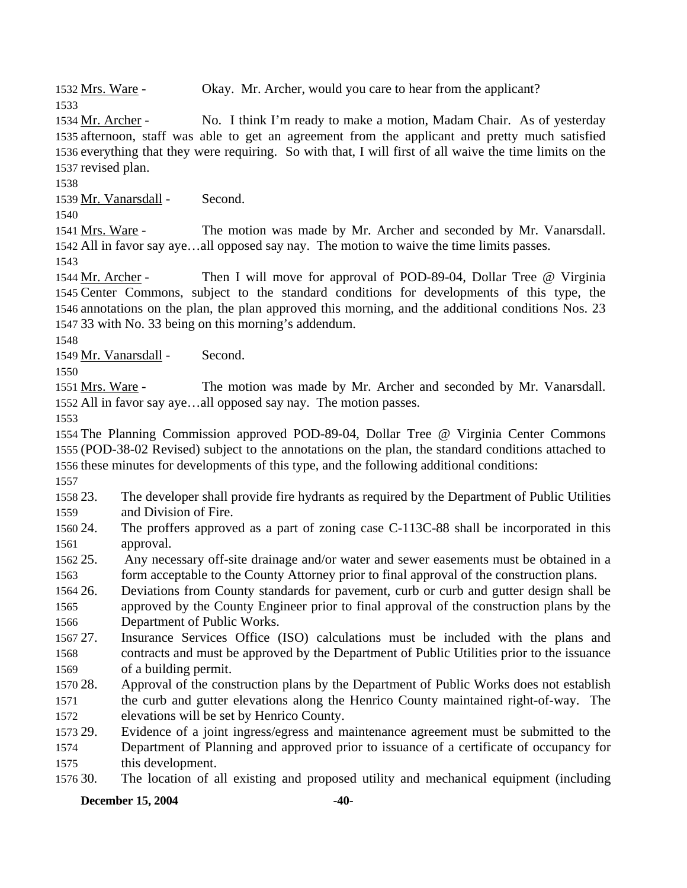1532 Mrs. Ware - Okay. Mr. Archer, would you care to hear from the applicant?

No. I think I'm ready to make a motion, Madam Chair. As of yesterday 1535 afternoon, staff was able to get an agreement from the applicant and pretty much satisfied 1536 everything that they were requiring. So with that, I will first of all waive the time limits on the 1537 revised plan. 1534 Mr. Archer -

1538

1533

1539 Mr. Vanarsdall - Second.

1540

The motion was made by Mr. Archer and seconded by Mr. Vanarsdall. All in favor say aye…all opposed say nay. The motion to waive the time limits passes. 1542 1541 Mrs. Ware -

1543

Then I will move for approval of POD-89-04, Dollar Tree @ Virginia 1545 Center Commons, subject to the standard conditions for developments of this type, the 1546 annotations on the plan, the plan approved this morning, and the additional conditions Nos. 23 33 with No. 33 being on this morning's addendum. 1547 1544 Mr. Archer -

1548

1549 Mr. Vanarsdall - Second.

1550

The motion was made by Mr. Archer and seconded by Mr. Vanarsdall. 1552 All in favor say aye...all opposed say nay. The motion passes. 1551 Mrs. Ware -

1553

1554 The Planning Commission approved POD-89-04, Dollar Tree @ Virginia Center Commons 1555 (POD-38-02 Revised) subject to the annotations on the plan, the standard conditions attached to 1556 these minutes for developments of this type, and the following additional conditions:

1557

1558 23. 1559 23. The developer shall provide fire hydrants as required by the Department of Public Utilities and Division of Fire.

1560 24. 1561 The proffers approved as a part of zoning case C-113C-88 shall be incorporated in this approval.

1562 25. 1563 Any necessary off-site drainage and/or water and sewer easements must be obtained in a form acceptable to the County Attorney prior to final approval of the construction plans.

1564 26. 1565 26. Deviations from County standards for pavement, curb or curb and gutter design shall be approved by the County Engineer prior to final approval of the construction plans by the

1566 Department of Public Works.

1567.27 1568 1569 Insurance Services Office (ISO) calculations must be included with the plans and contracts and must be approved by the Department of Public Utilities prior to the issuance of a building permit.

1570 28. 1571 1572 Approval of the construction plans by the Department of Public Works does not establish the curb and gutter elevations along the Henrico County maintained right-of-way. The elevations will be set by Henrico County.

1573 29. 1574 1575 Evidence of a joint ingress/egress and maintenance agreement must be submitted to the Department of Planning and approved prior to issuance of a certificate of occupancy for this development.

1576 30. 30. The location of all existing and proposed utility and mechanical equipment (including

### **December 15, 2004** -40-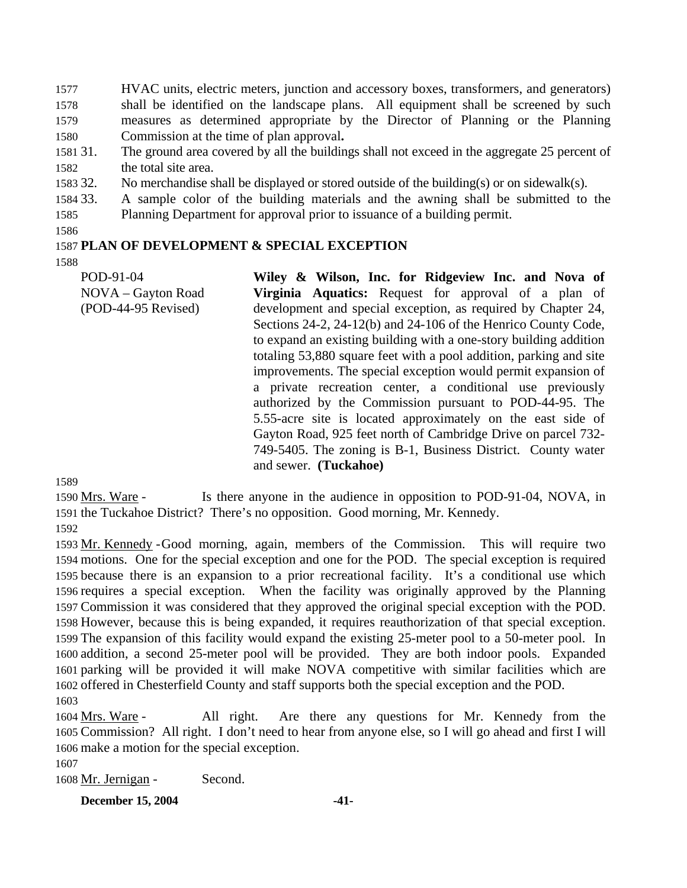1577 1578 1579 1580 HVAC units, electric meters, junction and accessory boxes, transformers, and generators) shall be identified on the landscape plans. All equipment shall be screened by such measures as determined appropriate by the Director of Planning or the Planning Commission at the time of plan approval**.**

- 1581 31. 1582 The ground area covered by all the buildings shall not exceed in the aggregate 25 percent of the total site area.
- 1583 32. No merchandise shall be displayed or stored outside of the building(s) or on sidewalk(s).
- 1584 33. 1585 33. A sample color of the building materials and the awning shall be submitted to the Planning Department for approval prior to issuance of a building permit.
- 1586

## 1587 **PLAN OF DEVELOPMENT & SPECIAL EXCEPTION**

1588

POD-91-04 NOVA – Gayton Road (POD-44-95 Revised) **Wiley & Wilson, Inc. for Ridgeview Inc. and Nova of Virginia Aquatics:** Request for approval of a plan of development and special exception, as required by Chapter 24, Sections 24-2, 24-12(b) and 24-106 of the Henrico County Code, to expand an existing building with a one-story building addition totaling 53,880 square feet with a pool addition, parking and site improvements. The special exception would permit expansion of a private recreation center, a conditional use previously authorized by the Commission pursuant to POD-44-95. The 5.55-acre site is located approximately on the east side of Gayton Road, 925 feet north of Cambridge Drive on parcel 732- 749-5405. The zoning is B-1, Business District. County water and sewer. **(Tuckahoe)** 

1589

Is there anyone in the audience in opposition to POD-91-04, NOVA, in 1591 the Tuckahoe District? There's no opposition. Good morning, Mr. Kennedy. 1590 Mrs. Ware -

1592

1593 Mr. Kennedy - Good morning, again, members of the Commission. This will require two 1594 motions. One for the special exception and one for the POD. The special exception is required 1595 because there is an expansion to a prior recreational facility. It's a conditional use which 1596 requires a special exception. When the facility was originally approved by the Planning 1597 Commission it was considered that they approved the original special exception with the POD. 1598 However, because this is being expanded, it requires reauthorization of that special exception. 1599 The expansion of this facility would expand the existing 25-meter pool to a 50-meter pool. In 1600 addition, a second 25-meter pool will be provided. They are both indoor pools. Expanded 1601 parking will be provided it will make NOVA competitive with similar facilities which are 1602 offered in Chesterfield County and staff supports both the special exception and the POD. 1603

All right. Are there any questions for Mr. Kennedy from the 1605 Commission? All right. I don't need to hear from anyone else, so I will go ahead and first I will 1606 make a motion for the special exception. 1604 Mrs. Ware -

1607

1608 Mr. Jernigan - Second.

**December 15, 2004** -41-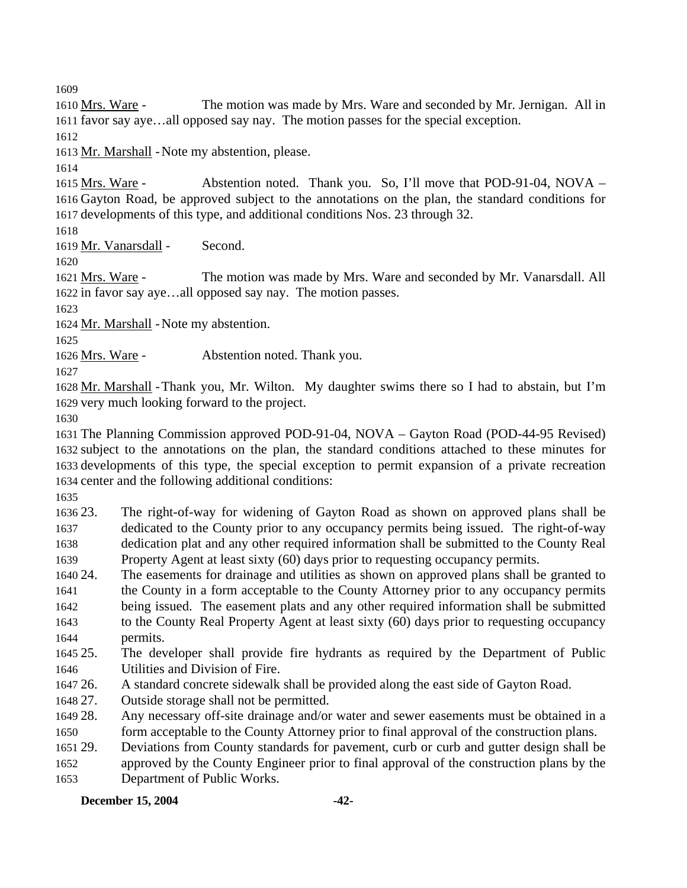1609

The motion was made by Mrs. Ware and seconded by Mr. Jernigan. All in 1611 favor say aye...all opposed say nay. The motion passes for the special exception. 1610 Mrs. Ware -

1612

1613 Mr. Marshall - Note my abstention, please.

1614

Abstention noted. Thank you. So, I'll move that POD-91-04,  $NOVA$  – 1616 Gayton Road, be approved subject to the annotations on the plan, the standard conditions for 1617 developments of this type, and additional conditions Nos. 23 through 32. 1615 Mrs. Ware -

1618

1619 Mr. Vanarsdall - Second.

1620

The motion was made by Mrs. Ware and seconded by Mr. Vanarsdall. All 1622 in favor say aye...all opposed say nay. The motion passes. 1621 Mrs. Ware -

1623

1624 Mr. Marshall - Note my abstention.

1625

1626 Mrs. Ware - Abstention noted. Thank you.

1627

1628 Mr. Marshall - Thank you, Mr. Wilton. My daughter swims there so I had to abstain, but I'm 1629 very much looking forward to the project.

1630

 The Planning Commission approved POD-91-04, NOVA – Gayton Road (POD-44-95 Revised) subject to the annotations on the plan, the standard conditions attached to these minutes for developments of this type, the special exception to permit expansion of a private recreation center and the following additional conditions:

1635

1636 23. 1637 1638 1639 The right-of-way for widening of Gayton Road as shown on approved plans shall be dedicated to the County prior to any occupancy permits being issued. The right-of-way dedication plat and any other required information shall be submitted to the County Real Property Agent at least sixty (60) days prior to requesting occupancy permits.

1640 24. The easements for drainage and utilities as shown on approved plans shall be granted to

1641 1642 1643 the County in a form acceptable to the County Attorney prior to any occupancy permits being issued. The easement plats and any other required information shall be submitted to the County Real Property Agent at least sixty (60) days prior to requesting occupancy

- 1644 permits.
- 1645 25. 1646 The developer shall provide fire hydrants as required by the Department of Public Utilities and Division of Fire.
- 1647 26 26. A standard concrete sidewalk shall be provided along the east side of Gayton Road.
- 1648 27. Outside storage shall not be permitted.
- 1649 28. 1650 Any necessary off-site drainage and/or water and sewer easements must be obtained in a form acceptable to the County Attorney prior to final approval of the construction plans.
- 1651 29. 29. Deviations from County standards for pavement, curb or curb and gutter design shall be
- 1652 1653 approved by the County Engineer prior to final approval of the construction plans by the

Department of Public Works.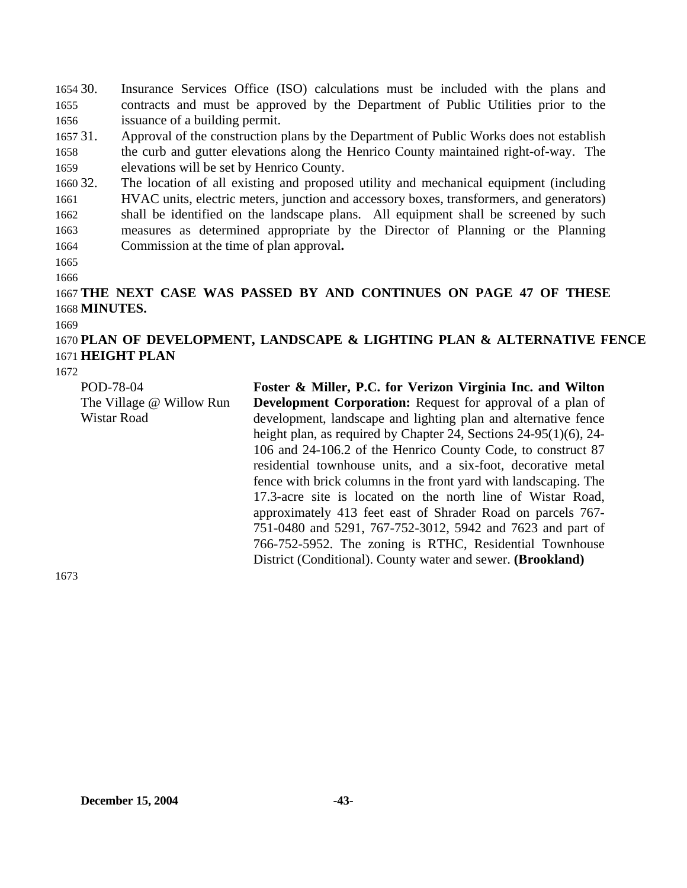1654 30. 1655 1656 Insurance Services Office (ISO) calculations must be included with the plans and contracts and must be approved by the Department of Public Utilities prior to the issuance of a building permit.

1657 31. 1658 1659 Approval of the construction plans by the Department of Public Works does not establish the curb and gutter elevations along the Henrico County maintained right-of-way. The elevations will be set by Henrico County.

1660 32. 1661 1662 1663 1664 The location of all existing and proposed utility and mechanical equipment (including HVAC units, electric meters, junction and accessory boxes, transformers, and generators) shall be identified on the landscape plans. All equipment shall be screened by such measures as determined appropriate by the Director of Planning or the Planning Commission at the time of plan approval**.**

1665

1666

# 1667 **THE NEXT CASE WAS PASSED BY AND CONTINUES ON PAGE 47 OF THESE**  1668 **MINUTES.**

#### 1669

# 1670 **PLAN OF DEVELOPMENT, LANDSCAPE & LIGHTING PLAN & ALTERNATIVE FENCE**  1671 **HEIGHT PLAN**

1672

| POD-78-04<br>The Village @ Willow Run | Foster & Miller, P.C. for Verizon Virginia Inc. and Wilton<br><b>Development Corporation:</b> Request for approval of a plan of                                                                                                                                                                                                                                                                                                                                                                                                                                                                                                                                            |
|---------------------------------------|----------------------------------------------------------------------------------------------------------------------------------------------------------------------------------------------------------------------------------------------------------------------------------------------------------------------------------------------------------------------------------------------------------------------------------------------------------------------------------------------------------------------------------------------------------------------------------------------------------------------------------------------------------------------------|
| Wistar Road                           | development, landscape and lighting plan and alternative fence<br>height plan, as required by Chapter 24, Sections $24-95(1)(6)$ , 24-<br>106 and 24-106.2 of the Henrico County Code, to construct 87<br>residential townhouse units, and a six-foot, decorative metal<br>fence with brick columns in the front yard with landscaping. The<br>17.3-acre site is located on the north line of Wistar Road,<br>approximately 413 feet east of Shrader Road on parcels 767-<br>751-0480 and 5291, 767-752-3012, 5942 and 7623 and part of<br>766-752-5952. The zoning is RTHC, Residential Townhouse<br>District (Conditional). County water and sewer. ( <b>Brookland</b> ) |
|                                       |                                                                                                                                                                                                                                                                                                                                                                                                                                                                                                                                                                                                                                                                            |

1673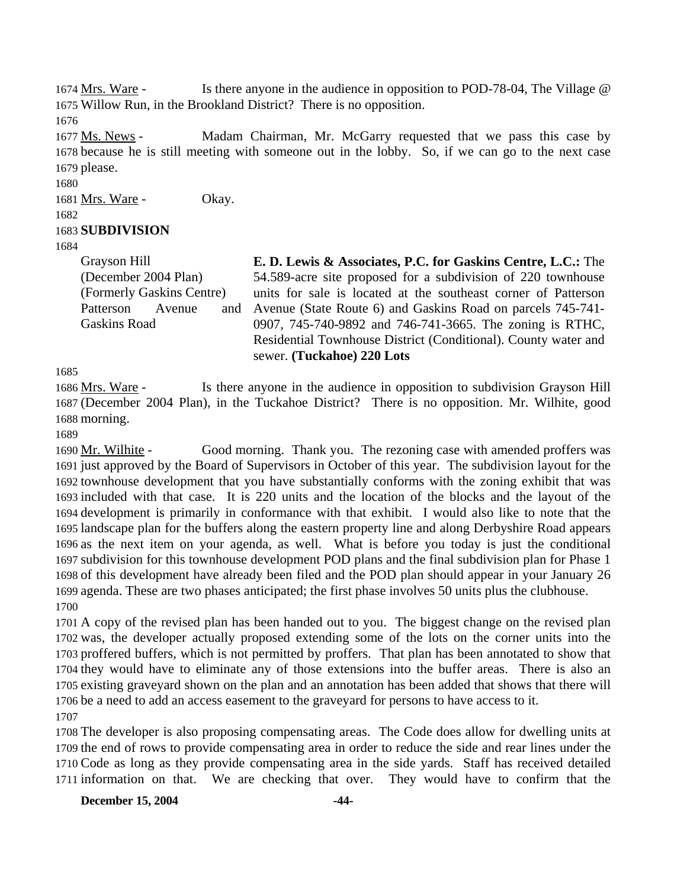Is there anyone in the audience in opposition to POD-78-04, The Village  $\omega$ 1675 Willow Run, in the Brookland District? There is no opposition. 1674 Mrs. Ware -

1676

Madam Chairman, Mr. McGarry requested that we pass this case by 1678 because he is still meeting with someone out in the lobby. So, if we can go to the next case 1679 please. 1677 Ms. News -

1680

1681 Mrs. Ware - Okay.

1682

# 1683 **SUBDIVISION**

1684

Grayson Hill (December 2004 Plan) (Formerly Gaskins Centre) Patterson Avenue and Gaskins Road

**E. D. Lewis & Associates, P.C. for Gaskins Centre, L.C.:** The 54.589-acre site proposed for a subdivision of 220 townhouse units for sale is located at the southeast corner of Patterson Avenue (State Route 6) and Gaskins Road on parcels 745-741- 0907, 745-740-9892 and 746-741-3665. The zoning is RTHC, Residential Townhouse District (Conditional). County water and sewer. **(Tuckahoe) 220 Lots** 

1685

Is there anyone in the audience in opposition to subdivision Grayson Hill (December 2004 Plan), in the Tuckahoe District? There is no opposition. Mr. Wilhite, good 1687 1688 morning. 1686 Mrs. Ware -

1689

Good morning. Thank you. The rezoning case with amended proffers was 1691 just approved by the Board of Supervisors in October of this year. The subdivision layout for the 1692 townhouse development that you have substantially conforms with the zoning exhibit that was 1693 included with that case. It is 220 units and the location of the blocks and the layout of the 1694 development is primarily in conformance with that exhibit. I would also like to note that the 1695 landscape plan for the buffers along the eastern property line and along Derbyshire Road appears 1696 as the next item on your agenda, as well. What is before you today is just the conditional 1697 subdivision for this townhouse development POD plans and the final subdivision plan for Phase 1 1698 of this development have already been filed and the POD plan should appear in your January 26 1699 agenda. These are two phases anticipated; the first phase involves 50 units plus the clubhouse. 1690 Mr. Wilhite -1700

 A copy of the revised plan has been handed out to you. The biggest change on the revised plan was, the developer actually proposed extending some of the lots on the corner units into the proffered buffers, which is not permitted by proffers. That plan has been annotated to show that they would have to eliminate any of those extensions into the buffer areas. There is also an existing graveyard shown on the plan and an annotation has been added that shows that there will be a need to add an access easement to the graveyard for persons to have access to it.

1707

 The developer is also proposing compensating areas. The Code does allow for dwelling units at the end of rows to provide compensating area in order to reduce the side and rear lines under the Code as long as they provide compensating area in the side yards. Staff has received detailed information on that. We are checking that over. They would have to confirm that the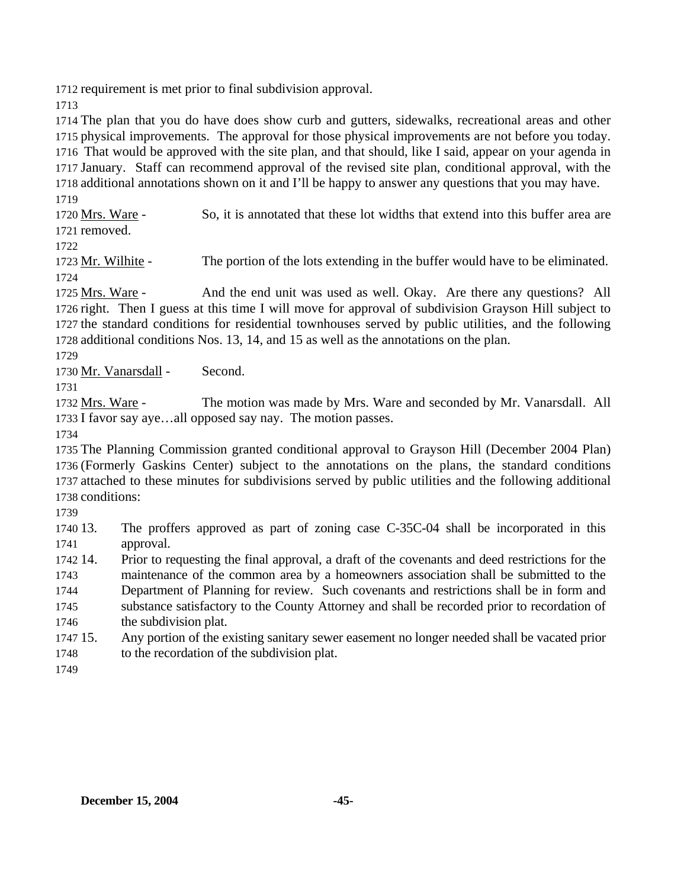1712 requirement is met prior to final subdivision approval.

1713

 The plan that you do have does show curb and gutters, sidewalks, recreational areas and other physical improvements. The approval for those physical improvements are not before you today. That would be approved with the site plan, and that should, like I said, appear on your agenda in January. Staff can recommend approval of the revised site plan, conditional approval, with the additional annotations shown on it and I'll be happy to answer any questions that you may have. 1719

So, it is annotated that these lot widths that extend into this buffer area are 1721 removed. 1720 Mrs. Ware -

1722

1723 Mr. Wilhite - The portion of the lots extending in the buffer would have to be eliminated. 1724

And the end unit was used as well. Okay. Are there any questions? All 1726 right. Then I guess at this time I will move for approval of subdivision Grayson Hill subject to 1727 the standard conditions for residential townhouses served by public utilities, and the following 1728 additional conditions Nos. 13, 14, and 15 as well as the annotations on the plan. 1725 Mrs. Ware -

1729

1730 Mr. Vanarsdall - Second.

1731

The motion was made by Mrs. Ware and seconded by Mr. Vanarsdall. All 1733 I favor say aye...all opposed say nay. The motion passes. 1732 Mrs. Ware -

1734

 The Planning Commission granted conditional approval to Grayson Hill (December 2004 Plan) (Formerly Gaskins Center) subject to the annotations on the plans, the standard conditions attached to these minutes for subdivisions served by public utilities and the following additional conditions:

1739

1740 13. 1741 The proffers approved as part of zoning case C-35C-04 shall be incorporated in this approval.

1742 14. 14. Prior to requesting the final approval, a draft of the covenants and deed restrictions for the

- 1743 1744 1745 1746 maintenance of the common area by a homeowners association shall be submitted to the Department of Planning for review. Such covenants and restrictions shall be in form and substance satisfactory to the County Attorney and shall be recorded prior to recordation of the subdivision plat.
- 1747 15 1748 15. Any portion of the existing sanitary sewer easement no longer needed shall be vacated prior to the recordation of the subdivision plat.

1749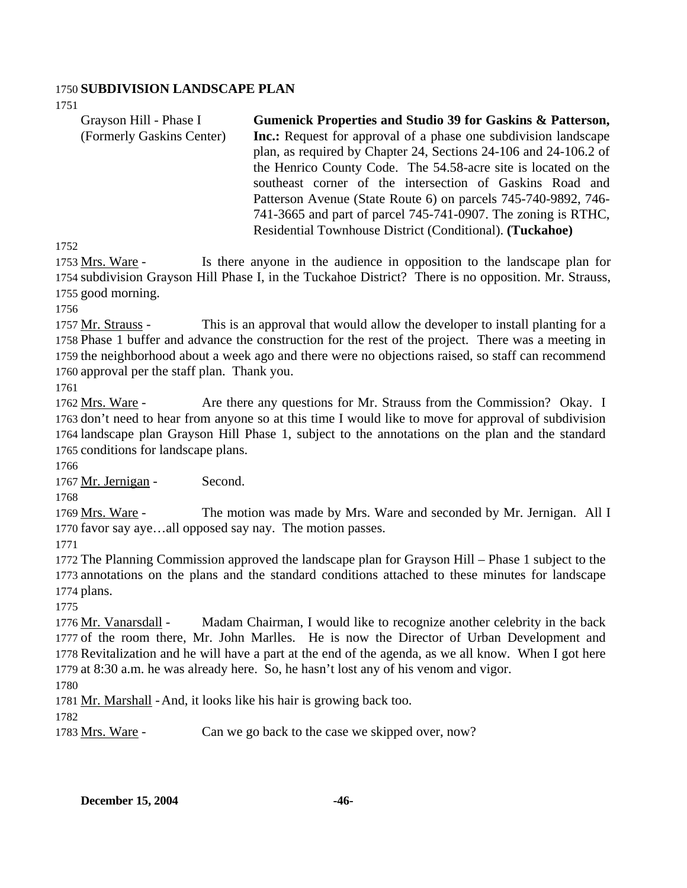### 1750 **SUBDIVISION LANDSCAPE PLAN**

1751

| Grayson Hill - Phase I    | <b>Gumenick Properties and Studio 39 for Gaskins &amp; Patterson,</b>  |
|---------------------------|------------------------------------------------------------------------|
| (Formerly Gaskins Center) | <b>Inc.:</b> Request for approval of a phase one subdivision landscape |
|                           | plan, as required by Chapter 24, Sections 24-106 and 24-106.2 of       |
|                           | the Henrico County Code. The 54.58-acre site is located on the         |
|                           | southeast corner of the intersection of Gaskins Road and               |
|                           | Patterson Avenue (State Route 6) on parcels 745-740-9892, 746-         |
|                           | 741-3665 and part of parcel 745-741-0907. The zoning is RTHC,          |
|                           | Residential Townhouse District (Conditional). (Tuckahoe)               |

1752

Is there anyone in the audience in opposition to the landscape plan for 1754 subdivision Grayson Hill Phase I, in the Tuckahoe District? There is no opposition. Mr. Strauss, 1755 good morning. 1753 Mrs. Ware -

1756

This is an approval that would allow the developer to install planting for a 1758 Phase 1 buffer and advance the construction for the rest of the project. There was a meeting in 1759 the neighborhood about a week ago and there were no objections raised, so staff can recommend 1760 approval per the staff plan. Thank you. 1757 Mr. Strauss -

1761

Are there any questions for Mr. Strauss from the Commission? Okay. I 1763 don't need to hear from anyone so at this time I would like to move for approval of subdivision 1764 landscape plan Grayson Hill Phase 1, subject to the annotations on the plan and the standard 1765 conditions for landscape plans. 1762 Mrs. Ware -

1766

1767 Mr. Jernigan - Second.

1768

The motion was made by Mrs. Ware and seconded by Mr. Jernigan. All I 1770 favor say aye...all opposed say nay. The motion passes. 1769 Mrs. Ware -

1771

1772 The Planning Commission approved the landscape plan for Grayson Hill – Phase 1 subject to the 1773 annotations on the plans and the standard conditions attached to these minutes for landscape 1774 plans.

1775

Madam Chairman, I would like to recognize another celebrity in the back 1777 of the room there, Mr. John Marlles. He is now the Director of Urban Development and 1778 Revitalization and he will have a part at the end of the agenda, as we all know. When I got here 1779 at 8:30 a.m. he was already here. So, he hasn't lost any of his venom and vigor. 1776 Mr. Vanarsdall -

1780

1781 Mr. Marshall - And, it looks like his hair is growing back too.

1782

1783 Mrs. Ware - Can we go back to the case we skipped over, now?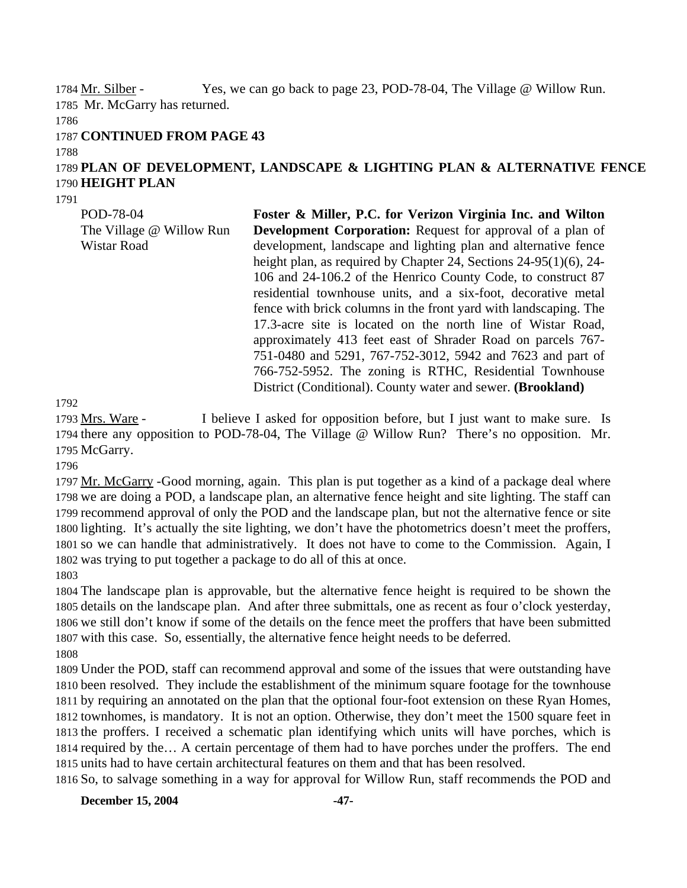Yes, we can go back to page 23, POD-78-04, The Village  $@$  Willow Run. 1785 Mr. McGarry has returned. 1784 Mr. Silber -

1786

#### 1787 **CONTINUED FROM PAGE 43**

1788

# 1789 **PLAN OF DEVELOPMENT, LANDSCAPE & LIGHTING PLAN & ALTERNATIVE FENCE**  1790 **HEIGHT PLAN**

1791

POD-78-04

| POD-78-04                | Foster & Miller, P.C. for Verizon Virginia Inc. and Wilton           |
|--------------------------|----------------------------------------------------------------------|
| The Village @ Willow Run | <b>Development Corporation:</b> Request for approval of a plan of    |
| Wistar Road              | development, landscape and lighting plan and alternative fence       |
|                          | height plan, as required by Chapter 24, Sections $24-95(1)(6)$ , 24- |
|                          | 106 and 24-106.2 of the Henrico County Code, to construct 87         |
|                          | residential townhouse units, and a six-foot, decorative metal        |
|                          | fence with brick columns in the front yard with landscaping. The     |
|                          | 17.3-acre site is located on the north line of Wistar Road,          |
|                          | approximately 413 feet east of Shrader Road on parcels 767-          |
|                          | 751-0480 and 5291, 767-752-3012, 5942 and 7623 and part of           |
|                          | 766-752-5952. The zoning is RTHC, Residential Townhouse              |
|                          | District (Conditional). County water and sewer. (Brookland)          |

1792

I believe I asked for opposition before, but I just want to make sure. Is 1794 there any opposition to POD-78-04, The Village @ Willow Run? There's no opposition. Mr. 1795 McGarry. 1793 Mrs. Ware -

1796

1797 Mr. McGarry - Good morning, again. This plan is put together as a kind of a package deal where 1798 we are doing a POD, a landscape plan, an alternative fence height and site lighting. The staff can 1799 recommend approval of only the POD and the landscape plan, but not the alternative fence or site 1800 lighting. It's actually the site lighting, we don't have the photometrics doesn't meet the proffers, 1801 so we can handle that administratively. It does not have to come to the Commission. Again, I 1802 was trying to put together a package to do all of this at once.

1803

 The landscape plan is approvable, but the alternative fence height is required to be shown the details on the landscape plan. And after three submittals, one as recent as four o'clock yesterday, we still don't know if some of the details on the fence meet the proffers that have been submitted with this case. So, essentially, the alternative fence height needs to be deferred. 1808

 Under the POD, staff can recommend approval and some of the issues that were outstanding have been resolved. They include the establishment of the minimum square footage for the townhouse by requiring an annotated on the plan that the optional four-foot extension on these Ryan Homes, townhomes, is mandatory. It is not an option. Otherwise, they don't meet the 1500 square feet in the proffers. I received a schematic plan identifying which units will have porches, which is required by the… A certain percentage of them had to have porches under the proffers. The end units had to have certain architectural features on them and that has been resolved.

1816 So, to salvage something in a way for approval for Willow Run, staff recommends the POD and

**December 15, 2004** -47-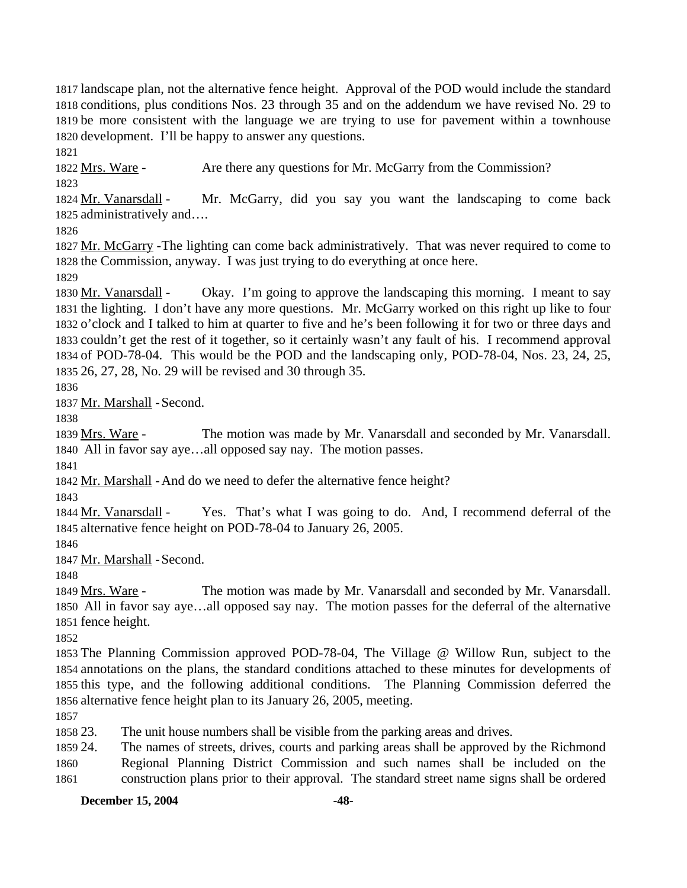landscape plan, not the alternative fence height. Approval of the POD would include the standard conditions, plus conditions Nos. 23 through 35 and on the addendum we have revised No. 29 to be more consistent with the language we are trying to use for pavement within a townhouse development. I'll be happy to answer any questions.

1821

1822 Mrs. Ware - Are there any questions for Mr. McGarry from the Commission?

1823

Mr. McGarry, did you say you want the landscaping to come back 1825 administratively and.... 1824 Mr. Vanarsdall -

1826

1827 Mr. McGarry - The lighting can come back administratively. That was never required to come to 1828 the Commission, anyway. I was just trying to do everything at once here.

1829

Okay. I'm going to approve the landscaping this morning. I meant to say 1831 the lighting. I don't have any more questions. Mr. McGarry worked on this right up like to four 1832 o'clock and I talked to him at quarter to five and he's been following it for two or three days and 1833 couldn't get the rest of it together, so it certainly wasn't any fault of his. I recommend approval 1834 of POD-78-04. This would be the POD and the landscaping only, POD-78-04, Nos. 23, 24, 25, 26, 27, 28, No. 29 will be revised and 30 through 35. 1835 1830 Mr. Vanarsdall -

1836

1837 Mr. Marshall - Second.

1838

The motion was made by Mr. Vanarsdall and seconded by Mr. Vanarsdall. 1840 All in favor say aye...all opposed say nay. The motion passes. 1839 Mrs. Ware -

1841

1842 Mr. Marshall - And do we need to defer the alternative fence height?

1843

Yes. That's what I was going to do. And, I recommend deferral of the 1845 alternative fence height on POD-78-04 to January 26, 2005. 1844 Mr. Vanarsdall -

1846

1847 Mr. Marshall - Second.

1848

The motion was made by Mr. Vanarsdall and seconded by Mr. Vanarsdall. All in favor say aye…all opposed say nay. The motion passes for the deferral of the alternative 1850 1851 fence height. 1849 Mrs. Ware -

1852

 The Planning Commission approved POD-78-04, The Village @ Willow Run, subject to the annotations on the plans, the standard conditions attached to these minutes for developments of this type, and the following additional conditions. The Planning Commission deferred the alternative fence height plan to its January 26, 2005, meeting.

1857

1858 23 The unit house numbers shall be visible from the parking areas and drives.

1859 24. 1860 The names of streets, drives, courts and parking areas shall be approved by the Richmond Regional Planning District Commission and such names shall be included on the

1861 construction plans prior to their approval. The standard street name signs shall be ordered

**December 15, 2004** -48-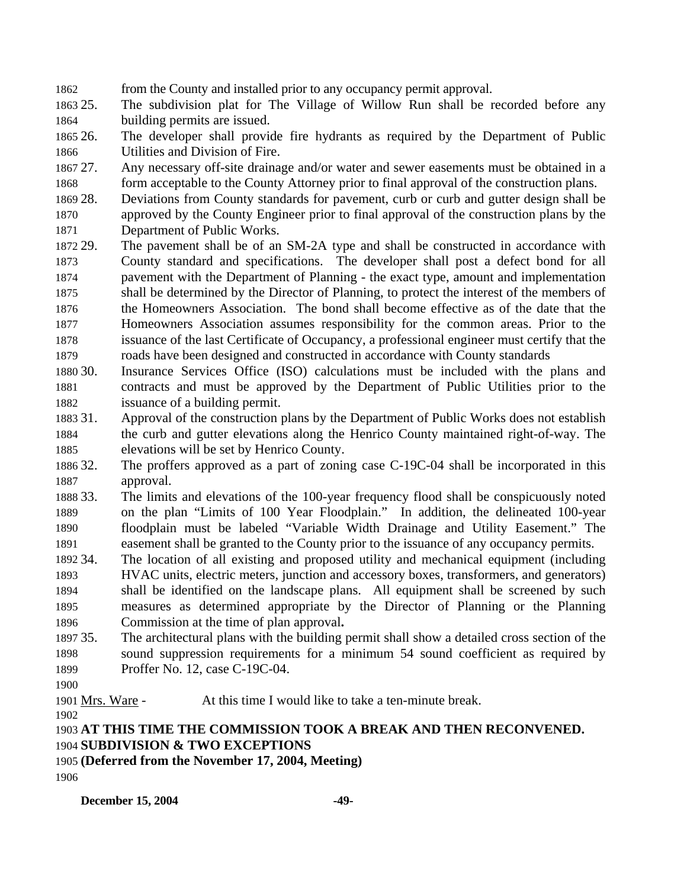1862 from the County and installed prior to any occupancy permit approval.

1863 25. 1864 The subdivision plat for The Village of Willow Run shall be recorded before any building permits are issued.

1865 26. 1866 The developer shall provide fire hydrants as required by the Department of Public Utilities and Division of Fire.

1867 27. 1868 Any necessary off-site drainage and/or water and sewer easements must be obtained in a form acceptable to the County Attorney prior to final approval of the construction plans.

1869 28. 1870 1871 28. Deviations from County standards for pavement, curb or curb and gutter design shall be approved by the County Engineer prior to final approval of the construction plans by the Department of Public Works.

1872 29. 1873 1874 1875 1876 1877 1878 1879 The pavement shall be of an SM-2A type and shall be constructed in accordance with County standard and specifications. The developer shall post a defect bond for all pavement with the Department of Planning - the exact type, amount and implementation shall be determined by the Director of Planning, to protect the interest of the members of the Homeowners Association. The bond shall become effective as of the date that the Homeowners Association assumes responsibility for the common areas. Prior to the issuance of the last Certificate of Occupancy, a professional engineer must certify that the roads have been designed and constructed in accordance with County standards

1880 30. 1881 1882 Insurance Services Office (ISO) calculations must be included with the plans and contracts and must be approved by the Department of Public Utilities prior to the issuance of a building permit.

1883 31. 1884 1885 Approval of the construction plans by the Department of Public Works does not establish the curb and gutter elevations along the Henrico County maintained right-of-way. The elevations will be set by Henrico County.

1886 32 1887 The proffers approved as a part of zoning case C-19C-04 shall be incorporated in this approval.

1888 33. 1889 1890 1891 33. The limits and elevations of the 100-year frequency flood shall be conspicuously noted on the plan "Limits of 100 Year Floodplain." In addition, the delineated 100-year floodplain must be labeled "Variable Width Drainage and Utility Easement." The easement shall be granted to the County prior to the issuance of any occupancy permits.

1892 34. 1893 1894 1895 1896 The location of all existing and proposed utility and mechanical equipment (including HVAC units, electric meters, junction and accessory boxes, transformers, and generators) shall be identified on the landscape plans. All equipment shall be screened by such measures as determined appropriate by the Director of Planning or the Planning Commission at the time of plan approval**.**

1897 35. 1898 1899 The architectural plans with the building permit shall show a detailed cross section of the sound suppression requirements for a minimum 54 sound coefficient as required by Proffer No. 12, case C-19C-04.

1900

1901 Mrs. Ware - At this time I would like to take a ten-minute break. 1902

# 1903 **AT THIS TIME THE COMMISSION TOOK A BREAK AND THEN RECONVENED.**  1904 **SUBDIVISION & TWO EXCEPTIONS**

## 1905 **(Deferred from the November 17, 2004, Meeting)**

1906

**December 15, 2004** -49-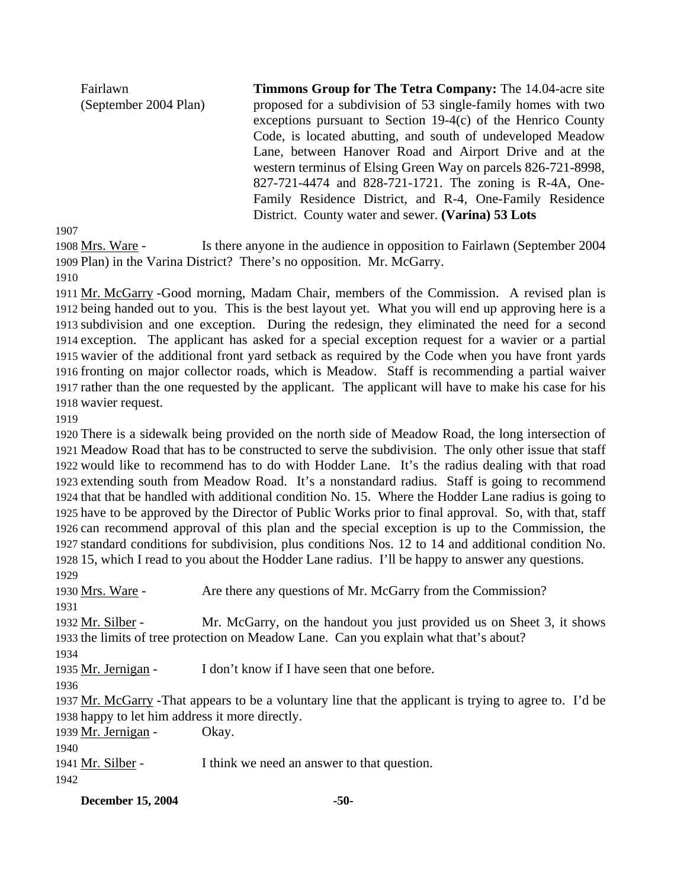Fairlawn (September 2004 Plan) **Timmons Group for The Tetra Company:** The 14.04-acre site proposed for a subdivision of 53 single-family homes with two exceptions pursuant to Section 19-4(c) of the Henrico County Code, is located abutting, and south of undeveloped Meadow Lane, between Hanover Road and Airport Drive and at the western terminus of Elsing Green Way on parcels 826-721-8998, 827-721-4474 and 828-721-1721. The zoning is R-4A, One-Family Residence District, and R-4, One-Family Residence District. County water and sewer. **(Varina) 53 Lots** 

1907

Is there anyone in the audience in opposition to Fairlawn (September 2004) 1909 Plan) in the Varina District? There's no opposition. Mr. McGarry. 1908 Mrs. Ware -

1910

1911 Mr. McGarry - Good morning, Madam Chair, members of the Commission. A revised plan is 1912 being handed out to you. This is the best layout yet. What you will end up approving here is a 1913 subdivision and one exception. During the redesign, they eliminated the need for a second 1914 exception. The applicant has asked for a special exception request for a wavier or a partial 1915 wavier of the additional front yard setback as required by the Code when you have front yards 1916 fronting on major collector roads, which is Meadow. Staff is recommending a partial waiver 1917 rather than the one requested by the applicant. The applicant will have to make his case for his 1918 wavier request.

1919

 There is a sidewalk being provided on the north side of Meadow Road, the long intersection of Meadow Road that has to be constructed to serve the subdivision. The only other issue that staff would like to recommend has to do with Hodder Lane. It's the radius dealing with that road extending south from Meadow Road. It's a nonstandard radius. Staff is going to recommend that that be handled with additional condition No. 15. Where the Hodder Lane radius is going to have to be approved by the Director of Public Works prior to final approval. So, with that, staff can recommend approval of this plan and the special exception is up to the Commission, the standard conditions for subdivision, plus conditions Nos. 12 to 14 and additional condition No. 15, which I read to you about the Hodder Lane radius. I'll be happy to answer any questions. 1929

1930 Mrs. Ware - Are there any questions of Mr. McGarry from the Commission? 1931 Mr. McGarry, on the handout you just provided us on Sheet 3, it shows 1933 the limits of tree protection on Meadow Lane. Can you explain what that's about? 1932 Mr. Silber -1934 1935 Mr. Jernigan - I don't know if I have seen that one before. 1936 1937 Mr. McGarry - That appears to be a voluntary line that the applicant is trying to agree to. I'd be 1938 happy to let him address it more directly. 1939 Mr. Jernigan - Okay. 1940 1941 Mr. Silber - I think we need an answer to that question.

1942

**December 15, 2004** -50-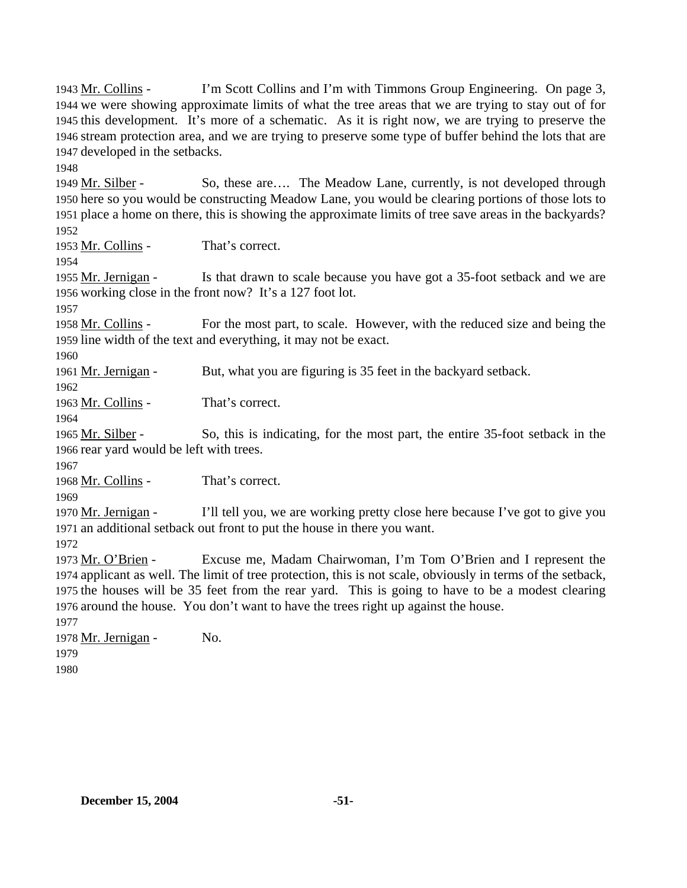I'm Scott Collins and I'm with Timmons Group Engineering. On page 3, 1944 we were showing approximate limits of what the tree areas that we are trying to stay out of for 1945 this development. It's more of a schematic. As it is right now, we are trying to preserve the 1946 stream protection area, and we are trying to preserve some type of buffer behind the lots that are 1947 developed in the setbacks. 1943 Mr. Collins -

1948

So, these are…. The Meadow Lane, currently, is not developed through 1950 here so you would be constructing Meadow Lane, you would be clearing portions of those lots to 1951 place a home on there, this is showing the approximate limits of tree save areas in the backyards? 1949 Mr. Silber -

1952

1953 Mr. Collins - That's correct.

1954

Is that drawn to scale because you have got a 35-foot setback and we are 1956 working close in the front now? It's a 127 foot lot. 1955 Mr. Jernigan -

1957

For the most part, to scale. However, with the reduced size and being the 1959 line width of the text and everything, it may not be exact. 1958 Mr. Collins -

1960

1961 Mr. Jernigan - But, what you are figuring is 35 feet in the backyard setback.

1962

1963 Mr. Collins - That's correct.

1964

So, this is indicating, for the most part, the entire 35-foot setback in the 1966 rear yard would be left with trees. 1965 Mr. Silber -

1967

1968 Mr. Collins - That's correct.

1969

I'll tell you, we are working pretty close here because I've got to give you 1971 an additional setback out front to put the house in there you want. 1970 Mr. Jernigan -

1972

Excuse me, Madam Chairwoman, I'm Tom O'Brien and I represent the 1974 applicant as well. The limit of tree protection, this is not scale, obviously in terms of the setback, 1975 the houses will be 35 feet from the rear yard. This is going to have to be a modest clearing 1976 around the house. You don't want to have the trees right up against the house. 1973 Mr. O'Brien -1977

1978 Mr. Jernigan - No. 1979 1980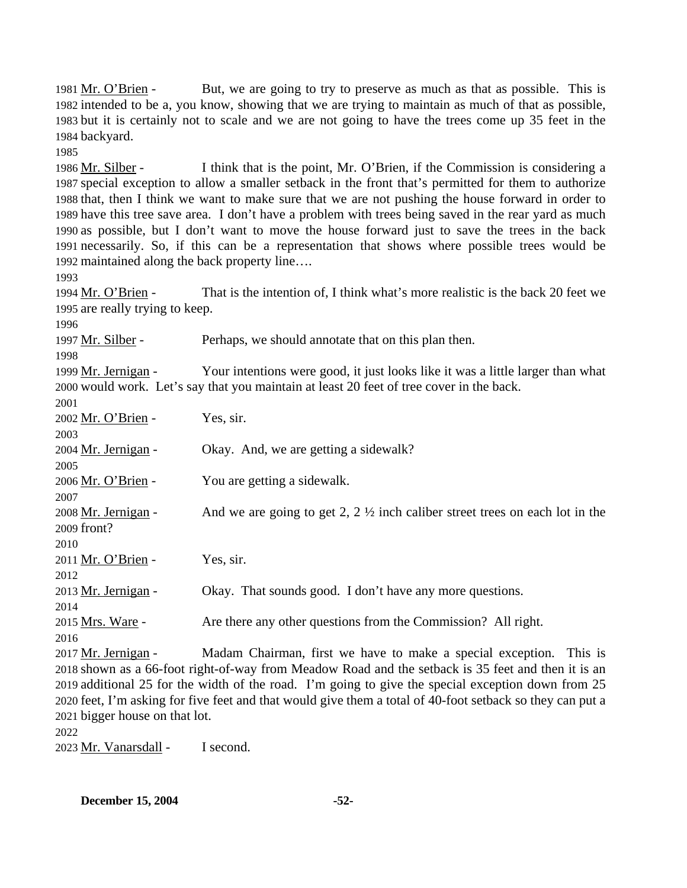But, we are going to try to preserve as much as that as possible. This is 1982 intended to be a, you know, showing that we are trying to maintain as much of that as possible, 1983 but it is certainly not to scale and we are not going to have the trees come up 35 feet in the 1984 backyard. 1981 Mr. O'Brien -1985 I think that is the point, Mr. O'Brien, if the Commission is considering a 1987 special exception to allow a smaller setback in the front that's permitted for them to authorize 1988 that, then I think we want to make sure that we are not pushing the house forward in order to 1989 have this tree save area. I don't have a problem with trees being saved in the rear yard as much 1990 as possible, but I don't want to move the house forward just to save the trees in the back 1991 necessarily. So, if this can be a representation that shows where possible trees would be 1992 maintained along the back property line.... 1986 Mr. Silber -1993 That is the intention of. I think what's more realistic is the back 20 feet we 1995 are really trying to keep. 1994 Mr. O'Brien -1996 1997 Mr. Silber - Perhaps, we should annotate that on this plan then. 1998 Your intentions were good, it just looks like it was a little larger than what 2000 would work. Let's say that you maintain at least 20 feet of tree cover in the back. 1999 Mr. Jernigan -2001 2002 Mr. O'Brien - Yes, sir. 2003 2004 Mr. Jernigan - Okay. And, we are getting a sidewalk? 2005 2006 Mr. O'Brien - You are getting a sidewalk. 2007 And we are going to get 2,  $2 \frac{1}{2}$  inch caliber street trees on each lot in the 2009 front? 2008 Mr. Jernigan -2010 2011 Mr. O'Brien - Yes, sir. 2012 2013 Mr. Jernigan - Okay. That sounds good. I don't have any more questions. 2014 2015 Mrs. Ware - Are there any other questions from the Commission? All right. 2016 Madam Chairman, first we have to make a special exception. This is 2018 shown as a 66-foot right-of-way from Meadow Road and the setback is 35 feet and then it is an 2019 additional 25 for the width of the road. I'm going to give the special exception down from 25 2020 feet, I'm asking for five feet and that would give them a total of 40-foot setback so they can put a 2021 bigger house on that lot. 2017 Mr. Jernigan -2022 2023 Mr. Vanarsdall - I second.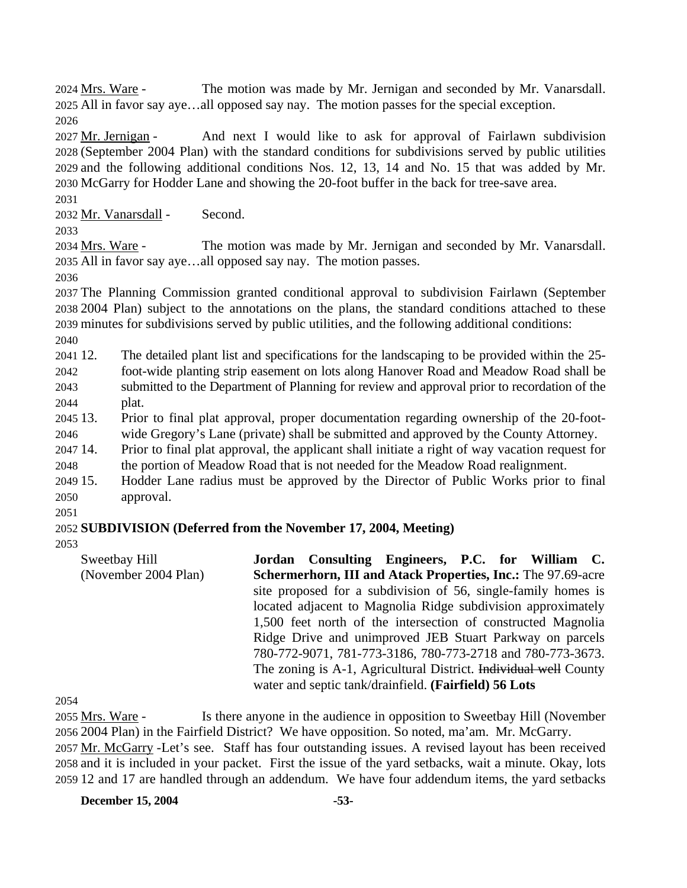The motion was made by Mr. Jernigan and seconded by Mr. Vanarsdall. All in favor say aye…all opposed say nay. The motion passes for the special exception. 2025 2024 Mrs. Ware -2026

And next I would like to ask for approval of Fairlawn subdivision (September 2004 Plan) with the standard conditions for subdivisions served by public utilities 2028 2029 and the following additional conditions Nos. 12, 13, 14 and No. 15 that was added by Mr. 2030 McGarry for Hodder Lane and showing the 20-foot buffer in the back for tree-save area. 2027 Mr. Jernigan -

2031

2032 Mr. Vanarsdall - Second.

2033

The motion was made by Mr. Jernigan and seconded by Mr. Vanarsdall. 2035 All in favor say aye...all opposed say nay. The motion passes. 2034 Mrs. Ware -

2036

2037 The Planning Commission granted conditional approval to subdivision Fairlawn (September 2038 2004 Plan) subject to the annotations on the plans, the standard conditions attached to these 2039 minutes for subdivisions served by public utilities, and the following additional conditions:

2040

 $2041$  12. 2042 2043 2044 The detailed plant list and specifications for the landscaping to be provided within the 25foot-wide planting strip easement on lots along Hanover Road and Meadow Road shall be submitted to the Department of Planning for review and approval prior to recordation of the plat.

2045 13 2046 13. Prior to final plat approval, proper documentation regarding ownership of the 20-footwide Gregory's Lane (private) shall be submitted and approved by the County Attorney.

2047 14. 2048 14. Prior to final plat approval, the applicant shall initiate a right of way vacation request for the portion of Meadow Road that is not needed for the Meadow Road realignment.

2049 15. 2050 15. Hodder Lane radius must be approved by the Director of Public Works prior to final approval.

2051

# 2052 **SUBDIVISION (Deferred from the November 17, 2004, Meeting)**

2053

Sweetbay Hill (November 2004 Plan) **Jordan Consulting Engineers, P.C. for William C. Schermerhorn, III and Atack Properties, Inc.:** The 97.69-acre site proposed for a subdivision of 56, single-family homes is located adjacent to Magnolia Ridge subdivision approximately 1,500 feet north of the intersection of constructed Magnolia Ridge Drive and unimproved JEB Stuart Parkway on parcels 780-772-9071, 781-773-3186, 780-773-2718 and 780-773-3673. The zoning is A-1, Agricultural District. Individual well County water and septic tank/drainfield. **(Fairfield) 56 Lots** 

2054

Is there anyone in the audience in opposition to Sweetbay Hill (November 2056 2004 Plan) in the Fairfield District? We have opposition. So noted, ma'am. Mr. McGarry. 2055 Mrs. Ware -2057 Mr. McGarry - Let's see. Staff has four outstanding issues. A revised layout has been received 2058 and it is included in your packet. First the issue of the yard setbacks, wait a minute. Okay, lots 2059 12 and 17 are handled through an addendum. We have four addendum items, the yard setbacks

**December 15, 2004** -53-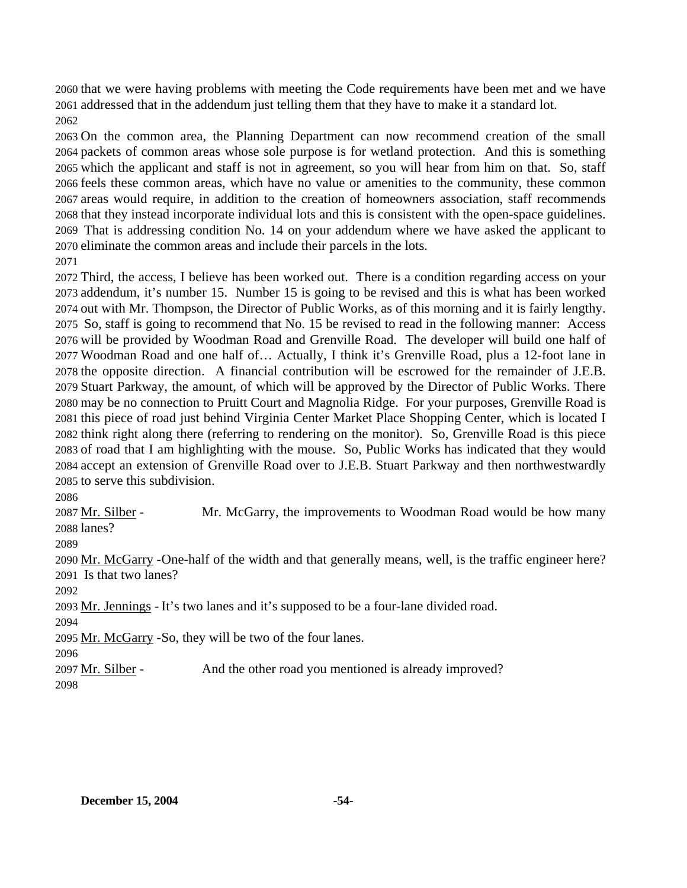that we were having problems with meeting the Code requirements have been met and we have addressed that in the addendum just telling them that they have to make it a standard lot. 

 On the common area, the Planning Department can now recommend creation of the small packets of common areas whose sole purpose is for wetland protection. And this is something which the applicant and staff is not in agreement, so you will hear from him on that. So, staff feels these common areas, which have no value or amenities to the community, these common areas would require, in addition to the creation of homeowners association, staff recommends that they instead incorporate individual lots and this is consistent with the open-space guidelines. That is addressing condition No. 14 on your addendum where we have asked the applicant to eliminate the common areas and include their parcels in the lots.

 Third, the access, I believe has been worked out. There is a condition regarding access on your addendum, it's number 15. Number 15 is going to be revised and this is what has been worked out with Mr. Thompson, the Director of Public Works, as of this morning and it is fairly lengthy. So, staff is going to recommend that No. 15 be revised to read in the following manner: Access will be provided by Woodman Road and Grenville Road. The developer will build one half of Woodman Road and one half of… Actually, I think it's Grenville Road, plus a 12-foot lane in the opposite direction. A financial contribution will be escrowed for the remainder of J.E.B. Stuart Parkway, the amount, of which will be approved by the Director of Public Works. There may be no connection to Pruitt Court and Magnolia Ridge. For your purposes, Grenville Road is this piece of road just behind Virginia Center Market Place Shopping Center, which is located I think right along there (referring to rendering on the monitor). So, Grenville Road is this piece of road that I am highlighting with the mouse. So, Public Works has indicated that they would accept an extension of Grenville Road over to J.E.B. Stuart Parkway and then northwestwardly to serve this subdivision.

Mr. McGarry, the improvements to Woodman Road would be how many 2088 lanes? 2087 Mr. Silber -

2090 Mr. McGarry - One-half of the width and that generally means, well, is the traffic engineer here? 2091 Is that two lanes?

2093 Mr. Jennings - It's two lanes and it's supposed to be a four-lane divided road.

2095 Mr. McGarry - So, they will be two of the four lanes.

2097 Mr. Silber - And the other road you mentioned is already improved?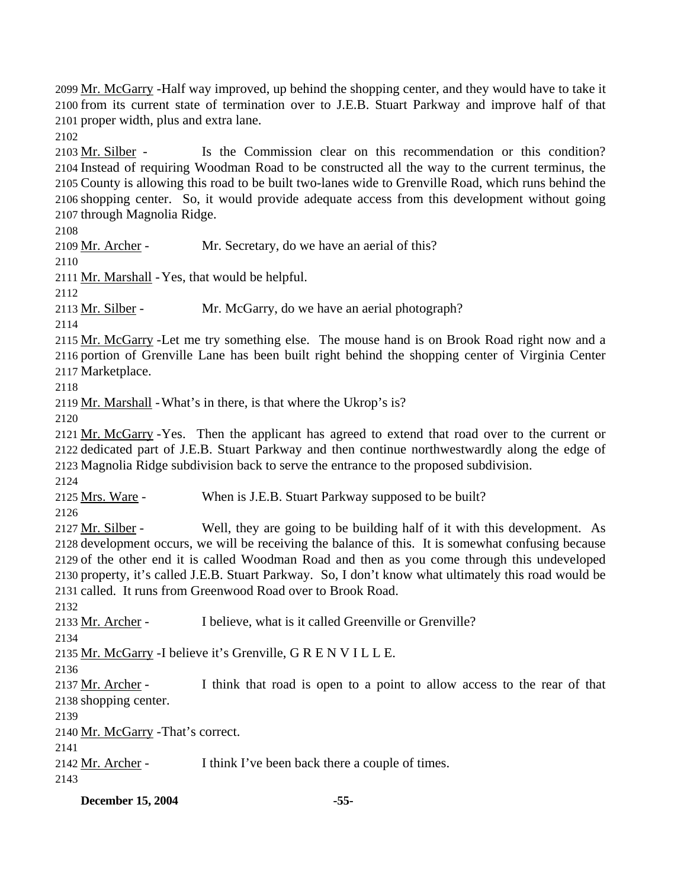2099 Mr. McGarry - Half way improved, up behind the shopping center, and they would have to take it 2100 from its current state of termination over to J.E.B. Stuart Parkway and improve half of that 2101 proper width, plus and extra lane.

2102

Is the Commission clear on this recommendation or this condition? 2104 Instead of requiring Woodman Road to be constructed all the way to the current terminus, the 2105 County is allowing this road to be built two-lanes wide to Grenville Road, which runs behind the 2106 shopping center. So, it would provide adequate access from this development without going 2107 through Magnolia Ridge. 2103 Mr. Silber -

2108

2109 Mr. Archer - Mr. Secretary, do we have an aerial of this?

2110

2111 Mr. Marshall - Yes, that would be helpful.

2112

2113 Mr. Silber - Mr. McGarry, do we have an aerial photograph?

2114

2115 Mr. McGarry - Let me try something else. The mouse hand is on Brook Road right now and a 2116 portion of Grenville Lane has been built right behind the shopping center of Virginia Center 2117 Marketplace.

2118

2119 Mr. Marshall - What's in there, is that where the Ukrop's is?

2120

2121 Mr. McGarry - Yes. Then the applicant has agreed to extend that road over to the current or 2122 dedicated part of J.E.B. Stuart Parkway and then continue northwestwardly along the edge of 2123 Magnolia Ridge subdivision back to serve the entrance to the proposed subdivision.

2124

2125 <u>Mrs. Ware</u> - When is J.E.B. Stuart Parkway supposed to be built?

2126

Well, they are going to be building half of it with this development. As 2128 development occurs, we will be receiving the balance of this. It is somewhat confusing because 2129 of the other end it is called Woodman Road and then as you come through this undeveloped 2130 property, it's called J.E.B. Stuart Parkway. So, I don't know what ultimately this road would be 2131 called. It runs from Greenwood Road over to Brook Road. 2127 Mr. Silber -

2132

2133 Mr. Archer - I believe, what is it called Greenville or Grenville?

2134

2135 Mr. McGarry - I believe it's Grenville, G R E N V I L L E.

2136

I think that road is open to a point to allow access to the rear of that 2138 shopping center. 2137 Mr. Archer -

2139

2140 Mr. McGarry - That's correct.

2141

2142 Mr. Archer - I think I've been back there a couple of times.

2143

**December 15, 2004 -55-**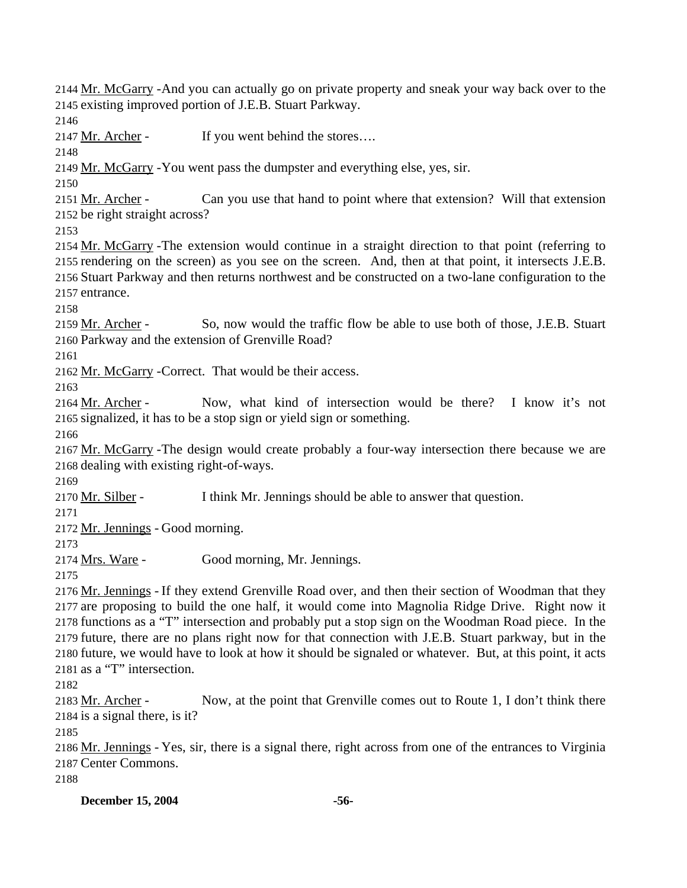2144 Mr. McGarry - And you can actually go on private property and sneak your way back over to the 2145 existing improved portion of J.E.B. Stuart Parkway.

2146

2147 Mr. Archer - If you went behind the stores….

2148

2149 Mr. McGarry - You went pass the dumpster and everything else, yes, sir.

2150

Can you use that hand to point where that extension? Will that extension 2152 be right straight across? 2151 Mr. Archer -

2153

2154 Mr. McGarry - The extension would continue in a straight direction to that point (referring to 2155 rendering on the screen) as you see on the screen. And, then at that point, it intersects J.E.B. 2156 Stuart Parkway and then returns northwest and be constructed on a two-lane configuration to the 2157 entrance.

2158

So, now would the traffic flow be able to use both of those, J.E.B. Stuart 2160 Parkway and the extension of Grenville Road? 2159 Mr. Archer -

2161

2162 Mr. McGarry - Correct. That would be their access.

2163

Now, what kind of intersection would be there? I know it's not 2165 signalized, it has to be a stop sign or yield sign or something. 2164 Mr. Archer -

2166

2167 Mr. McGarry - The design would create probably a four-way intersection there because we are 2168 dealing with existing right-of-ways.

2169

2170 Mr. Silber - I think Mr. Jennings should be able to answer that question.

2171

2172 Mr. Jennings - Good morning.

2173

2174 Mrs. Ware - Good morning, Mr. Jennings.

2175

2176 Mr. Jennings - If they extend Grenville Road over, and then their section of Woodman that they 2177 are proposing to build the one half, it would come into Magnolia Ridge Drive. Right now it 2178 functions as a "T" intersection and probably put a stop sign on the Woodman Road piece. In the 2179 future, there are no plans right now for that connection with J.E.B. Stuart parkway, but in the 2180 future, we would have to look at how it should be signaled or whatever. But, at this point, it acts 2181 as a "T" intersection.

2182

Now, at the point that Grenville comes out to Route 1, I don't think there 2184 is a signal there, is it? 2183 Mr. Archer -

2185

2186 Mr. Jennings - Yes, sir, there is a signal there, right across from one of the entrances to Virginia 2187 Center Commons.

2188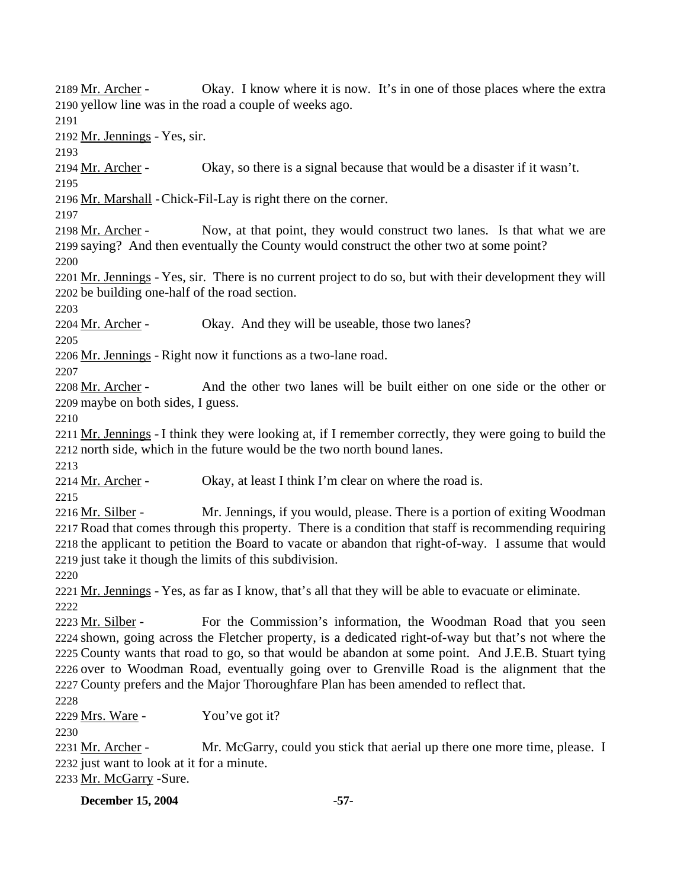Okay. I know where it is now. It's in one of those places where the extra 2190 yellow line was in the road a couple of weeks ago. 2189 Mr. Archer -2191 2192 Mr. Jennings - Yes, sir. 2193 2194 Mr. Archer - Okay, so there is a signal because that would be a disaster if it wasn't. 2195 2196 Mr. Marshall - Chick-Fil-Lay is right there on the corner. 2197 Now, at that point, they would construct two lanes. Is that what we are 2199 saying? And then eventually the County would construct the other two at some point? 2198 Mr. Archer -2200 2201 Mr. Jennings - Yes, sir. There is no current project to do so, but with their development they will 2202 be building one-half of the road section. 2203 2204 Mr. Archer - Okay. And they will be useable, those two lanes? 2205 2206 Mr. Jennings - Right now it functions as a two-lane road. 2207 And the other two lanes will be built either on one side or the other or 2209 maybe on both sides, I guess. 2208 Mr. Archer -2210 2211 Mr. Jennings - I think they were looking at, if I remember correctly, they were going to build the 2212 north side, which in the future would be the two north bound lanes. 2213 2214 Mr. Archer - Okay, at least I think I'm clear on where the road is. 2215 Mr. Jennings, if you would, please. There is a portion of exiting Woodman 2217 Road that comes through this property. There is a condition that staff is recommending requiring 2218 the applicant to petition the Board to vacate or abandon that right-of-way. I assume that would 2219 just take it though the limits of this subdivision. 2216 Mr. Silber -2220 2221 Mr. Jennings - Yes, as far as I know, that's all that they will be able to evacuate or eliminate. 2222 For the Commission's information, the Woodman Road that you seen 2224 shown, going across the Fletcher property, is a dedicated right-of-way but that's not where the 2225 County wants that road to go, so that would be abandon at some point. And J.E.B. Stuart tying 2226 over to Woodman Road, eventually going over to Grenville Road is the alignment that the 2227 County prefers and the Major Thoroughfare Plan has been amended to reflect that. 2223 Mr. Silber -2228 2229 Mrs. Ware - You've got it? 2230 Mr. McGarry, could you stick that aerial up there one more time, please. I 2232 just want to look at it for a minute. 2231 Mr. Archer -2233 Mr. McGarry - Sure.

**December 15, 2004** -57-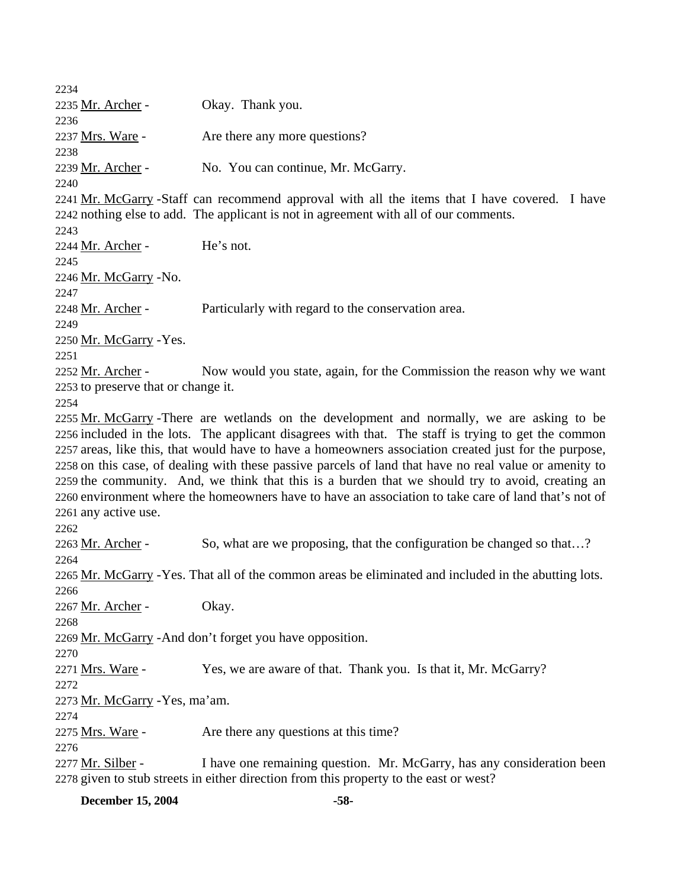2234 2235 Mr. Archer - Okay. Thank you. 2236 2237 Mrs. Ware - Are there any more questions? 2238 2239 Mr. Archer - No. You can continue, Mr. McGarry. 2240 2241 Mr. McGarry - Staff can recommend approval with all the items that I have covered. I have 2242 nothing else to add. The applicant is not in agreement with all of our comments. 2243 2244 Mr. Archer - He's not. 2245 2246 Mr. McGarry - No. 2247 2248 Mr. Archer - Particularly with regard to the conservation area. 2249 2250 Mr. McGarry - Yes. 2251 Now would you state, again, for the Commission the reason why we want 2253 to preserve that or change it. 2252 Mr. Archer -2254 2255 Mr. McGarry - There are wetlands on the development and normally, we are asking to be 2256 included in the lots. The applicant disagrees with that. The staff is trying to get the common 2257 areas, like this, that would have to have a homeowners association created just for the purpose, 2258 on this case, of dealing with these passive parcels of land that have no real value or amenity to 2259 the community. And, we think that this is a burden that we should try to avoid, creating an 2260 environment where the homeowners have to have an association to take care of land that's not of 2261 any active use. 2262 2263 Mr. Archer - So, what are we proposing, that the configuration be changed so that...? 2264 2265 Mr. McGarry - Yes. That all of the common areas be eliminated and included in the abutting lots. 2266 2267 Mr. Archer - Okay. 2268 2269 Mr. McGarry - And don't forget you have opposition. 2270 2271 <u>Mrs. Ware</u> - Yes, we are aware of that. Thank you. Is that it, Mr. McGarry? 2272 2273 Mr. McGarry - Yes, ma'am. 2274 2275 Mrs. Ware - Are there any questions at this time? 2276 I have one remaining question. Mr. McGarry, has any consideration been 2278 given to stub streets in either direction from this property to the east or west? 2277 Mr. Silber -

**December 15, 2004** -58-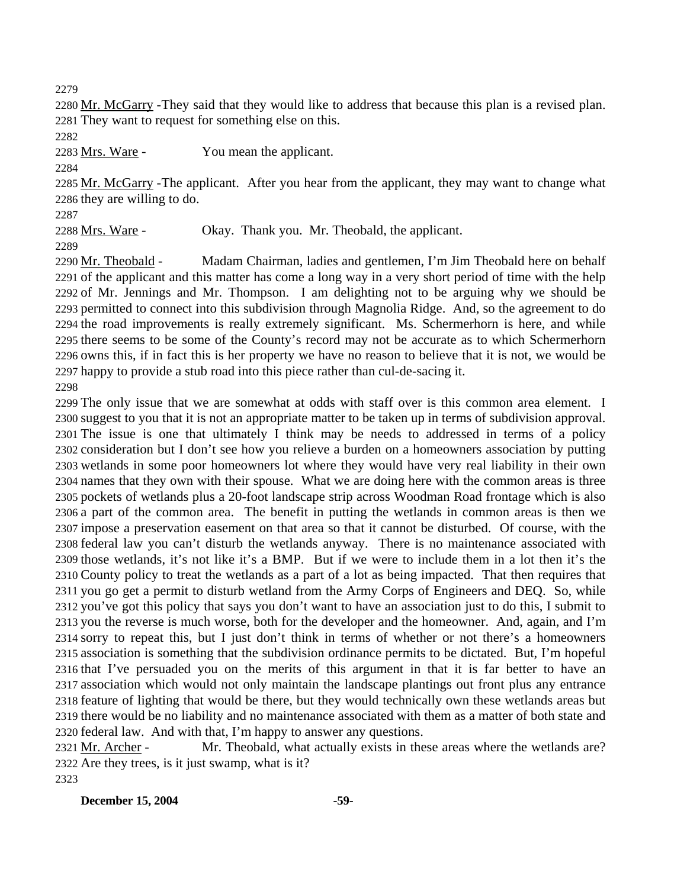2280 Mr. McGarry - They said that they would like to address that because this plan is a revised plan. 2281 They want to request for something else on this.

2283 Mrs. Ware - You mean the applicant.

2285 Mr. McGarry - The applicant. After you hear from the applicant, they may want to change what 2286 they are willing to do.

2288 Mrs. Ware - Okay. Thank you. Mr. Theobald, the applicant.

Madam Chairman, ladies and gentlemen, I'm Jim Theobald here on behalf 2291 of the applicant and this matter has come a long way in a very short period of time with the help 2292 of Mr. Jennings and Mr. Thompson. I am delighting not to be arguing why we should be 2293 permitted to connect into this subdivision through Magnolia Ridge. And, so the agreement to do 2294 the road improvements is really extremely significant. Ms. Schermerhorn is here, and while 2295 there seems to be some of the County's record may not be accurate as to which Schermerhorn 2296 owns this, if in fact this is her property we have no reason to believe that it is not, we would be 2297 happy to provide a stub road into this piece rather than cul-de-sacing it. 2290 Mr. Theobald -

 The only issue that we are somewhat at odds with staff over is this common area element. I suggest to you that it is not an appropriate matter to be taken up in terms of subdivision approval. The issue is one that ultimately I think may be needs to addressed in terms of a policy consideration but I don't see how you relieve a burden on a homeowners association by putting wetlands in some poor homeowners lot where they would have very real liability in their own names that they own with their spouse. What we are doing here with the common areas is three pockets of wetlands plus a 20-foot landscape strip across Woodman Road frontage which is also a part of the common area. The benefit in putting the wetlands in common areas is then we impose a preservation easement on that area so that it cannot be disturbed. Of course, with the federal law you can't disturb the wetlands anyway. There is no maintenance associated with those wetlands, it's not like it's a BMP. But if we were to include them in a lot then it's the County policy to treat the wetlands as a part of a lot as being impacted. That then requires that you go get a permit to disturb wetland from the Army Corps of Engineers and DEQ. So, while you've got this policy that says you don't want to have an association just to do this, I submit to you the reverse is much worse, both for the developer and the homeowner. And, again, and I'm sorry to repeat this, but I just don't think in terms of whether or not there's a homeowners association is something that the subdivision ordinance permits to be dictated. But, I'm hopeful that I've persuaded you on the merits of this argument in that it is far better to have an association which would not only maintain the landscape plantings out front plus any entrance feature of lighting that would be there, but they would technically own these wetlands areas but there would be no liability and no maintenance associated with them as a matter of both state and federal law. And with that, I'm happy to answer any questions.

Mr. Theobald, what actually exists in these areas where the wetlands are? 2322 Are they trees, is it just swamp, what is it? 2321 Mr. Archer -

**December 15, 2004** -59-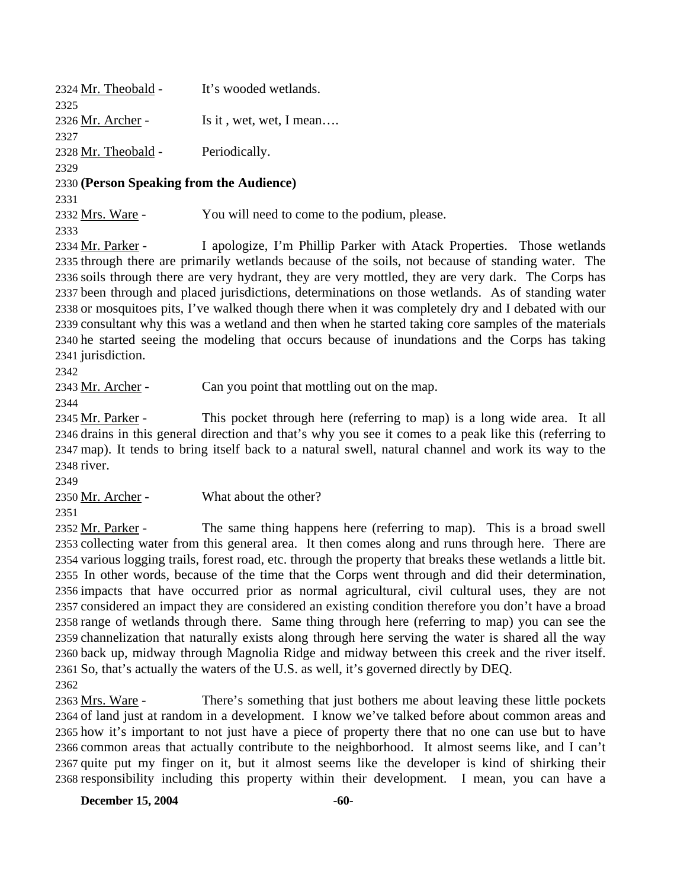2324 Mr. Theobald - It's wooded wetlands. 2325 2326 Mr. Archer - Is it , wet, wet, I mean…. 2327 2328 Mr. Theobald - Periodically. 2329 2330 **(Person Speaking from the Audience)**  2331 2332 Mrs. Ware - You will need to come to the podium, please. 2333

I apologize, I'm Phillip Parker with Atack Properties. Those wetlands 2335 through there are primarily wetlands because of the soils, not because of standing water. The 2336 soils through there are very hydrant, they are very mottled, they are very dark. The Corps has 2337 been through and placed jurisdictions, determinations on those wetlands. As of standing water 2338 or mosquitoes pits, I've walked though there when it was completely dry and I debated with our 2339 consultant why this was a wetland and then when he started taking core samples of the materials 2340 he started seeing the modeling that occurs because of inundations and the Corps has taking 2341 jurisdiction. 2334 Mr. Parker -

2342

2343 Mr. Archer - Can you point that mottling out on the map.

2344

This pocket through here (referring to map) is a long wide area. It all 2346 drains in this general direction and that's why you see it comes to a peak like this (referring to 2347 map). It tends to bring itself back to a natural swell, natural channel and work its way to the 2348 river. 2345 Mr. Parker -

2349

2351

2350 Mr. Archer - What about the other?

The same thing happens here (referring to map). This is a broad swell 2353 collecting water from this general area. It then comes along and runs through here. There are 2354 various logging trails, forest road, etc. through the property that breaks these wetlands a little bit. 2355 In other words, because of the time that the Corps went through and did their determination, 2356 impacts that have occurred prior as normal agricultural, civil cultural uses, they are not 2357 considered an impact they are considered an existing condition therefore you don't have a broad 2358 range of wetlands through there. Same thing through here (referring to map) you can see the 2359 channelization that naturally exists along through here serving the water is shared all the way 2360 back up, midway through Magnolia Ridge and midway between this creek and the river itself. 2361 So, that's actually the waters of the U.S. as well, it's governed directly by DEQ. 2352 Mr. Parker -2362

There's something that just bothers me about leaving these little pockets 2364 of land just at random in a development. I know we've talked before about common areas and 2365 how it's important to not just have a piece of property there that no one can use but to have 2366 common areas that actually contribute to the neighborhood. It almost seems like, and I can't 2367 quite put my finger on it, but it almost seems like the developer is kind of shirking their 2368 responsibility including this property within their development. I mean, you can have a 2363 Mrs. Ware -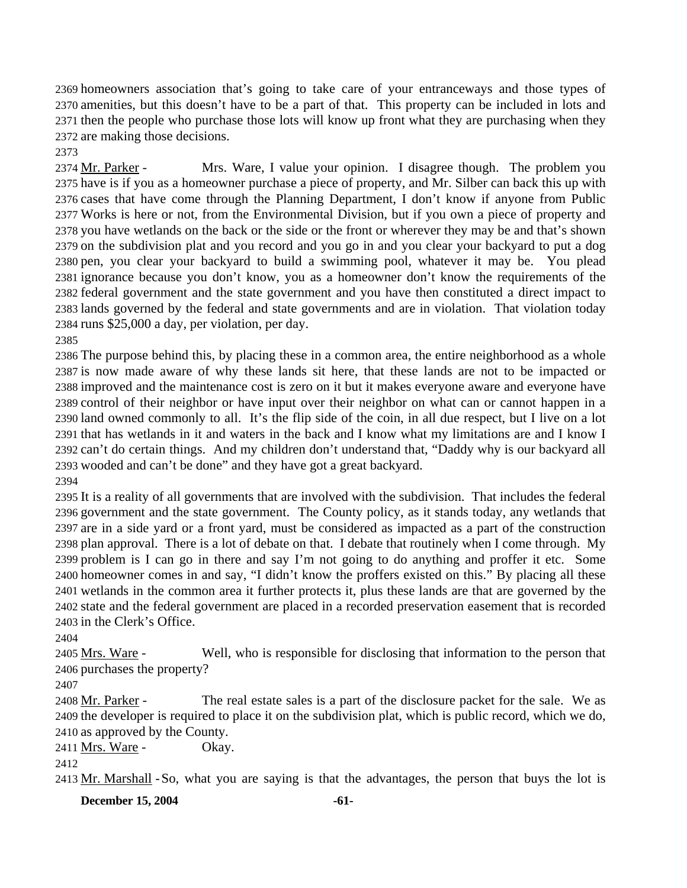homeowners association that's going to take care of your entranceways and those types of amenities, but this doesn't have to be a part of that. This property can be included in lots and then the people who purchase those lots will know up front what they are purchasing when they are making those decisions.

2373

Mrs. Ware, I value your opinion. I disagree though. The problem you 2375 have is if you as a homeowner purchase a piece of property, and Mr. Silber can back this up with 2376 cases that have come through the Planning Department, I don't know if anyone from Public 2377 Works is here or not, from the Environmental Division, but if you own a piece of property and 2378 you have wetlands on the back or the side or the front or wherever they may be and that's shown 2379 on the subdivision plat and you record and you go in and you clear your backyard to put a dog 2380 pen, you clear your backyard to build a swimming pool, whatever it may be. You plead 2381 ignorance because you don't know, you as a homeowner don't know the requirements of the 2382 federal government and the state government and you have then constituted a direct impact to 2383 lands governed by the federal and state governments and are in violation. That violation today  $2384$  runs \$25,000 a day, per violation, per day. 2374 Mr. Parker -

2385

 The purpose behind this, by placing these in a common area, the entire neighborhood as a whole is now made aware of why these lands sit here, that these lands are not to be impacted or improved and the maintenance cost is zero on it but it makes everyone aware and everyone have control of their neighbor or have input over their neighbor on what can or cannot happen in a land owned commonly to all. It's the flip side of the coin, in all due respect, but I live on a lot that has wetlands in it and waters in the back and I know what my limitations are and I know I can't do certain things. And my children don't understand that, "Daddy why is our backyard all wooded and can't be done" and they have got a great backyard.

2394

 It is a reality of all governments that are involved with the subdivision. That includes the federal government and the state government. The County policy, as it stands today, any wetlands that are in a side yard or a front yard, must be considered as impacted as a part of the construction plan approval. There is a lot of debate on that. I debate that routinely when I come through. My problem is I can go in there and say I'm not going to do anything and proffer it etc. Some homeowner comes in and say, "I didn't know the proffers existed on this." By placing all these wetlands in the common area it further protects it, plus these lands are that are governed by the state and the federal government are placed in a recorded preservation easement that is recorded in the Clerk's Office.

2404

Well, who is responsible for disclosing that information to the person that 2406 purchases the property? 2405 Mrs. Ware -

2407

The real estate sales is a part of the disclosure packet for the sale. We as 2409 the developer is required to place it on the subdivision plat, which is public record, which we do, 2410 as approved by the County. 2408 Mr. Parker -

2411 Mrs. Ware - Okay.

2412

2413 Mr. Marshall - So, what you are saying is that the advantages, the person that buys the lot is

**December 15, 2004** -61-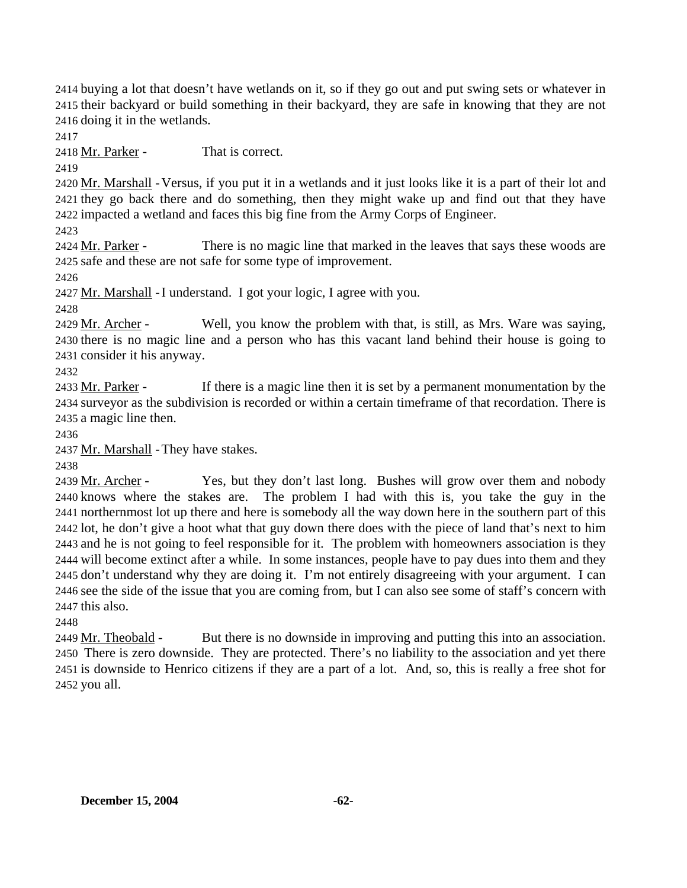2414 buying a lot that doesn't have wetlands on it, so if they go out and put swing sets or whatever in 2415 their backyard or build something in their backyard, they are safe in knowing that they are not 2416 doing it in the wetlands.

2417

2418 Mr. Parker - That is correct.

2419

2420 Mr. Marshall - Versus, if you put it in a wetlands and it just looks like it is a part of their lot and 2421 they go back there and do something, then they might wake up and find out that they have 2422 impacted a wetland and faces this big fine from the Army Corps of Engineer.

2423

There is no magic line that marked in the leaves that says these woods are 2425 safe and these are not safe for some type of improvement. 2424 Mr. Parker -

2426

2427 Mr. Marshall - I understand. I got your logic, I agree with you.

2428

Well, you know the problem with that, is still, as Mrs. Ware was saying, 2430 there is no magic line and a person who has this vacant land behind their house is going to 2431 consider it his anyway. 2429 Mr. Archer -

2432

If there is a magic line then it is set by a permanent monumentation by the 2434 surveyor as the subdivision is recorded or within a certain timeframe of that recordation. There is 2435 a magic line then. 2433 Mr. Parker -

2436

2437 Mr. Marshall - They have stakes.

2438

Yes, but they don't last long. Bushes will grow over them and nobody The problem I had with this is, you take the guy in the 2441 northernmost lot up there and here is somebody all the way down here in the southern part of this 2442 lot, he don't give a hoot what that guy down there does with the piece of land that's next to him 2443 and he is not going to feel responsible for it. The problem with homeowners association is they 2444 will become extinct after a while. In some instances, people have to pay dues into them and they 2445 don't understand why they are doing it. I'm not entirely disagreeing with your argument. I can 2446 see the side of the issue that you are coming from, but I can also see some of staff's concern with  $2447$  this also. 2439 Mr. Archer -2440 knows where the stakes are.

2448

But there is no downside in improving and putting this into an association. There is zero downside. They are protected. There's no liability to the association and yet there 2450 2451 is downside to Henrico citizens if they are a part of a lot. And, so, this is really a free shot for 2452 you all. 2449 Mr. Theobald -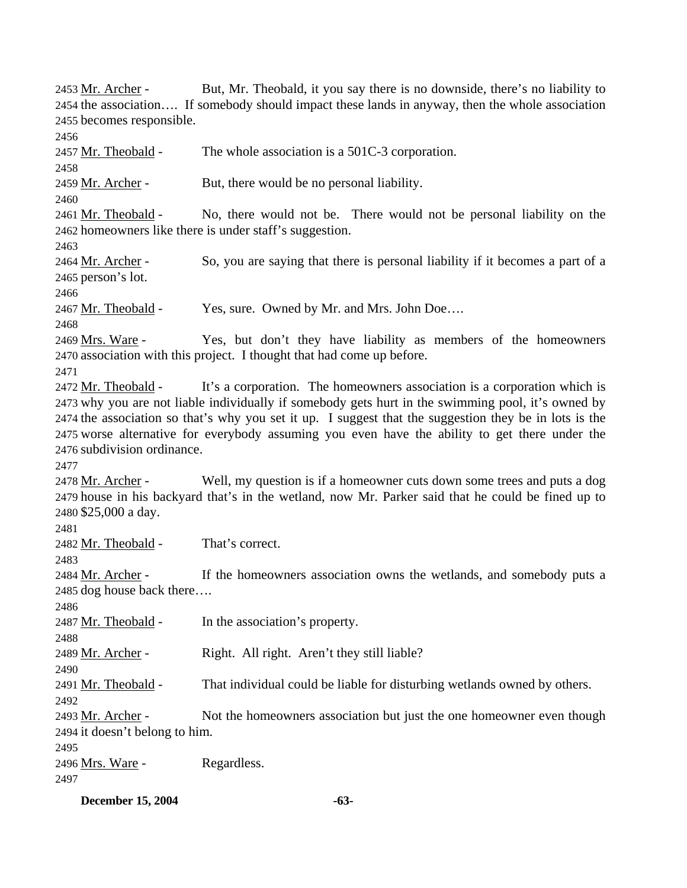But, Mr. Theobald, it you say there is no downside, there's no liability to 2454 the association.... If somebody should impact these lands in anyway, then the whole association 2455 becomes responsible. 2453 Mr. Archer -2456 2457 Mr. Theobald - The whole association is a 501C-3 corporation. 2458 2459 Mr. Archer - But, there would be no personal liability. 2460 No, there would not be. There would not be personal liability on the 2462 homeowners like there is under staff's suggestion. 2461 Mr. Theobald -2463 So, you are saying that there is personal liability if it becomes a part of a 2465 person's lot. 2464 Mr. Archer -2466 2467 Mr. Theobald - Yes, sure. Owned by Mr. and Mrs. John Doe.... 2468 Yes, but don't they have liability as members of the homeowners 2470 association with this project. I thought that had come up before. 2469 Mrs. Ware -2471 It's a corporation. The homeowners association is a corporation which is 2473 why you are not liable individually if somebody gets hurt in the swimming pool, it's owned by 2474 the association so that's why you set it up. I suggest that the suggestion they be in lots is the 2475 worse alternative for everybody assuming you even have the ability to get there under the 2476 subdivision ordinance. 2472 Mr. Theobald -2477 Well, my question is if a homeowner cuts down some trees and puts a dog 2479 house in his backyard that's in the wetland, now Mr. Parker said that he could be fined up to 2480 \$25,000 a day. 2478 Mr. Archer -2481 2482 Mr. Theobald - That's correct. 2483 If the homeowners association owns the wetlands, and somebody puts a 2485 dog house back there.... 2484 Mr. Archer -2486 2487 Mr. Theobald - In the association's property. 2488 2489 Mr. Archer - Right. All right. Aren't they still liable? 2490 2491 Mr. Theobald - That individual could be liable for disturbing wetlands owned by others. 2492 Not the homeowners association but just the one homeowner even though 2494 it doesn't belong to him. 2493 Mr. Archer -2495 2496 Mrs. Ware - Regardless. 2497

**December 15, 2004** -63-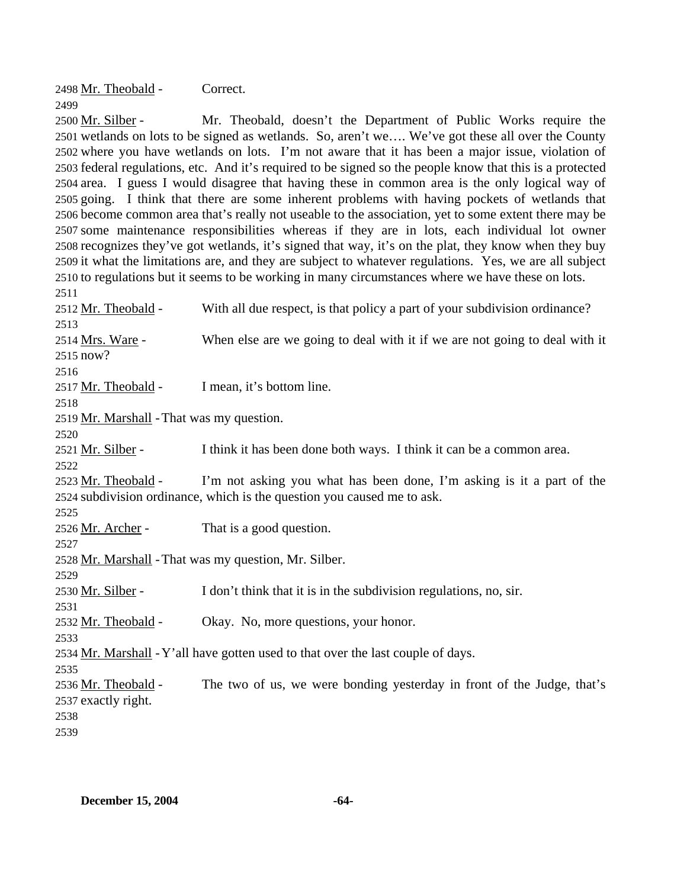2498 Mr. Theobald - Correct. 2499

Mr. Theobald, doesn't the Department of Public Works require the 2501 wetlands on lots to be signed as wetlands. So, aren't we.... We've got these all over the County 2502 where you have wetlands on lots. I'm not aware that it has been a major issue, violation of 2503 federal regulations, etc. And it's required to be signed so the people know that this is a protected 2504 area. I guess I would disagree that having these in common area is the only logical way of 2505 going. I think that there are some inherent problems with having pockets of wetlands that 2506 become common area that's really not useable to the association, yet to some extent there may be 2507 some maintenance responsibilities whereas if they are in lots, each individual lot owner 2508 recognizes they've got wetlands, it's signed that way, it's on the plat, they know when they buy 2509 it what the limitations are, and they are subject to whatever regulations. Yes, we are all subject 2510 to regulations but it seems to be working in many circumstances where we have these on lots. 2500 Mr. Silber -2511

2512 Mr. Theobald - With all due respect, is that policy a part of your subdivision ordinance? 2513 When else are we going to deal with it if we are not going to deal with it 2515 now? 2514 Mrs. Ware -2516 2517 Mr. Theobald - I mean, it's bottom line. 2518 2519 Mr. Marshall - That was my question. 2520 2521 Mr. Silber - I think it has been done both ways. I think it can be a common area. 2522 I'm not asking you what has been done, I'm asking is it a part of the 2524 subdivision ordinance, which is the question you caused me to ask. 2523 Mr. Theobald -2525 2526 Mr. Archer - That is a good question. 2527 2528 Mr. Marshall - That was my question, Mr. Silber. 2529 2530 Mr. Silber - I don't think that it is in the subdivision regulations, no, sir. 2531 2532 Mr. Theobald - Okay. No, more questions, your honor. 2533 2534 Mr. Marshall - Y'all have gotten used to that over the last couple of days. 2535 The two of us, we were bonding yesterday in front of the Judge, that's 2537 exactly right. 2536 Mr. Theobald -2538 2539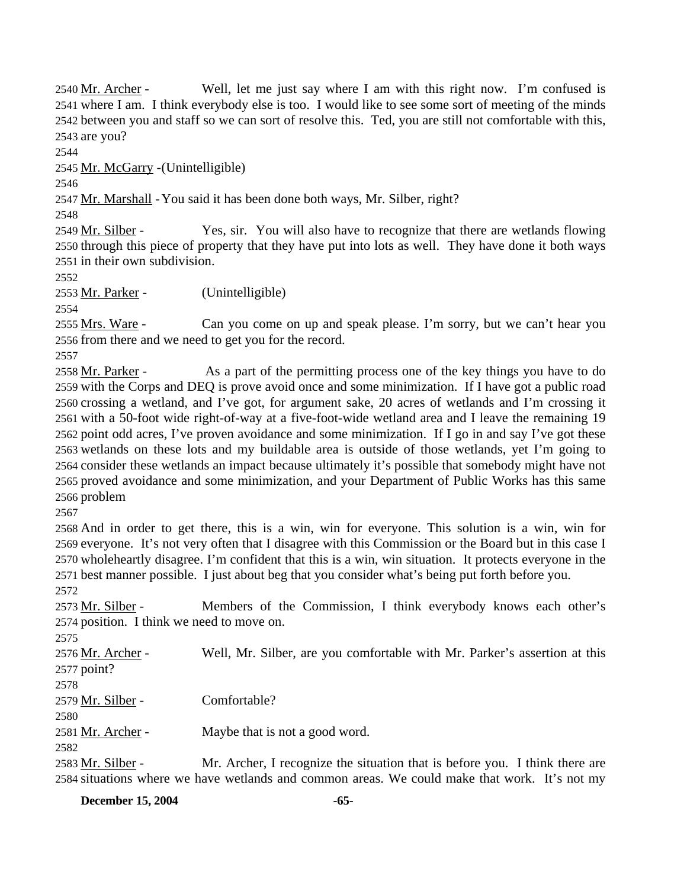Well, let me just say where I am with this right now. I'm confused is 2541 where I am. I think everybody else is too. I would like to see some sort of meeting of the minds 2542 between you and staff so we can sort of resolve this. Ted, you are still not comfortable with this, 2543 are you? 2540 Mr. Archer -

2544

2545 Mr. McGarry - (Unintelligible)

2546

2547 Mr. Marshall - You said it has been done both ways, Mr. Silber, right?

2548

Yes, sir. You will also have to recognize that there are wetlands flowing 2550 through this piece of property that they have put into lots as well. They have done it both ways 2551 in their own subdivision. 2549 Mr. Silber -

2552

2553 Mr. Parker - (Unintelligible)

2554

Can you come on up and speak please. I'm sorry, but we can't hear you 2556 from there and we need to get you for the record. 2555 Mrs. Ware -

2557

As a part of the permitting process one of the key things you have to do 2559 with the Corps and DEQ is prove avoid once and some minimization. If I have got a public road 2560 crossing a wetland, and I've got, for argument sake, 20 acres of wetlands and I'm crossing it 2561 with a 50-foot wide right-of-way at a five-foot-wide wetland area and I leave the remaining 19 2562 point odd acres, I've proven avoidance and some minimization. If I go in and say I've got these 2563 wetlands on these lots and my buildable area is outside of those wetlands, yet I'm going to 2564 consider these wetlands an impact because ultimately it's possible that somebody might have not 2565 proved avoidance and some minimization, and your Department of Public Works has this same 2566 problem 2558 Mr. Parker -

2567

 And in order to get there, this is a win, win for everyone. This solution is a win, win for everyone. It's not very often that I disagree with this Commission or the Board but in this case I wholeheartly disagree. I'm confident that this is a win, win situation. It protects everyone in the best manner possible. I just about beg that you consider what's being put forth before you. 2572

Members of the Commission, I think everybody knows each other's 2574 position. I think we need to move on. 2573 Mr. Silber -

2575

Well, Mr. Silber, are you comfortable with Mr. Parker's assertion at this 2577 point? 2576 Mr. Archer -

2578

2579 Mr. Silber - Comfortable?

2580

2581 Mr. Archer - Maybe that is not a good word.

2582

Mr. Archer, I recognize the situation that is before you. I think there are 2584 situations where we have wetlands and common areas. We could make that work. It's not my 2583 Mr. Silber -

**December 15, 2004** -65-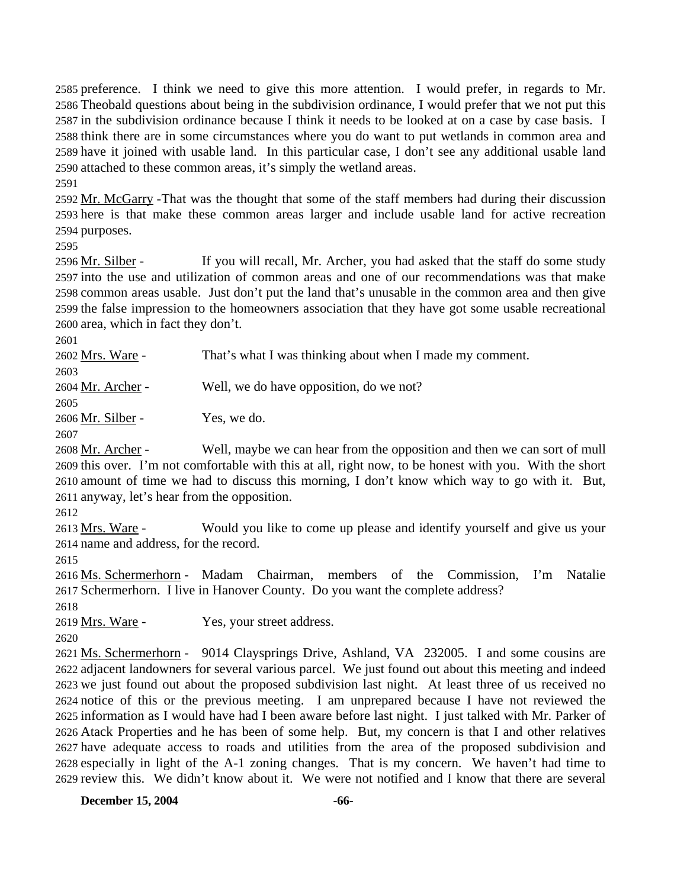preference. I think we need to give this more attention. I would prefer, in regards to Mr. Theobald questions about being in the subdivision ordinance, I would prefer that we not put this in the subdivision ordinance because I think it needs to be looked at on a case by case basis. I think there are in some circumstances where you do want to put wetlands in common area and have it joined with usable land. In this particular case, I don't see any additional usable land attached to these common areas, it's simply the wetland areas.

2591

2592 Mr. McGarry - That was the thought that some of the staff members had during their discussion 2593 here is that make these common areas larger and include usable land for active recreation 2594 purposes.

2595

If you will recall, Mr. Archer, you had asked that the staff do some study 2597 into the use and utilization of common areas and one of our recommendations was that make 2598 common areas usable. Just don't put the land that's unusable in the common area and then give 2599 the false impression to the homeowners association that they have got some usable recreational 2600 area, which in fact they don't. 2596 Mr. Silber -

2601

2602 Mrs. Ware - That's what I was thinking about when I made my comment. 2603 2604 Mr. Archer - Well, we do have opposition, do we not?

2605 2606 Mr. Silber - Yes, we do.

2607

Well, maybe we can hear from the opposition and then we can sort of mull 2609 this over. I'm not comfortable with this at all, right now, to be honest with you. With the short 2610 amount of time we had to discuss this morning, I don't know which way to go with it. But, 2611 anyway, let's hear from the opposition. 2608 Mr. Archer -

2612

Would you like to come up please and identify yourself and give us your 2614 name and address, for the record. 2613 Mrs. Ware -

2615

2616 Ms. Schermerhorn - Madam Chairman, members of the Commission, I'm Natalie 2617 Schermerhorn. I live in Hanover County. Do you want the complete address?

2618

2619 Mrs. Ware - Yes, your street address.

2620

2621 Ms. Schermerhorn - 9014 Claysprings Drive, Ashland, VA 232005. I and some cousins are 2622 adjacent landowners for several various parcel. We just found out about this meeting and indeed 2623 we just found out about the proposed subdivision last night. At least three of us received no 2624 notice of this or the previous meeting. I am unprepared because I have not reviewed the 2625 information as I would have had I been aware before last night. I just talked with Mr. Parker of 2626 Atack Properties and he has been of some help. But, my concern is that I and other relatives 2627 have adequate access to roads and utilities from the area of the proposed subdivision and 2628 especially in light of the A-1 zoning changes. That is my concern. We haven't had time to 2629 review this. We didn't know about it. We were not notified and I know that there are several

**December 15, 2004** -66-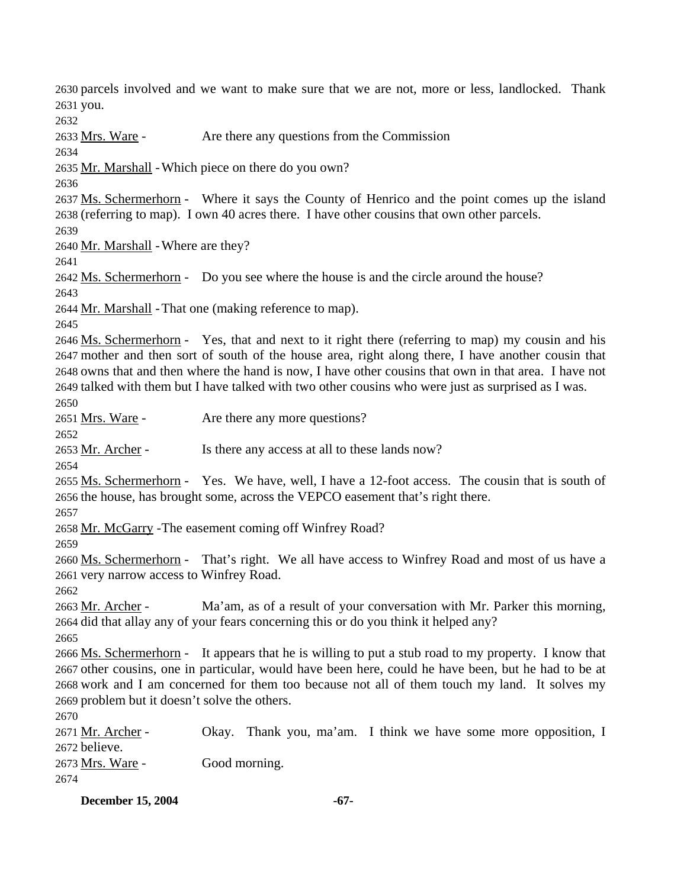2630 parcels involved and we want to make sure that we are not, more or less, landlocked. Thank 2631 you.

2632

2633 Mrs. Ware - Are there any questions from the Commission

2634

2635 Mr. Marshall - Which piece on there do you own?

2636

2637 Ms. Schermerhorn - Where it says the County of Henrico and the point comes up the island 2638 (referring to map). I own 40 acres there. I have other cousins that own other parcels.

2639

2640 Mr. Marshall - Where are they?

2641

2642 Ms. Schermerhorn - Do you see where the house is and the circle around the house?

2643

2644 Mr. Marshall - That one (making reference to map).

2645

2646 Ms. Schermerhorn - Yes, that and next to it right there (referring to map) my cousin and his 2647 mother and then sort of south of the house area, right along there, I have another cousin that 2648 owns that and then where the hand is now, I have other cousins that own in that area. I have not 2649 talked with them but I have talked with two other cousins who were just as surprised as I was.

2650

2651 Mrs. Ware - Are there any more questions?

2652

2653 Mr. Archer - Is there any access at all to these lands now?

2654

2655 Ms. Schermerhorn - Yes. We have, well, I have a 12-foot access. The cousin that is south of 2656 the house, has brought some, across the VEPCO easement that's right there.

2657

2658 Mr. McGarry - The easement coming off Winfrey Road?

2659

2660 Ms. Schermerhorn - That's right. We all have access to Winfrey Road and most of us have a 2661 very narrow access to Winfrey Road.

2662

Ma'am, as of a result of your conversation with Mr. Parker this morning, 2664 did that allay any of your fears concerning this or do you think it helped any? 2663 Mr. Archer -

2665

2666 Ms. Schermerhorn - It appears that he is willing to put a stub road to my property. I know that 2667 other cousins, one in particular, would have been here, could he have been, but he had to be at 2668 work and I am concerned for them too because not all of them touch my land. It solves my 2669 problem but it doesn't solve the others.

2670

Okay. Thank you, ma'am. I think we have some more opposition, I 2672 believe. 2671 Mr. Archer -2673 Mrs. Ware - Good morning. 2674

**December 15, 2004** -67-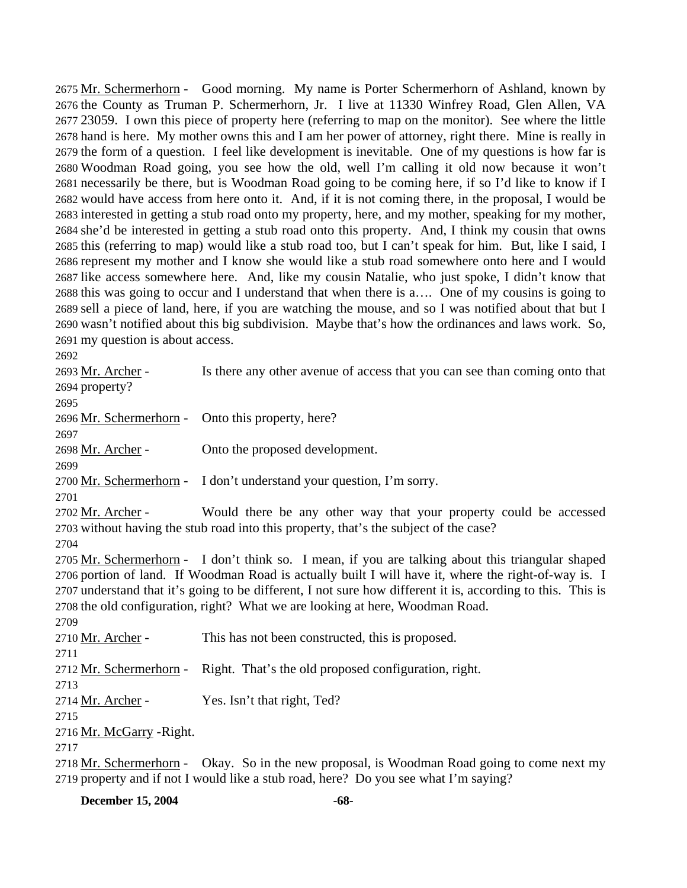2675 Mr. Schermerhorn - Good morning. My name is Porter Schermerhorn of Ashland, known by 2676 the County as Truman P. Schermerhorn, Jr. I live at 11330 Winfrey Road, Glen Allen, VA 2677 23059. I own this piece of property here (referring to map on the monitor). See where the little 2678 hand is here. My mother owns this and I am her power of attorney, right there. Mine is really in 2679 the form of a question. I feel like development is inevitable. One of my questions is how far is 2680 Woodman Road going, you see how the old, well I'm calling it old now because it won't 2681 necessarily be there, but is Woodman Road going to be coming here, if so I'd like to know if I 2682 would have access from here onto it. And, if it is not coming there, in the proposal, I would be 2683 interested in getting a stub road onto my property, here, and my mother, speaking for my mother, 2684 she'd be interested in getting a stub road onto this property. And, I think my cousin that owns 2685 this (referring to map) would like a stub road too, but I can't speak for him. But, like I said, I 2686 represent my mother and I know she would like a stub road somewhere onto here and I would 2687 like access somewhere here. And, like my cousin Natalie, who just spoke, I didn't know that 2688 this was going to occur and I understand that when there is a.... One of my cousins is going to 2689 sell a piece of land, here, if you are watching the mouse, and so I was notified about that but I 2690 wasn't notified about this big subdivision. Maybe that's how the ordinances and laws work. So, 2691 my question is about access.

2692

| 2693 Mr. Archer -                                 | Is there any other avenue of access that you can see than coming onto that                                  |
|---------------------------------------------------|-------------------------------------------------------------------------------------------------------------|
| 2694 property?                                    |                                                                                                             |
| 2695                                              |                                                                                                             |
| 2696 Mr. Schermerhorn - Onto this property, here? |                                                                                                             |
| 2697                                              |                                                                                                             |
| 2698 Mr. Archer -                                 | Onto the proposed development.                                                                              |
| 2699                                              |                                                                                                             |
|                                                   | 2700 Mr. Schermerhorn - I don't understand your question, I'm sorry.                                        |
| 2701                                              |                                                                                                             |
| 2702 Mr. Archer -                                 | Would there be any other way that your property could be accessed                                           |
|                                                   | 2703 without having the stub road into this property, that's the subject of the case?                       |
| 2704                                              |                                                                                                             |
|                                                   | 2705 Mr. Schermerhorn - I don't think so. I mean, if you are talking about this triangular shaped           |
|                                                   | 2706 portion of land. If Woodman Road is actually built I will have it, where the right-of-way is. I        |
|                                                   | 2707 understand that it's going to be different, I not sure how different it is, according to this. This is |
|                                                   | 2708 the old configuration, right? What we are looking at here, Woodman Road.                               |
| 2709                                              |                                                                                                             |
| 2710 Mr. Archer -                                 | This has not been constructed, this is proposed.                                                            |
| 2711                                              |                                                                                                             |
|                                                   | 2712 Mr. Schermerhorn - Right. That's the old proposed configuration, right.                                |
| 2713                                              |                                                                                                             |
| 2714 <u>Mr. Archer</u> -                          | Yes. Isn't that right, Ted?                                                                                 |
| 2715                                              |                                                                                                             |
| 2716 Mr. McGarry - Right.                         |                                                                                                             |
| 2717                                              |                                                                                                             |
|                                                   | 2718 Mr. Schermerhorn - Okay. So in the new proposal, is Woodman Road going to come next my                 |

2719 property and if not I would like a stub road, here? Do you see what I'm saying?

**December 15, 2004** -68-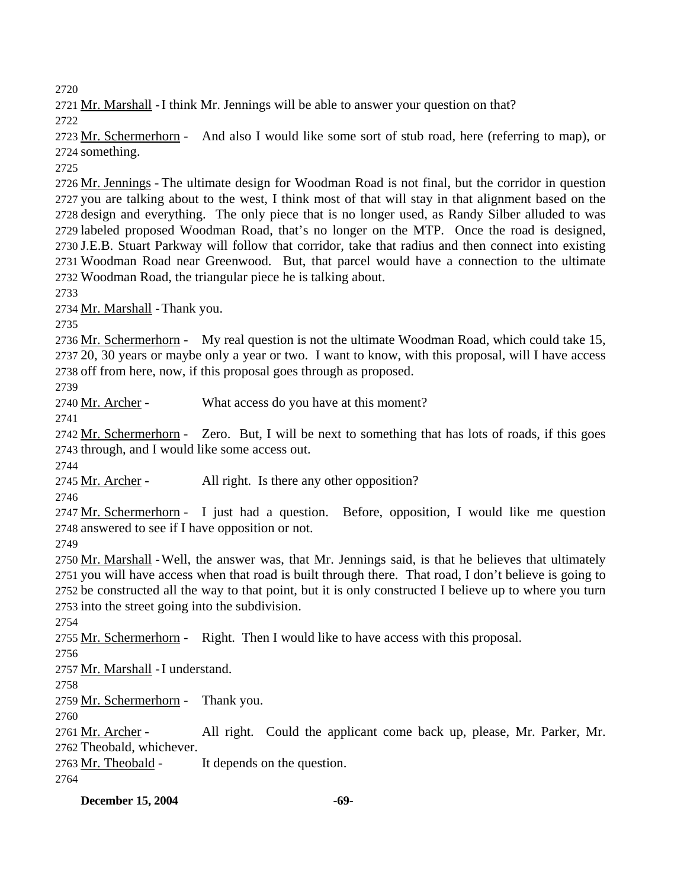2720

2721 Mr. Marshall - I think Mr. Jennings will be able to answer your question on that?

2722

2723 Mr. Schermerhorn - And also I would like some sort of stub road, here (referring to map), or 2724 something.

2725

2726 Mr. Jennings - The ultimate design for Woodman Road is not final, but the corridor in question 2727 you are talking about to the west, I think most of that will stay in that alignment based on the 2728 design and everything. The only piece that is no longer used, as Randy Silber alluded to was 2729 labeled proposed Woodman Road, that's no longer on the MTP. Once the road is designed, 2730 J.E.B. Stuart Parkway will follow that corridor, take that radius and then connect into existing 2731 Woodman Road near Greenwood. But, that parcel would have a connection to the ultimate 2732 Woodman Road, the triangular piece he is talking about.

2733

2734 Mr. Marshall - Thank you.

2735

2736 Mr. Schermerhorn - My real question is not the ultimate Woodman Road, which could take 15, 2737 20, 30 years or maybe only a year or two. I want to know, with this proposal, will I have access 2738 off from here, now, if this proposal goes through as proposed.

2739

2740 Mr. Archer - What access do you have at this moment?

2741

2742 Mr. Schermerhorn - Zero. But, I will be next to something that has lots of roads, if this goes 2743 through, and I would like some access out.

2744

2745 Mr. Archer - All right. Is there any other opposition?

2746

2747 Mr. Schermerhorn - I just had a question. Before, opposition, I would like me question 2748 answered to see if I have opposition or not.

2749

2750 Mr. Marshall - Well, the answer was, that Mr. Jennings said, is that he believes that ultimately 2751 you will have access when that road is built through there. That road, I don't believe is going to 2752 be constructed all the way to that point, but it is only constructed I believe up to where you turn 2753 into the street going into the subdivision.

2754

2755 Mr. Schermerhorn - Right. Then I would like to have access with this proposal.

2756

2757 Mr. Marshall - I understand.

2758

2759 Mr. Schermerhorn - Thank you.

2760

All right. Could the applicant come back up, please, Mr. Parker, Mr. 2762 Theobald, whichever. 2761 Mr. Archer -

2763 <u>Mr. Theobald</u> - It depends on the question.

2764

**December 15, 2004** -69-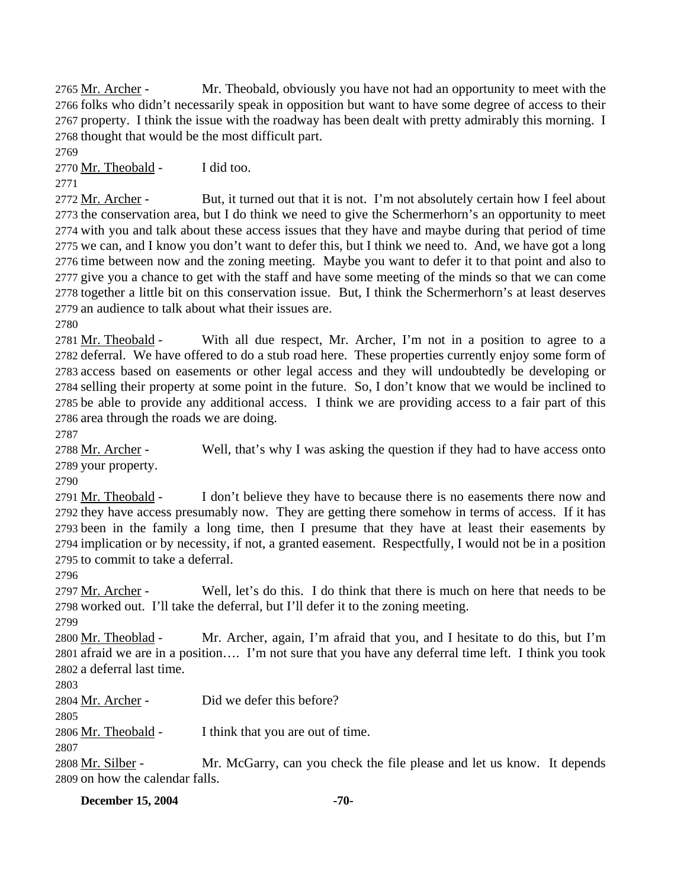Mr. Theobald, obviously you have not had an opportunity to meet with the 2766 folks who didn't necessarily speak in opposition but want to have some degree of access to their 2767 property. I think the issue with the roadway has been dealt with pretty admirably this morning. I 2768 thought that would be the most difficult part. 2765 Mr. Archer -

2769

2770 Mr. Theobald - I did too.

2771

But, it turned out that it is not. I'm not absolutely certain how I feel about 2773 the conservation area, but I do think we need to give the Schermerhorn's an opportunity to meet 2774 with you and talk about these access issues that they have and maybe during that period of time 2775 we can, and I know you don't want to defer this, but I think we need to. And, we have got a long 2776 time between now and the zoning meeting. Maybe you want to defer it to that point and also to 2777 give you a chance to get with the staff and have some meeting of the minds so that we can come 2778 together a little bit on this conservation issue. But, I think the Schermerhorn's at least deserves 2779 an audience to talk about what their issues are. 2772 Mr. Archer -

2780

With all due respect, Mr. Archer, I'm not in a position to agree to a 2782 deferral. We have offered to do a stub road here. These properties currently enjoy some form of 2783 access based on easements or other legal access and they will undoubtedly be developing or 2784 selling their property at some point in the future. So, I don't know that we would be inclined to 2785 be able to provide any additional access. I think we are providing access to a fair part of this 2786 area through the roads we are doing. 2781 Mr. Theobald -

2787

Well, that's why I was asking the question if they had to have access onto 2789 your property. 2788 Mr. Archer -

2790

I don't believe they have to because there is no easements there now and 2792 they have access presumably now. They are getting there somehow in terms of access. If it has 2793 been in the family a long time, then I presume that they have at least their easements by 2794 implication or by necessity, if not, a granted easement. Respectfully, I would not be in a position 2795 to commit to take a deferral. 2791 Mr. Theobald -

2796

Well, let's do this. I do think that there is much on here that needs to be 2798 worked out. I'll take the deferral, but I'll defer it to the zoning meeting. 2797 Mr. Archer -

2799

Mr. Archer, again, I'm afraid that you, and I hesitate to do this, but I'm 2801 afraid we are in a position.... I'm not sure that you have any deferral time left. I think you took 2802 a deferral last time. 2800 Mr. Theoblad -

2803

2804 Mr. Archer - Did we defer this before?

2805

2806 Mr. Theobald - I think that you are out of time.

2807

Mr. McGarry, can you check the file please and let us know. It depends 2809 on how the calendar falls. 2808 Mr. Silber -

**December 15, 2004** -70-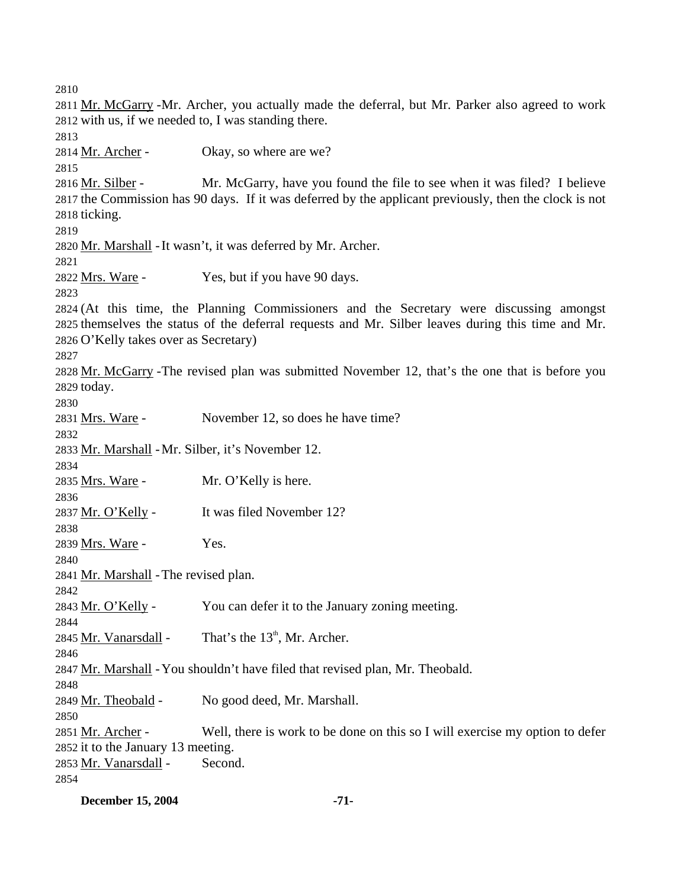2810 2811 Mr. McGarry - Mr. Archer, you actually made the deferral, but Mr. Parker also agreed to work  $2812$  with us, if we needed to, I was standing there. 2813 2814 Mr. Archer - Okay, so where are we? 2815 Mr. McGarry, have you found the file to see when it was filed? I believe 2817 the Commission has 90 days. If it was deferred by the applicant previously, then the clock is not 2818 ticking. 2816 Mr. Silber -2819 2820 Mr. Marshall - It wasn't, it was deferred by Mr. Archer. 2821 2822 Mrs. Ware - Yes, but if you have 90 days. 2823 2824 (At this time, the Planning Commissioners and the Secretary were discussing amongst 2825 themselves the status of the deferral requests and Mr. Silber leaves during this time and Mr. 2826 O'Kelly takes over as Secretary) 2827 2828 Mr. McGarry - The revised plan was submitted November 12, that's the one that is before you 2829 today. 2830 2831 Mrs. Ware - November 12, so does he have time? 2832 2833 Mr. Marshall - Mr. Silber, it's November 12. 2834 2835 Mrs. Ware - Mr. O'Kelly is here. 2836 2837 Mr. O'Kelly - It was filed November 12? 2838 2839 Mrs. Ware - Yes. 2840 2841 Mr. Marshall - The revised plan. 2842 2843 Mr. O'Kelly - You can defer it to the January zoning meeting. 2844 2845 Mr. Vanarsdall - That's the  $13<sup>th</sup>$ , Mr. Archer. 2846 2847 Mr. Marshall - You shouldn't have filed that revised plan, Mr. Theobald. 2848 2849 Mr. Theobald - No good deed, Mr. Marshall. 2850 Well, there is work to be done on this so I will exercise my option to defer 2852 it to the January 13 meeting. 2851 Mr. Archer -2853 Mr. Vanarsdall - Second. 2854

**December 15, 2004** -71-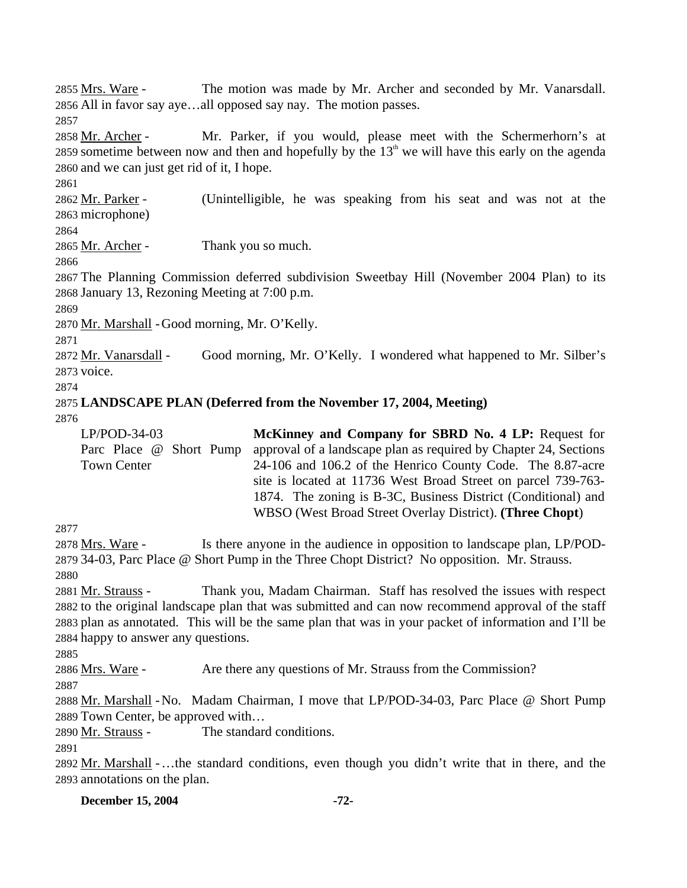The motion was made by Mr. Archer and seconded by Mr. Vanarsdall. 2856 All in favor say aye...all opposed say nay. The motion passes. 2855 Mrs. Ware -2857 Mr. Parker, if you would, please meet with the Schermerhorn's at 2859 sometime between now and then and hopefully by the  $13<sup>th</sup>$  we will have this early on the agenda 2858 Mr. Archer -2860 and we can just get rid of it, I hope. 2861 (Unintelligible, he was speaking from his seat and was not at the 2863 microphone) 2862 Mr. Parker -2864 2865 Mr. Archer - Thank you so much. 2866 2867 The Planning Commission deferred subdivision Sweetbay Hill (November 2004 Plan) to its 2868 January 13, Rezoning Meeting at 7:00 p.m. 2869 2870 Mr. Marshall - Good morning, Mr. O'Kelly. 2871 Good morning, Mr. O'Kelly. I wondered what happened to Mr. Silber's 2873 voice. 2872 Mr. Vanarsdall -2874 2875 **LANDSCAPE PLAN (Deferred from the November 17, 2004, Meeting)**  2876 LP/POD-34-03 Parc Place @ Short Pump Town Center **McKinney and Company for SBRD No. 4 LP:** Request for approval of a landscape plan as required by Chapter 24, Sections 24-106 and 106.2 of the Henrico County Code. The 8.87-acre site is located at 11736 West Broad Street on parcel 739-763- 1874. The zoning is B-3C, Business District (Conditional) and WBSO (West Broad Street Overlay District). **(Three Chopt**)

2877

Is there anyone in the audience in opposition to landscape plan, LP/POD-2879 34-03, Parc Place @ Short Pump in the Three Chopt District? No opposition. Mr. Strauss. 2878 Mrs. Ware -2880

Thank you, Madam Chairman. Staff has resolved the issues with respect 2882 to the original landscape plan that was submitted and can now recommend approval of the staff 2883 plan as annotated. This will be the same plan that was in your packet of information and I'll be 2884 happy to answer any questions. 2881 Mr. Strauss -

2885

2886 Mrs. Ware - Are there any questions of Mr. Strauss from the Commission?

2887

2888 Mr. Marshall - No. Madam Chairman, I move that LP/POD-34-03, Parc Place @ Short Pump 2889 Town Center, be approved with...

2890 Mr. Strauss - The standard conditions.

2891

2892 Mr. Marshall - ... the standard conditions, even though you didn't write that in there, and the 2893 annotations on the plan.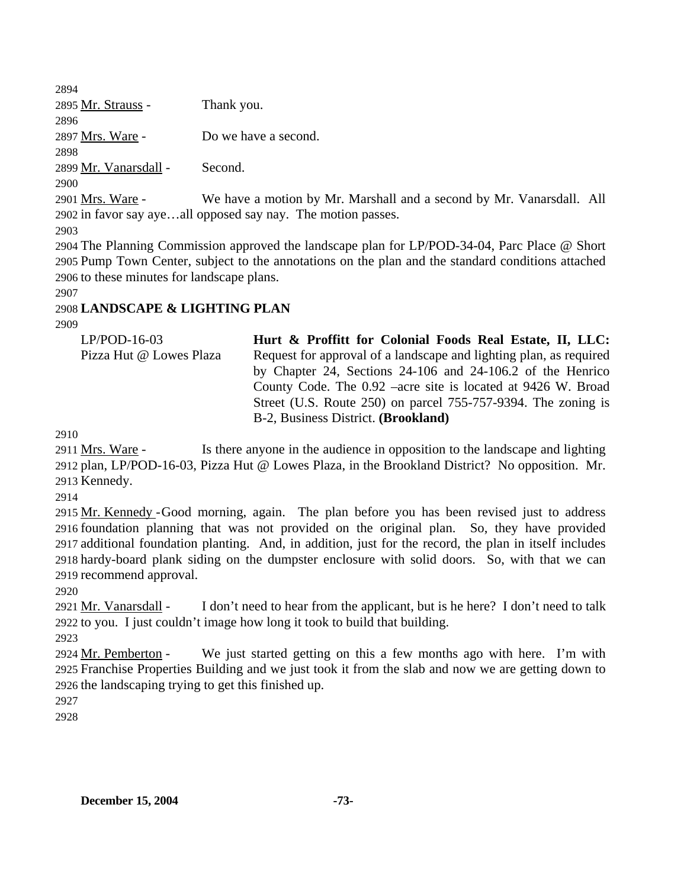2894 2895 Mr. Strauss - Thank you. 2896 2897 Mrs. Ware - Do we have a second. 2898 2899 Mr. Vanarsdall - Second. 2900 We have a motion by Mr. Marshall and a second by Mr. Vanarsdall. All 2902 in favor say aye...all opposed say nay. The motion passes. 2901 Mrs. Ware -

2903

2904 The Planning Commission approved the landscape plan for LP/POD-34-04, Parc Place @ Short 2905 Pump Town Center, subject to the annotations on the plan and the standard conditions attached 2906 to these minutes for landscape plans.

2907

## 2908 **LANDSCAPE & LIGHTING PLAN**

2909

| $LP/POD-16-03$          | Hurt & Proffitt for Colonial Foods Real Estate, II, LLC:           |
|-------------------------|--------------------------------------------------------------------|
| Pizza Hut @ Lowes Plaza | Request for approval of a landscape and lighting plan, as required |
|                         | by Chapter 24, Sections 24-106 and 24-106.2 of the Henrico         |
|                         | County Code. The 0.92 –acre site is located at 9426 W. Broad       |
|                         | Street (U.S. Route 250) on parcel 755-757-9394. The zoning is      |
|                         | B-2, Business District. (Brookland)                                |

2910

Is there anyone in the audience in opposition to the landscape and lighting 2912 plan, LP/POD-16-03, Pizza Hut @ Lowes Plaza, in the Brookland District? No opposition. Mr. 2913 Kennedy. 2911 Mrs. Ware -

2914

2915 Mr. Kennedy - Good morning, again. The plan before you has been revised just to address 2916 foundation planning that was not provided on the original plan. So, they have provided 2917 additional foundation planting. And, in addition, just for the record, the plan in itself includes 2918 hardy-board plank siding on the dumpster enclosure with solid doors. So, with that we can 2919 recommend approval.

2920

I don't need to hear from the applicant, but is he here? I don't need to talk 2922 to you. I just couldn't image how long it took to build that building. 2921 Mr. Vanarsdall -

2923

We just started getting on this a few months ago with here. I'm with Franchise Properties Building and we just took it from the slab and now we are getting down to 2925 2926 the landscaping trying to get this finished up. 2924 Mr. Pemberton -

2927

2928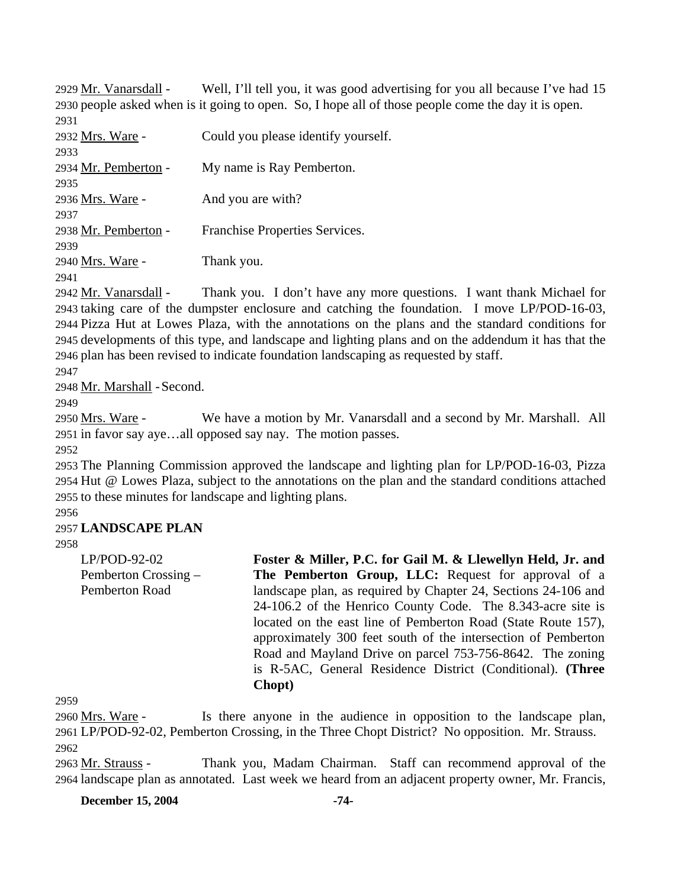Well, I'll tell you, it was good advertising for you all because I've had 15 2930 people asked when is it going to open. So, I hope all of those people come the day it is open. 2929 Mr. Vanarsdall -2931 2932 Mrs. Ware - Could you please identify yourself.

| 2933                 |                                |
|----------------------|--------------------------------|
| 2934 Mr. Pemberton - | My name is Ray Pemberton.      |
| 2935                 |                                |
| 2936 Mrs. Ware -     | And you are with?              |
| 2937                 |                                |
| 2938 Mr. Pemberton - | Franchise Properties Services. |
| 2939                 |                                |
| 2940 Mrs. Ware -     | Thank you.                     |
| 2941                 |                                |

Thank you. I don't have any more questions. I want thank Michael for 2943 taking care of the dumpster enclosure and catching the foundation. I move LP/POD-16-03, 2944 Pizza Hut at Lowes Plaza, with the annotations on the plans and the standard conditions for 2945 developments of this type, and landscape and lighting plans and on the addendum it has that the 2946 plan has been revised to indicate foundation landscaping as requested by staff. 2942 Mr. Vanarsdall -

2947

2948 Mr. Marshall - Second.

2949

We have a motion by Mr. Vanarsdall and a second by Mr. Marshall. All 2951 in favor say aye...all opposed say nay. The motion passes. 2950 Mrs. Ware -

2952

2953 The Planning Commission approved the landscape and lighting plan for LP/POD-16-03, Pizza 2954 Hut @ Lowes Plaza, subject to the annotations on the plan and the standard conditions attached 2955 to these minutes for landscape and lighting plans.

2956

## 2957 **LANDSCAPE PLAN**

2958

LP/POD-92-02 Pemberton Crossing – Pemberton Road **Foster & Miller, P.C. for Gail M. & Llewellyn Held, Jr. and The Pemberton Group, LLC:** Request for approval of a landscape plan, as required by Chapter 24, Sections 24-106 and 24-106.2 of the Henrico County Code. The 8.343-acre site is located on the east line of Pemberton Road (State Route 157), approximately 300 feet south of the intersection of Pemberton Road and Mayland Drive on parcel 753-756-8642. The zoning is R-5AC, General Residence District (Conditional). **(Three Chopt)** 

2959

Is there anyone in the audience in opposition to the landscape plan, LP/POD-92-02, Pemberton Crossing, in the Three Chopt District? No opposition. Mr. Strauss. 2961 2960 Mrs. Ware -2962

Thank you, Madam Chairman. Staff can recommend approval of the 2964 landscape plan as annotated. Last week we heard from an adjacent property owner, Mr. Francis, 2963 Mr. Strauss -

**December 15, 2004** -74-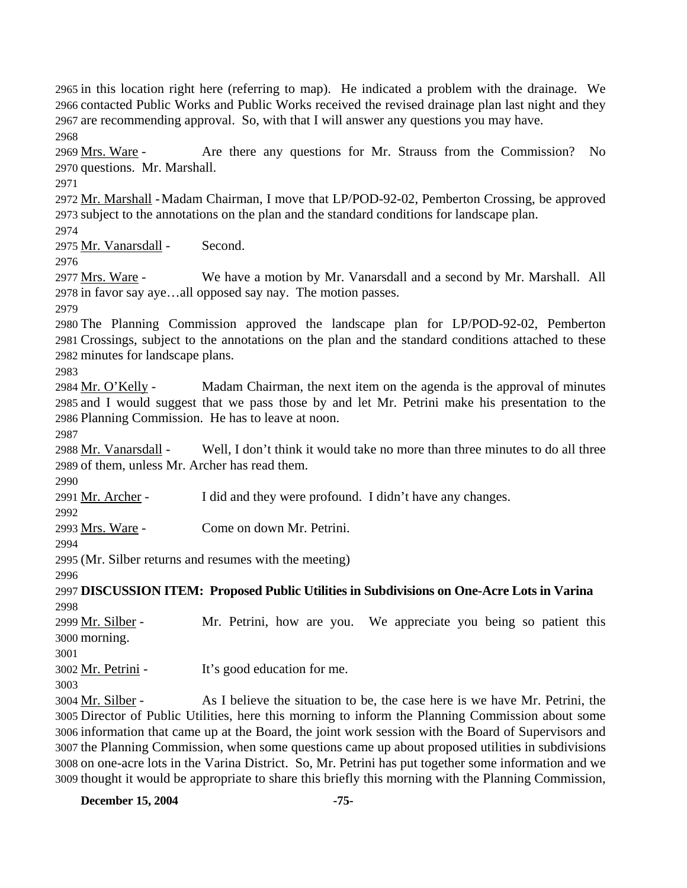2965 in this location right here (referring to map). He indicated a problem with the drainage. We 2966 contacted Public Works and Public Works received the revised drainage plan last night and they 2967 are recommending approval. So, with that I will answer any questions you may have. 2968 Are there any questions for Mr. Strauss from the Commission? No 2970 questions. Mr. Marshall. 2969 Mrs. Ware -2971

2972 Mr. Marshall - Madam Chairman, I move that LP/POD-92-02, Pemberton Crossing, be approved 2973 subject to the annotations on the plan and the standard conditions for landscape plan.

2974

2975 Mr. Vanarsdall - Second.

2976

We have a motion by Mr. Vanarsdall and a second by Mr. Marshall. All 2978 in favor say aye...all opposed say nay. The motion passes. 2977 Mrs. Ware -

2979

2980 The Planning Commission approved the landscape plan for LP/POD-92-02, Pemberton 2981 Crossings, subject to the annotations on the plan and the standard conditions attached to these 2982 minutes for landscape plans.

2983

Madam Chairman, the next item on the agenda is the approval of minutes 2985 and I would suggest that we pass those by and let Mr. Petrini make his presentation to the 2986 Planning Commission. He has to leave at noon. 2984 Mr. O'Kelly -

2987

Well, I don't think it would take no more than three minutes to do all three 2989 of them, unless Mr. Archer has read them. 2988 Mr. Vanarsdall -

2990

2991 Mr. Archer - I did and they were profound. I didn't have any changes.

2992

2993 Mrs. Ware - Come on down Mr. Petrini.

2994

2995 (Mr. Silber returns and resumes with the meeting)

2996

2997 **DISCUSSION ITEM: Proposed Public Utilities in Subdivisions on One-Acre Lots in Varina**  2998

Mr. Petrini, how are you. We appreciate you being so patient this 3000 morning. 2999 Mr. Silber -

3001

3002 Mr. Petrini - It's good education for me.

3003

As I believe the situation to be, the case here is we have Mr. Petrini, the 3005 Director of Public Utilities, here this morning to inform the Planning Commission about some 3006 information that came up at the Board, the joint work session with the Board of Supervisors and 3007 the Planning Commission, when some questions came up about proposed utilities in subdivisions 3008 on one-acre lots in the Varina District. So, Mr. Petrini has put together some information and we 3009 thought it would be appropriate to share this briefly this morning with the Planning Commission, 3004 Mr. Silber -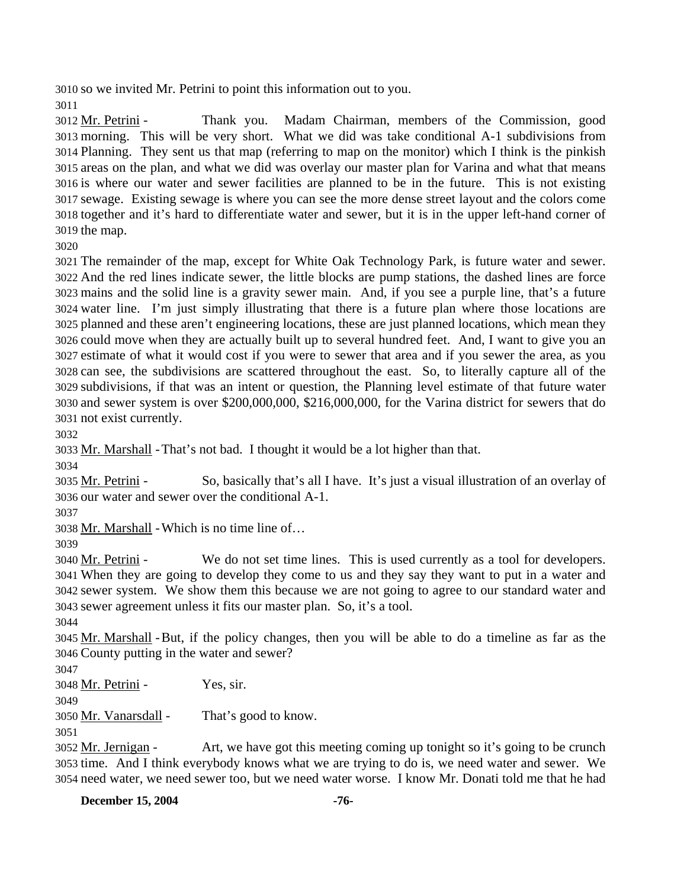3010 so we invited Mr. Petrini to point this information out to you.

3011

Thank you. Madam Chairman, members of the Commission, good 3013 morning. This will be very short. What we did was take conditional A-1 subdivisions from 3014 Planning. They sent us that map (referring to map on the monitor) which I think is the pinkish 3015 areas on the plan, and what we did was overlay our master plan for Varina and what that means 3016 is where our water and sewer facilities are planned to be in the future. This is not existing sewage. Existing sewage is where you can see the more dense street layout and the colors come 3017 3018 together and it's hard to differentiate water and sewer, but it is in the upper left-hand corner of  $3019$  the map. 3012 Mr. Petrini -

3020

 The remainder of the map, except for White Oak Technology Park, is future water and sewer. And the red lines indicate sewer, the little blocks are pump stations, the dashed lines are force mains and the solid line is a gravity sewer main. And, if you see a purple line, that's a future water line. I'm just simply illustrating that there is a future plan where those locations are planned and these aren't engineering locations, these are just planned locations, which mean they could move when they are actually built up to several hundred feet. And, I want to give you an estimate of what it would cost if you were to sewer that area and if you sewer the area, as you can see, the subdivisions are scattered throughout the east. So, to literally capture all of the subdivisions, if that was an intent or question, the Planning level estimate of that future water and sewer system is over \$200,000,000, \$216,000,000, for the Varina district for sewers that do not exist currently.

3032

3033 Mr. Marshall - That's not bad. I thought it would be a lot higher than that.

3034

So, basically that's all I have. It's just a visual illustration of an overlay of 3036 our water and sewer over the conditional A-1. 3035 Mr. Petrini -

3037

3038 Mr. Marshall - Which is no time line of…

3039

We do not set time lines. This is used currently as a tool for developers. When they are going to develop they come to us and they say they want to put in a water and 3041 sewer system. We show them this because we are not going to agree to our standard water and 3042 sewer agreement unless it fits our master plan. So, it's a tool. 3043 3040 Mr. Petrini -

3044

3045 Mr. Marshall - But, if the policy changes, then you will be able to do a timeline as far as the County putting in the water and sewer? 3046

3047

3048 Mr. Petrini - Yes, sir.

3049

3050 Mr. Vanarsdall - That's good to know.

3051

Art, we have got this meeting coming up tonight so it's going to be crunch 3053 time. And I think everybody knows what we are trying to do is, we need water and sewer. We 3054 need water, we need sewer too, but we need water worse. I know Mr. Donati told me that he had 3052 Mr. Jernigan -

**December 15, 2004** -76-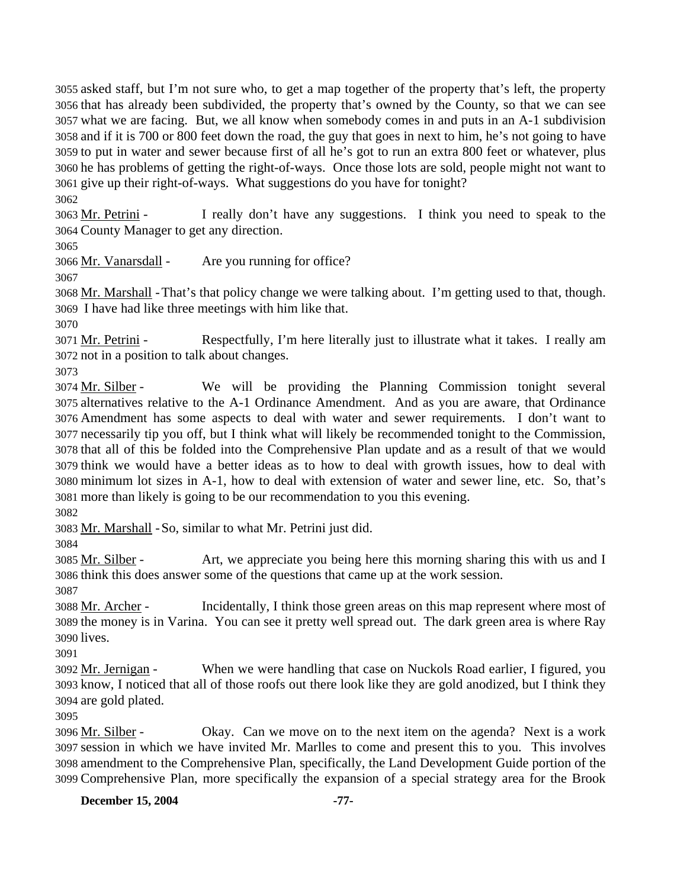asked staff, but I'm not sure who, to get a map together of the property that's left, the property that has already been subdivided, the property that's owned by the County, so that we can see what we are facing. But, we all know when somebody comes in and puts in an A-1 subdivision and if it is 700 or 800 feet down the road, the guy that goes in next to him, he's not going to have to put in water and sewer because first of all he's got to run an extra 800 feet or whatever, plus he has problems of getting the right-of-ways. Once those lots are sold, people might not want to give up their right-of-ways. What suggestions do you have for tonight?

3062

I really don't have any suggestions. I think you need to speak to the 3064 County Manager to get any direction. 3063 Mr. Petrini -

3065

3066 Mr. Vanarsdall - Are you running for office?

3067

3068 Mr. Marshall - That's that policy change we were talking about. I'm getting used to that, though. 3069 I have had like three meetings with him like that.

3070

Respectfully, I'm here literally just to illustrate what it takes. I really am 3072 not in a position to talk about changes. 3071 Mr. Petrini -

3073

We will be providing the Planning Commission tonight several 3075 alternatives relative to the A-1 Ordinance Amendment. And as you are aware, that Ordinance Amendment has some aspects to deal with water and sewer requirements. I don't want to 3076 3077 necessarily tip you off, but I think what will likely be recommended tonight to the Commission, 3078 that all of this be folded into the Comprehensive Plan update and as a result of that we would 3079 think we would have a better ideas as to how to deal with growth issues, how to deal with 3080 minimum lot sizes in A-1, how to deal with extension of water and sewer line, etc. So, that's 3081 more than likely is going to be our recommendation to you this evening. 3074 Mr. Silber -

3082

3083 Mr. Marshall - So, similar to what Mr. Petrini just did.

3084

Art, we appreciate you being here this morning sharing this with us and I 3086 think this does answer some of the questions that came up at the work session. 3085 Mr. Silber -

3087

Incidentally, I think those green areas on this map represent where most of 3089 the money is in Varina. You can see it pretty well spread out. The dark green area is where Ray 3090 lives. 3088 Mr. Archer -

3091

When we were handling that case on Nuckols Road earlier, I figured, you 3093 know, I noticed that all of those roofs out there look like they are gold anodized, but I think they 3094 are gold plated. 3092 Mr. Jernigan -

3095

Okay. Can we move on to the next item on the agenda? Next is a work session in which we have invited Mr. Marlles to come and present this to you. This involves 3097 3098 amendment to the Comprehensive Plan, specifically, the Land Development Guide portion of the 3099 Comprehensive Plan, more specifically the expansion of a special strategy area for the Brook 3096 Mr. Silber -

**December 15, 2004** -77-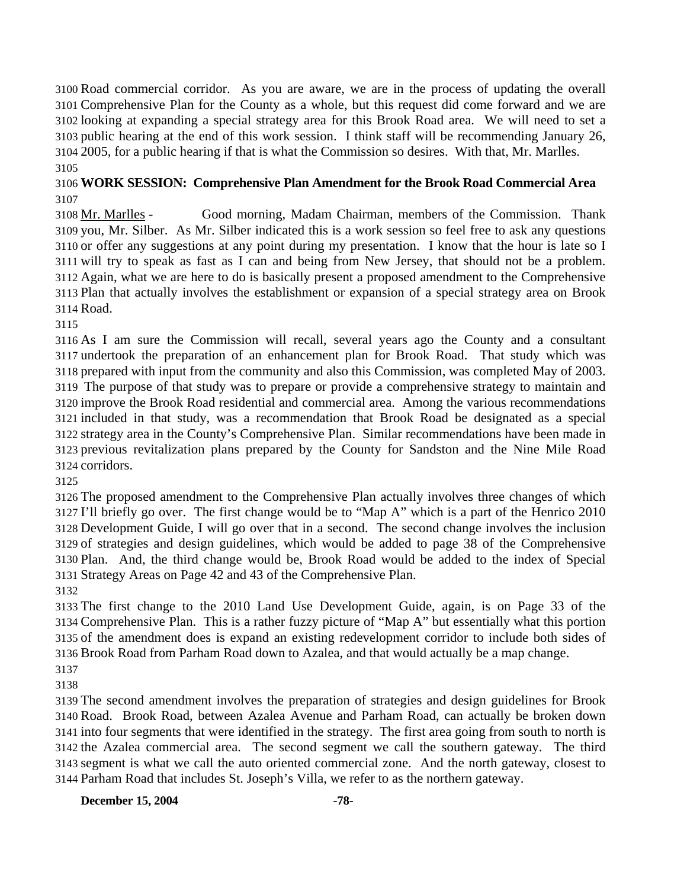Road commercial corridor. As you are aware, we are in the process of updating the overall Comprehensive Plan for the County as a whole, but this request did come forward and we are looking at expanding a special strategy area for this Brook Road area. We will need to set a public hearing at the end of this work session. I think staff will be recommending January 26, 2005, for a public hearing if that is what the Commission so desires. With that, Mr. Marlles. 

## **WORK SESSION: Comprehensive Plan Amendment for the Brook Road Commercial Area**

Good morning, Madam Chairman, members of the Commission. Thank 3109 you, Mr. Silber. As Mr. Silber indicated this is a work session so feel free to ask any questions 3110 or offer any suggestions at any point during my presentation. I know that the hour is late so I 3111 will try to speak as fast as I can and being from New Jersey, that should not be a problem. 3112 Again, what we are here to do is basically present a proposed amendment to the Comprehensive 3113 Plan that actually involves the establishment or expansion of a special strategy area on Brook 3114 Road. 3108 Mr. Marlles -

 As I am sure the Commission will recall, several years ago the County and a consultant undertook the preparation of an enhancement plan for Brook Road. That study which was prepared with input from the community and also this Commission, was completed May of 2003. The purpose of that study was to prepare or provide a comprehensive strategy to maintain and improve the Brook Road residential and commercial area. Among the various recommendations included in that study, was a recommendation that Brook Road be designated as a special strategy area in the County's Comprehensive Plan. Similar recommendations have been made in previous revitalization plans prepared by the County for Sandston and the Nine Mile Road corridors.

 The proposed amendment to the Comprehensive Plan actually involves three changes of which I'll briefly go over. The first change would be to "Map A" which is a part of the Henrico 2010 Development Guide, I will go over that in a second. The second change involves the inclusion of strategies and design guidelines, which would be added to page 38 of the Comprehensive Plan. And, the third change would be, Brook Road would be added to the index of Special Strategy Areas on Page 42 and 43 of the Comprehensive Plan.

 The first change to the 2010 Land Use Development Guide, again, is on Page 33 of the Comprehensive Plan. This is a rather fuzzy picture of "Map A" but essentially what this portion of the amendment does is expand an existing redevelopment corridor to include both sides of Brook Road from Parham Road down to Azalea, and that would actually be a map change.

 The second amendment involves the preparation of strategies and design guidelines for Brook Road. Brook Road, between Azalea Avenue and Parham Road, can actually be broken down into four segments that were identified in the strategy. The first area going from south to north is the Azalea commercial area. The second segment we call the southern gateway. The third segment is what we call the auto oriented commercial zone. And the north gateway, closest to Parham Road that includes St. Joseph's Villa, we refer to as the northern gateway.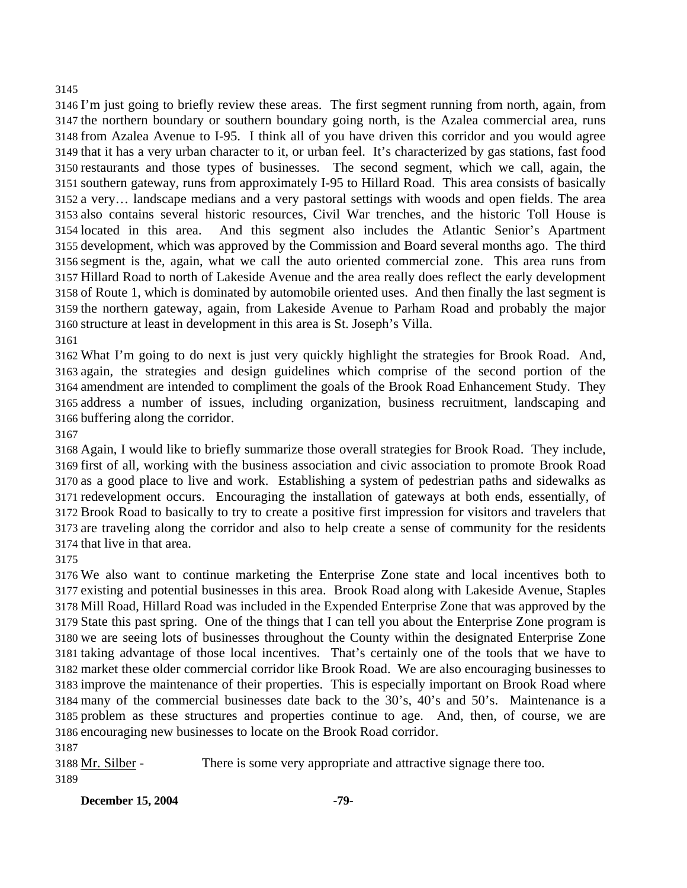## 

 I'm just going to briefly review these areas. The first segment running from north, again, from the northern boundary or southern boundary going north, is the Azalea commercial area, runs from Azalea Avenue to I-95. I think all of you have driven this corridor and you would agree that it has a very urban character to it, or urban feel. It's characterized by gas stations, fast food restaurants and those types of businesses. The second segment, which we call, again, the southern gateway, runs from approximately I-95 to Hillard Road. This area consists of basically a very… landscape medians and a very pastoral settings with woods and open fields. The area also contains several historic resources, Civil War trenches, and the historic Toll House is 3154 located in this area. development, which was approved by the Commission and Board several months ago. The third segment is the, again, what we call the auto oriented commercial zone. This area runs from Hillard Road to north of Lakeside Avenue and the area really does reflect the early development of Route 1, which is dominated by automobile oriented uses. And then finally the last segment is the northern gateway, again, from Lakeside Avenue to Parham Road and probably the major structure at least in development in this area is St. Joseph's Villa. And this segment also includes the Atlantic Senior's Apartment

 What I'm going to do next is just very quickly highlight the strategies for Brook Road. And, again, the strategies and design guidelines which comprise of the second portion of the amendment are intended to compliment the goals of the Brook Road Enhancement Study. They address a number of issues, including organization, business recruitment, landscaping and buffering along the corridor.

 Again, I would like to briefly summarize those overall strategies for Brook Road. They include, first of all, working with the business association and civic association to promote Brook Road as a good place to live and work. Establishing a system of pedestrian paths and sidewalks as redevelopment occurs. Encouraging the installation of gateways at both ends, essentially, of Brook Road to basically to try to create a positive first impression for visitors and travelers that are traveling along the corridor and also to help create a sense of community for the residents that live in that area.

 We also want to continue marketing the Enterprise Zone state and local incentives both to existing and potential businesses in this area. Brook Road along with Lakeside Avenue, Staples Mill Road, Hillard Road was included in the Expended Enterprise Zone that was approved by the State this past spring. One of the things that I can tell you about the Enterprise Zone program is we are seeing lots of businesses throughout the County within the designated Enterprise Zone taking advantage of those local incentives. That's certainly one of the tools that we have to market these older commercial corridor like Brook Road. We are also encouraging businesses to improve the maintenance of their properties. This is especially important on Brook Road where many of the commercial businesses date back to the 30's, 40's and 50's. Maintenance is a problem as these structures and properties continue to age. And, then, of course, we are encouraging new businesses to locate on the Brook Road corridor.

3188 Mr. Silber - There is some very appropriate and attractive signage there too.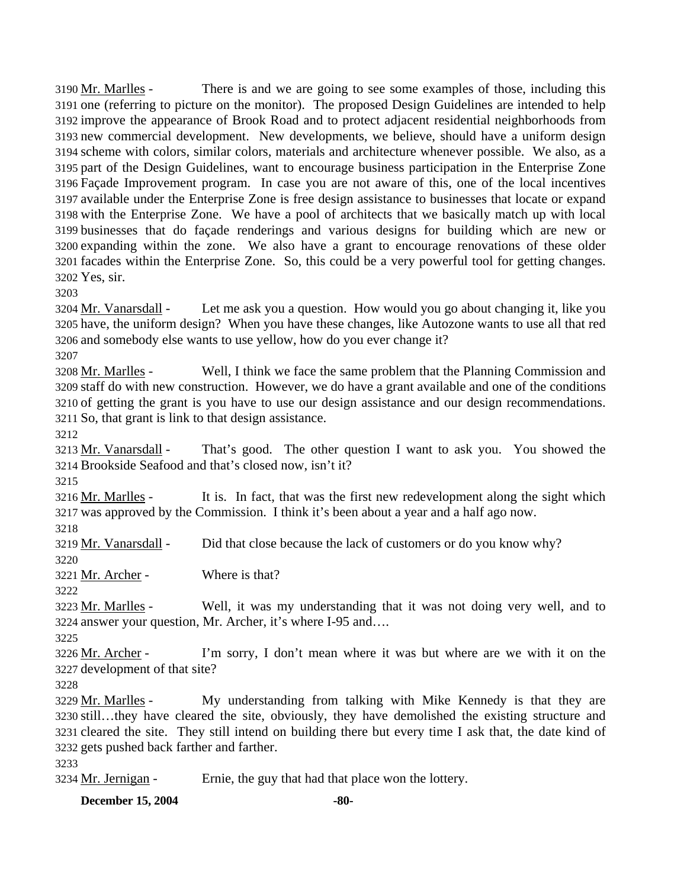There is and we are going to see some examples of those, including this 3191 one (referring to picture on the monitor). The proposed Design Guidelines are intended to help 3192 improve the appearance of Brook Road and to protect adjacent residential neighborhoods from 3193 new commercial development. New developments, we believe, should have a uniform design 3194 scheme with colors, similar colors, materials and architecture whenever possible. We also, as a 3195 part of the Design Guidelines, want to encourage business participation in the Enterprise Zone Façade Improvement program. In case you are not aware of this, one of the local incentives 3196 3197 available under the Enterprise Zone is free design assistance to businesses that locate or expand 3198 with the Enterprise Zone. We have a pool of architects that we basically match up with local 3199 businesses that do façade renderings and various designs for building which are new or 3200 expanding within the zone. We also have a grant to encourage renovations of these older 3201 facades within the Enterprise Zone. So, this could be a very powerful tool for getting changes. Yes, sir. 3202 3190 Mr. Marlles -

3203

Let me ask you a question. How would you go about changing it, like you 3205 have, the uniform design? When you have these changes, like Autozone wants to use all that red and somebody else wants to use yellow, how do you ever change it? 3206 3204 Mr. Vanarsdall -

3207

Well, I think we face the same problem that the Planning Commission and 3209 staff do with new construction. However, we do have a grant available and one of the conditions 3210 of getting the grant is you have to use our design assistance and our design recommendations. 3211 So, that grant is link to that design assistance. 3208 Mr. Marlles -

3212

That's good. The other question I want to ask you. You showed the 3214 Brookside Seafood and that's closed now, isn't it? 3213 Mr. Vanarsdall -

3215

It is. In fact, that was the first new redevelopment along the sight which 3217 was approved by the Commission. I think it's been about a year and a half ago now. 3216 Mr. Marlles -

3218

3219 Mr. Vanarsdall - Did that close because the lack of customers or do you know why? 3220

3221 Mr. Archer - Where is that?

3222

Well, it was my understanding that it was not doing very well, and to 3224 answer your question, Mr. Archer, it's where I-95 and.... 3223 Mr. Marlles -

3225

I'm sorry, I don't mean where it was but where are we with it on the 3227 development of that site? 3226 Mr. Archer -

3228

My understanding from talking with Mike Kennedy is that they are 3230 still...they have cleared the site, obviously, they have demolished the existing structure and 3231 cleared the site. They still intend on building there but every time I ask that, the date kind of 3232 gets pushed back farther and farther. 3229 Mr. Marlles -

3233

3234 Mr. Jernigan - Ernie, the guy that had that place won the lottery.

**December 15, 2004** -80-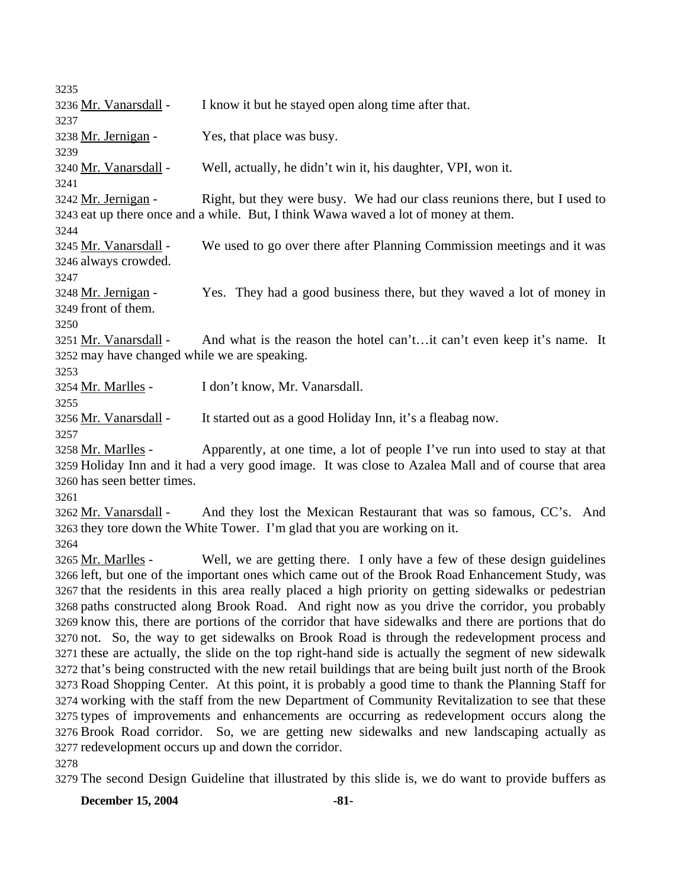| 3235                                                                                                                                                                                                      |                                                                                                    |  |
|-----------------------------------------------------------------------------------------------------------------------------------------------------------------------------------------------------------|----------------------------------------------------------------------------------------------------|--|
| 3236 Mr. Vanarsdall -                                                                                                                                                                                     | I know it but he stayed open along time after that.                                                |  |
| 3237                                                                                                                                                                                                      |                                                                                                    |  |
| 3238 Mr. Jernigan -                                                                                                                                                                                       | Yes, that place was busy.                                                                          |  |
| 3239                                                                                                                                                                                                      |                                                                                                    |  |
| 3240 Mr. Vanarsdall -                                                                                                                                                                                     | Well, actually, he didn't win it, his daughter, VPI, won it.                                       |  |
| 3241                                                                                                                                                                                                      |                                                                                                    |  |
| 3242 Mr. Jernigan -                                                                                                                                                                                       | Right, but they were busy. We had our class reunions there, but I used to                          |  |
| 3243 eat up there once and a while. But, I think Wawa waved a lot of money at them.                                                                                                                       |                                                                                                    |  |
| 3244                                                                                                                                                                                                      |                                                                                                    |  |
| 3245 Mr. Vanarsdall -                                                                                                                                                                                     | We used to go over there after Planning Commission meetings and it was                             |  |
| 3246 always crowded.                                                                                                                                                                                      |                                                                                                    |  |
| 3247                                                                                                                                                                                                      |                                                                                                    |  |
| 3248 Mr. Jernigan -                                                                                                                                                                                       | Yes. They had a good business there, but they waved a lot of money in                              |  |
| 3249 front of them.                                                                                                                                                                                       |                                                                                                    |  |
| 3250                                                                                                                                                                                                      |                                                                                                    |  |
| 3251 Mr. Vanarsdall -                                                                                                                                                                                     | And what is the reason the hotel can'tit can't even keep it's name. It                             |  |
| 3252 may have changed while we are speaking.                                                                                                                                                              |                                                                                                    |  |
| 3253                                                                                                                                                                                                      |                                                                                                    |  |
| 3254 Mr. Marlles -                                                                                                                                                                                        | I don't know, Mr. Vanarsdall.                                                                      |  |
| 3255                                                                                                                                                                                                      |                                                                                                    |  |
| 3256 Mr. Vanarsdall -                                                                                                                                                                                     | It started out as a good Holiday Inn, it's a fleabag now.                                          |  |
| 3257                                                                                                                                                                                                      |                                                                                                    |  |
| 3258 Mr. Marlles -                                                                                                                                                                                        | Apparently, at one time, a lot of people I've run into used to stay at that                        |  |
|                                                                                                                                                                                                           | 3259 Holiday Inn and it had a very good image. It was close to Azalea Mall and of course that area |  |
| 3260 has seen better times.                                                                                                                                                                               |                                                                                                    |  |
| 3261                                                                                                                                                                                                      |                                                                                                    |  |
| 3262 Mr. Vanarsdall -                                                                                                                                                                                     | And they lost the Mexican Restaurant that was so famous, CC's. And                                 |  |
| 3264                                                                                                                                                                                                      | 3263 they tore down the White Tower. I'm glad that you are working on it.                          |  |
| 3265 Mr. Marlles -                                                                                                                                                                                        | Well, we are getting there. I only have a few of these design guidelines                           |  |
|                                                                                                                                                                                                           |                                                                                                    |  |
| 3266 left, but one of the important ones which came out of the Brook Road Enhancement Study, was<br>3267 that the residents in this area really placed a high priority on getting sidewalks or pedestrian |                                                                                                    |  |
| 3268 paths constructed along Brook Road. And right now as you drive the corridor, you probably                                                                                                            |                                                                                                    |  |
| 3269 know this, there are portions of the corridor that have sidewalks and there are portions that do                                                                                                     |                                                                                                    |  |
| 3270 not. So, the way to get sidewalks on Brook Road is through the redevelopment process and                                                                                                             |                                                                                                    |  |
| 3271 these are actually, the slide on the top right-hand side is actually the segment of new sidewalk                                                                                                     |                                                                                                    |  |
| 3272 that's being constructed with the new retail buildings that are being built just north of the Brook                                                                                                  |                                                                                                    |  |
| 3273 Road Shopping Center. At this point, it is probably a good time to thank the Planning Staff for                                                                                                      |                                                                                                    |  |
| 3274 working with the staff from the new Department of Community Revitalization to see that these                                                                                                         |                                                                                                    |  |
| 3275 types of improvements and enhancements are occurring as redevelopment occurs along the                                                                                                               |                                                                                                    |  |
| 3276 Brook Road corridor. So, we are getting new sidewalks and new landscaping actually as                                                                                                                |                                                                                                    |  |
| 3277 redevelopment occurs up and down the corridor.                                                                                                                                                       |                                                                                                    |  |
| 3278                                                                                                                                                                                                      |                                                                                                    |  |

3279 The second Design Guideline that illustrated by this slide is, we do want to provide buffers as

**December 15, 2004** -81-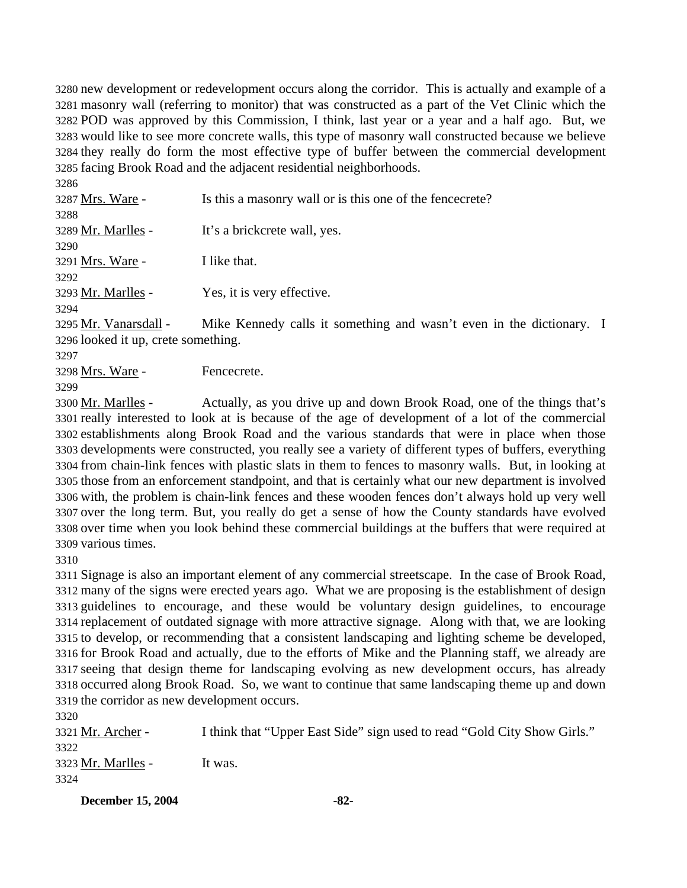new development or redevelopment occurs along the corridor. This is actually and example of a masonry wall (referring to monitor) that was constructed as a part of the Vet Clinic which the POD was approved by this Commission, I think, last year or a year and a half ago. But, we would like to see more concrete walls, this type of masonry wall constructed because we believe they really do form the most effective type of buffer between the commercial development facing Brook Road and the adjacent residential neighborhoods.

| Mike Kennedy calls it something and wasn't even in the dictionary. I |
|----------------------------------------------------------------------|
|                                                                      |

3296 looked it up, crete something.

3297

3298 Mrs. Ware - Fencecrete.

3299

Actually, as you drive up and down Brook Road, one of the things that's 3301 really interested to look at is because of the age of development of a lot of the commercial 3302 establishments along Brook Road and the various standards that were in place when those 3303 developments were constructed, you really see a variety of different types of buffers, everything 3304 from chain-link fences with plastic slats in them to fences to masonry walls. But, in looking at 3305 those from an enforcement standpoint, and that is certainly what our new department is involved 3306 with, the problem is chain-link fences and these wooden fences don't always hold up very well 3307 over the long term. But, you really do get a sense of how the County standards have evolved 3308 over time when you look behind these commercial buildings at the buffers that were required at 3309 various times. 3300 Mr. Marlles -

3310

 Signage is also an important element of any commercial streetscape. In the case of Brook Road, many of the signs were erected years ago. What we are proposing is the establishment of design guidelines to encourage, and these would be voluntary design guidelines, to encourage replacement of outdated signage with more attractive signage. Along with that, we are looking to develop, or recommending that a consistent landscaping and lighting scheme be developed, for Brook Road and actually, due to the efforts of Mike and the Planning staff, we already are seeing that design theme for landscaping evolving as new development occurs, has already occurred along Brook Road. So, we want to continue that same landscaping theme up and down the corridor as new development occurs.

3320 3321 Mr. Archer - I think that "Upper East Side" sign used to read "Gold City Show Girls." 3322 3323 Mr. Marlles - It was. 3324

**December 15, 2004** -82-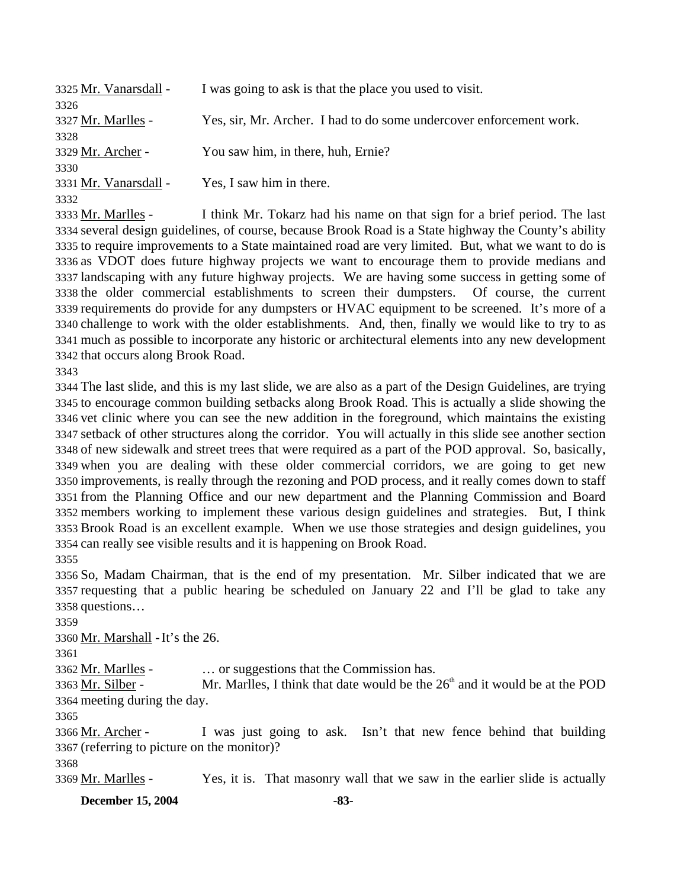| I was going to ask is that the place you used to visit.             |
|---------------------------------------------------------------------|
|                                                                     |
| Yes, sir, Mr. Archer. I had to do some undercover enforcement work. |
|                                                                     |
| You saw him, in there, huh, Ernie?                                  |
|                                                                     |
| Yes, I saw him in there.                                            |
|                                                                     |
|                                                                     |

I think Mr. Tokarz had his name on that sign for a brief period. The last 3334 several design guidelines, of course, because Brook Road is a State highway the County's ability 3335 to require improvements to a State maintained road are very limited. But, what we want to do is 3336 as VDOT does future highway projects we want to encourage them to provide medians and 3337 landscaping with any future highway projects. We are having some success in getting some of 3338 the older commercial establishments to screen their dumpsters. Of course, the current 3339 requirements do provide for any dumpsters or HVAC equipment to be screened. It's more of a 3340 challenge to work with the older establishments. And, then, finally we would like to try to as much as possible to incorporate any historic or architectural elements into any new development 3341 3342 that occurs along Brook Road. 3333 Mr. Marlles -

3343

 The last slide, and this is my last slide, we are also as a part of the Design Guidelines, are trying to encourage common building setbacks along Brook Road. This is actually a slide showing the vet clinic where you can see the new addition in the foreground, which maintains the existing setback of other structures along the corridor. You will actually in this slide see another section of new sidewalk and street trees that were required as a part of the POD approval. So, basically, when you are dealing with these older commercial corridors, we are going to get new improvements, is really through the rezoning and POD process, and it really comes down to staff from the Planning Office and our new department and the Planning Commission and Board members working to implement these various design guidelines and strategies. But, I think Brook Road is an excellent example. When we use those strategies and design guidelines, you can really see visible results and it is happening on Brook Road. 3355

3356 So, Madam Chairman, that is the end of my presentation. Mr. Silber indicated that we are 3357 requesting that a public hearing be scheduled on January 22 and I'll be glad to take any 3358 questions…

3359

3360 Mr. Marshall - It's the 26.

3361

3362 Mr. Marlles - … or suggestions that the Commission has.

Mr. Marlles, I think that date would be the  $26<sup>th</sup>$  and it would be at the POD 3364 meeting during the day. 3363 Mr. Silber -

3365

I was just going to ask. Isn't that new fence behind that building (referring to picture on the monitor)? 3367 3366 Mr. Archer -3368

3369 Mr. Marlles - Yes, it is. That masonry wall that we saw in the earlier slide is actually

**December 15, 2004** -83-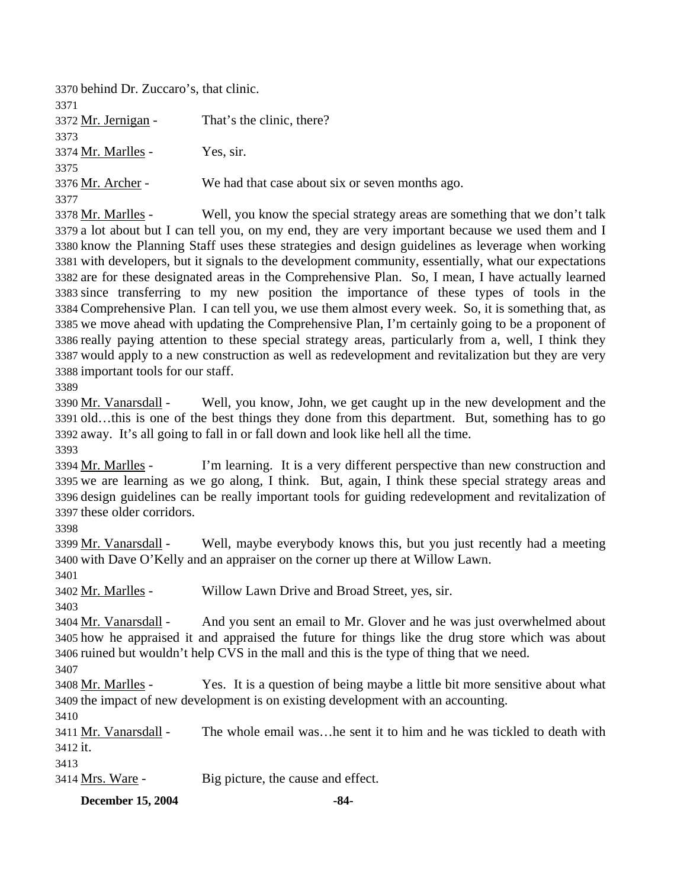| 3370 behind Dr. Zuccaro's, that clinic. |                                                 |
|-----------------------------------------|-------------------------------------------------|
| 3371                                    |                                                 |
| 3372 Mr. Jernigan -                     | That's the clinic, there?                       |
| 3373                                    |                                                 |
| 3374 Mr. Marlles -                      | Yes, sir.                                       |
| 3375                                    |                                                 |
| 3376 Mr. Archer -                       | We had that case about six or seven months ago. |
| 3377                                    |                                                 |

Well, you know the special strategy areas are something that we don't talk 3379 a lot about but I can tell you, on my end, they are very important because we used them and I 3380 know the Planning Staff uses these strategies and design guidelines as leverage when working 3381 with developers, but it signals to the development community, essentially, what our expectations 3382 are for these designated areas in the Comprehensive Plan. So, I mean, I have actually learned 3383 since transferring to my new position the importance of these types of tools in the Comprehensive Plan. I can tell you, we use them almost every week. So, it is something that, as 3384 3385 we move ahead with updating the Comprehensive Plan, I'm certainly going to be a proponent of 3386 really paying attention to these special strategy areas, particularly from a, well, I think they 3387 would apply to a new construction as well as redevelopment and revitalization but they are very 3388 important tools for our staff. 3378 Mr. Marlles -

3389

Well, you know, John, we get caught up in the new development and the 3391 old...this is one of the best things they done from this department. But, something has to go 3392 away. It's all going to fall in or fall down and look like hell all the time. 3390 Mr. Vanarsdall -

3393

I'm learning. It is a very different perspective than new construction and 3395 we are learning as we go along, I think. But, again, I think these special strategy areas and 3396 design guidelines can be really important tools for guiding redevelopment and revitalization of 3397 these older corridors. 3394 Mr. Marlles -

3398

Well, maybe everybody knows this, but you just recently had a meeting 3400 with Dave O'Kelly and an appraiser on the corner up there at Willow Lawn. 3399 Mr. Vanarsdall -

3401

3402 Mr. Marlles - Willow Lawn Drive and Broad Street, yes, sir.

3403

And you sent an email to Mr. Glover and he was just overwhelmed about 3405 how he appraised it and appraised the future for things like the drug store which was about 3406 ruined but wouldn't help CVS in the mall and this is the type of thing that we need. 3404 Mr. Vanarsdall -

3407

Yes. It is a question of being maybe a little bit more sensitive about what 3409 the impact of new development is on existing development with an accounting. 3408 Mr. Marlles -

3410

The whole email was... he sent it to him and he was tickled to death with 3412 it. 3411 Mr. Vanarsdall -

3413

3414 Mrs. Ware - Big picture, the cause and effect.

**December 15, 2004** -84-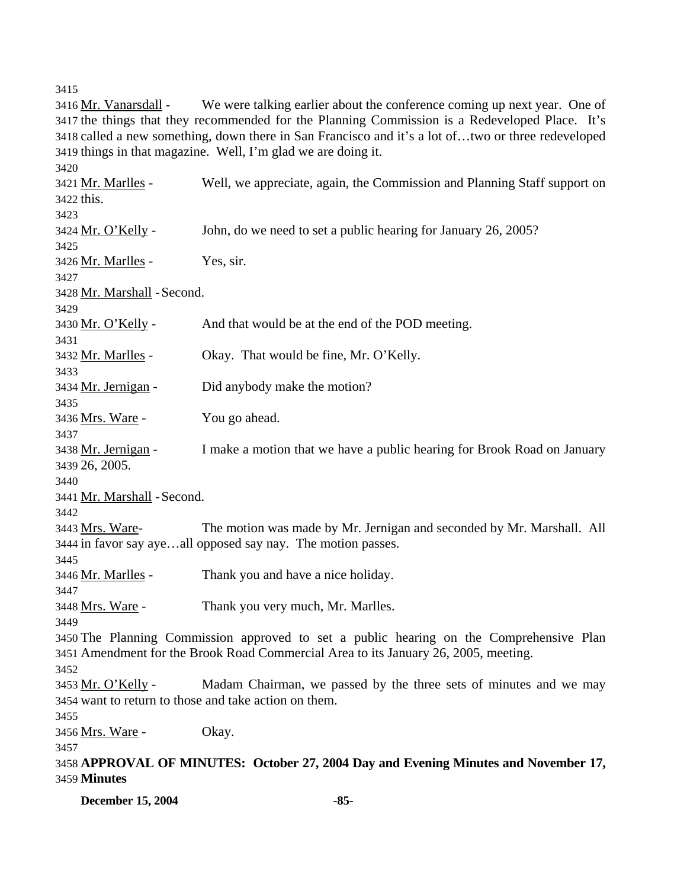3415

We were talking earlier about the conference coming up next year. One of 3417 the things that they recommended for the Planning Commission is a Redeveloped Place. It's 3418 called a new something, down there in San Francisco and it's a lot of...two or three redeveloped 3419 things in that magazine. Well, I'm glad we are doing it. 3416 Mr. Vanarsdall -3420 Well, we appreciate, again, the Commission and Planning Staff support on 3422 this. 3421 Mr. Marlles -3423 3424 Mr. O'Kelly - John, do we need to set a public hearing for January 26, 2005? 3425 3426 Mr. Marlles - Yes, sir. 3427 3428 Mr. Marshall - Second. 3429 3430 Mr. O'Kelly - And that would be at the end of the POD meeting. 3431 3432 Mr. Marlles - Okay. That would be fine, Mr. O'Kelly. 3433 3434 Mr. Jernigan - Did anybody make the motion? 3435 3436 Mrs. Ware - You go ahead. 3437 I make a motion that we have a public hearing for Brook Road on January 26, 2005. 3439 3438 Mr. Jernigan -3440 3441 Mr. Marshall - Second. 3442 The motion was made by Mr. Jernigan and seconded by Mr. Marshall. All 3444 in favor say aye...all opposed say nay. The motion passes. 3443 Mrs. Ware-3445 3446 Mr. Marlles - Thank you and have a nice holiday. 3447 3448 Mrs. Ware - Thank you very much, Mr. Marlles. 3449 3450 The Planning Commission approved to set a public hearing on the Comprehensive Plan 3451 Amendment for the Brook Road Commercial Area to its January 26, 2005, meeting. 3452 Madam Chairman, we passed by the three sets of minutes and we may 3454 want to return to those and take action on them. 3453 Mr. O'Kelly -3455 3456 Mrs. Ware - Okay. 3457 3458 **APPROVAL OF MINUTES: October 27, 2004 Day and Evening Minutes and November 17,**  3459 **Minutes** 

**December 15, 2004** -85-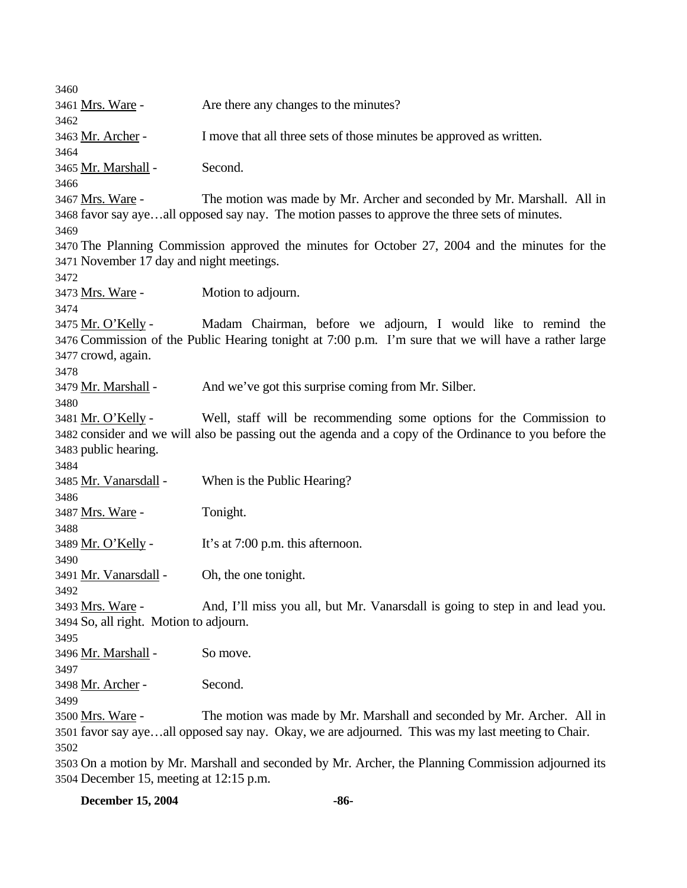| 3460                                                                                              |                                                                                                                                                                       |  |
|---------------------------------------------------------------------------------------------------|-----------------------------------------------------------------------------------------------------------------------------------------------------------------------|--|
| 3461 <u>Mrs. Ware</u> -                                                                           | Are there any changes to the minutes?                                                                                                                                 |  |
| 3462                                                                                              |                                                                                                                                                                       |  |
| 3463 <u>Mr. Archer</u> -                                                                          | I move that all three sets of those minutes be approved as written.                                                                                                   |  |
| 3464                                                                                              |                                                                                                                                                                       |  |
| 3465 Mr. Marshall -                                                                               | Second.                                                                                                                                                               |  |
| 3466                                                                                              |                                                                                                                                                                       |  |
| 3467 Mrs. Ware -                                                                                  | The motion was made by Mr. Archer and seconded by Mr. Marshall. All in                                                                                                |  |
|                                                                                                   | 3468 favor say ayeall opposed say nay. The motion passes to approve the three sets of minutes.                                                                        |  |
| 3469                                                                                              |                                                                                                                                                                       |  |
|                                                                                                   | 3470 The Planning Commission approved the minutes for October 27, 2004 and the minutes for the                                                                        |  |
| 3471 November 17 day and night meetings.                                                          |                                                                                                                                                                       |  |
| 3472                                                                                              |                                                                                                                                                                       |  |
| 3473 Mrs. Ware -                                                                                  | Motion to adjourn.                                                                                                                                                    |  |
| 3474                                                                                              |                                                                                                                                                                       |  |
| 3475 <u>Mr. O'Kelly</u> -                                                                         | Madam Chairman, before we adjourn, I would like to remind the<br>3476 Commission of the Public Hearing tonight at 7:00 p.m. I'm sure that we will have a rather large |  |
| 3477 crowd, again.                                                                                |                                                                                                                                                                       |  |
| 3478                                                                                              |                                                                                                                                                                       |  |
| 3479 <u>Mr. Marshall</u> -                                                                        | And we've got this surprise coming from Mr. Silber.                                                                                                                   |  |
| 3480                                                                                              |                                                                                                                                                                       |  |
| 3481 Mr. O'Kelly -                                                                                | Well, staff will be recommending some options for the Commission to                                                                                                   |  |
|                                                                                                   | 3482 consider and we will also be passing out the agenda and a copy of the Ordinance to you before the                                                                |  |
| 3483 public hearing.                                                                              |                                                                                                                                                                       |  |
| 3484                                                                                              |                                                                                                                                                                       |  |
| 3485 <u>Mr. Vanarsdall</u> -                                                                      | When is the Public Hearing?                                                                                                                                           |  |
| 3486                                                                                              |                                                                                                                                                                       |  |
| 3487 <u>Mrs. Ware</u> -                                                                           | Tonight.                                                                                                                                                              |  |
| 3488                                                                                              |                                                                                                                                                                       |  |
| 3489 <u>Mr. O'Kelly</u> -                                                                         | It's at 7:00 p.m. this afternoon.                                                                                                                                     |  |
| 3490                                                                                              |                                                                                                                                                                       |  |
| 3491 Mr. Vanarsdall -                                                                             | Oh, the one tonight.                                                                                                                                                  |  |
| 3492                                                                                              |                                                                                                                                                                       |  |
| 3493 <u>Mrs. Ware</u> -                                                                           | And, I'll miss you all, but Mr. Vanarsdall is going to step in and lead you.                                                                                          |  |
| 3494 So, all right. Motion to adjourn.                                                            |                                                                                                                                                                       |  |
| 3495<br>3496 Mr. Marshall -                                                                       | So move.                                                                                                                                                              |  |
| 3497                                                                                              |                                                                                                                                                                       |  |
| 3498 Mr. Archer -                                                                                 | Second.                                                                                                                                                               |  |
| 3499                                                                                              |                                                                                                                                                                       |  |
| 3500 Mrs. Ware -                                                                                  | The motion was made by Mr. Marshall and seconded by Mr. Archer. All in                                                                                                |  |
| 3501 favor say ayeall opposed say nay. Okay, we are adjourned. This was my last meeting to Chair. |                                                                                                                                                                       |  |
| 3502                                                                                              |                                                                                                                                                                       |  |
|                                                                                                   | 3503 On a motion by Mr. Marshall and seconded by Mr. Archer, the Planning Commission adjourned its                                                                    |  |
| 3504 December 15, meeting at 12:15 p.m.                                                           |                                                                                                                                                                       |  |

**December 15, 2004** -86-